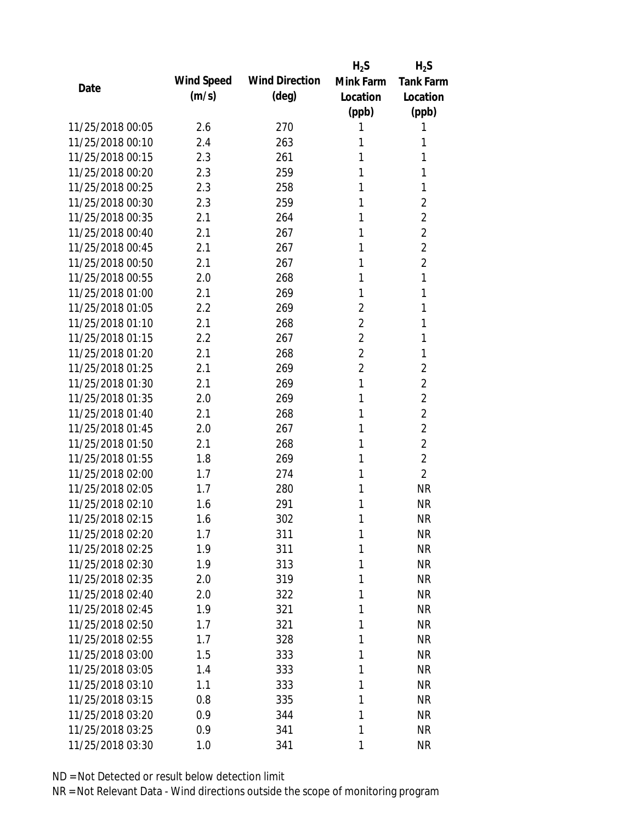|                  |            |                       | $H_2S$         | $H_2S$           |
|------------------|------------|-----------------------|----------------|------------------|
| Date             | Wind Speed | <b>Wind Direction</b> | Mink Farm      | <b>Tank Farm</b> |
|                  | (m/s)      | $(\text{deg})$        | Location       | Location         |
|                  |            |                       | (ppb)          | (ppb)            |
| 11/25/2018 00:05 | 2.6        | 270                   | 1              | 1                |
| 11/25/2018 00:10 | 2.4        | 263                   | 1              | 1                |
| 11/25/2018 00:15 | 2.3        | 261                   | 1              | 1                |
| 11/25/2018 00:20 | 2.3        | 259                   | 1              | 1                |
| 11/25/2018 00:25 | 2.3        | 258                   | 1              | 1                |
| 11/25/2018 00:30 | 2.3        | 259                   | 1              | $\overline{2}$   |
| 11/25/2018 00:35 | 2.1        | 264                   | 1              | $\overline{2}$   |
| 11/25/2018 00:40 | 2.1        | 267                   | 1              | $\overline{2}$   |
| 11/25/2018 00:45 | 2.1        | 267                   | 1              | $\overline{2}$   |
| 11/25/2018 00:50 | 2.1        | 267                   | 1              | $\overline{2}$   |
| 11/25/2018 00:55 | 2.0        | 268                   | 1              | 1                |
| 11/25/2018 01:00 | 2.1        | 269                   | 1              | 1                |
| 11/25/2018 01:05 | 2.2        | 269                   | $\overline{2}$ | 1                |
| 11/25/2018 01:10 | 2.1        | 268                   | $\overline{2}$ | 1                |
| 11/25/2018 01:15 | 2.2        | 267                   | $\overline{2}$ | 1                |
| 11/25/2018 01:20 | 2.1        | 268                   | $\overline{2}$ | 1                |
| 11/25/2018 01:25 | 2.1        | 269                   | $\overline{2}$ | $\overline{2}$   |
| 11/25/2018 01:30 | 2.1        | 269                   | 1              | $\overline{2}$   |
| 11/25/2018 01:35 | 2.0        | 269                   | 1              | $\overline{2}$   |
| 11/25/2018 01:40 | 2.1        | 268                   | 1              | $\overline{2}$   |
| 11/25/2018 01:45 | 2.0        | 267                   | 1              | $\overline{2}$   |
| 11/25/2018 01:50 | 2.1        | 268                   | 1              | $\overline{2}$   |
| 11/25/2018 01:55 | 1.8        | 269                   | 1              | $\overline{2}$   |
| 11/25/2018 02:00 | 1.7        | 274                   | 1              | $\overline{2}$   |
| 11/25/2018 02:05 | 1.7        | 280                   | 1              | <b>NR</b>        |
| 11/25/2018 02:10 | 1.6        | 291                   | 1              | <b>NR</b>        |
| 11/25/2018 02:15 | 1.6        | 302                   | 1              | <b>NR</b>        |
| 11/25/2018 02:20 | 1.7        | 311                   | 1              | <b>NR</b>        |
| 11/25/2018 02:25 | 1.9        | 311                   | 1              | <b>NR</b>        |
| 11/25/2018 02:30 | 1.9        | 313                   | 1              | <b>NR</b>        |
| 11/25/2018 02:35 | 2.0        | 319                   | 1              | <b>NR</b>        |
| 11/25/2018 02:40 | 2.0        | 322                   | 1              | <b>NR</b>        |
| 11/25/2018 02:45 | 1.9        | 321                   | 1              | <b>NR</b>        |
| 11/25/2018 02:50 | 1.7        | 321                   | 1              | <b>NR</b>        |
| 11/25/2018 02:55 | 1.7        | 328                   | 1              | <b>NR</b>        |
| 11/25/2018 03:00 | 1.5        | 333                   | 1              | <b>NR</b>        |
| 11/25/2018 03:05 | 1.4        | 333                   | 1              | <b>NR</b>        |
| 11/25/2018 03:10 | 1.1        | 333                   | 1              | <b>NR</b>        |
| 11/25/2018 03:15 | 0.8        | 335                   | 1              | <b>NR</b>        |
| 11/25/2018 03:20 | 0.9        | 344                   | 1              | <b>NR</b>        |
| 11/25/2018 03:25 | 0.9        | 341                   | 1              | <b>NR</b>        |
| 11/25/2018 03:30 | 1.0        | 341                   | 1              | <b>NR</b>        |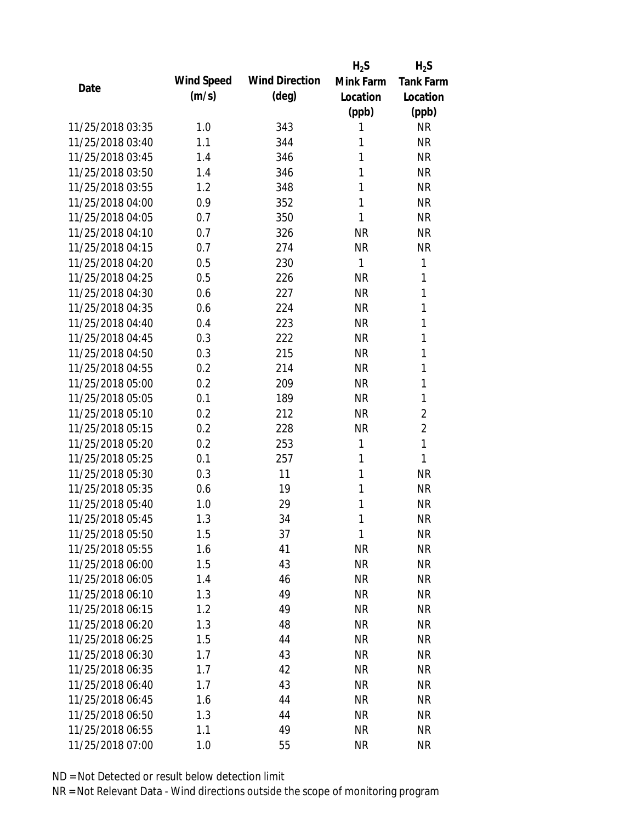|                  |            |                       | $H_2S$    | $H_2S$           |
|------------------|------------|-----------------------|-----------|------------------|
| Date             | Wind Speed | <b>Wind Direction</b> | Mink Farm | <b>Tank Farm</b> |
|                  | (m/s)      | $(\text{deg})$        | Location  | Location         |
|                  |            |                       | (ppb)     | (ppb)            |
| 11/25/2018 03:35 | 1.0        | 343                   | 1         | <b>NR</b>        |
| 11/25/2018 03:40 | 1.1        | 344                   | 1         | <b>NR</b>        |
| 11/25/2018 03:45 | 1.4        | 346                   | 1         | <b>NR</b>        |
| 11/25/2018 03:50 | 1.4        | 346                   | 1         | <b>NR</b>        |
| 11/25/2018 03:55 | 1.2        | 348                   | 1         | <b>NR</b>        |
| 11/25/2018 04:00 | 0.9        | 352                   | 1         | <b>NR</b>        |
| 11/25/2018 04:05 | 0.7        | 350                   | 1         | <b>NR</b>        |
| 11/25/2018 04:10 | 0.7        | 326                   | <b>NR</b> | <b>NR</b>        |
| 11/25/2018 04:15 | 0.7        | 274                   | <b>NR</b> | <b>NR</b>        |
| 11/25/2018 04:20 | 0.5        | 230                   | 1         | 1                |
| 11/25/2018 04:25 | 0.5        | 226                   | <b>NR</b> | 1                |
| 11/25/2018 04:30 | 0.6        | 227                   | <b>NR</b> | 1                |
| 11/25/2018 04:35 | 0.6        | 224                   | <b>NR</b> | 1                |
| 11/25/2018 04:40 | 0.4        | 223                   | <b>NR</b> | 1                |
| 11/25/2018 04:45 | 0.3        | 222                   | <b>NR</b> | 1                |
| 11/25/2018 04:50 | 0.3        | 215                   | <b>NR</b> | 1                |
| 11/25/2018 04:55 | 0.2        | 214                   | <b>NR</b> | 1                |
| 11/25/2018 05:00 | 0.2        | 209                   | <b>NR</b> | 1                |
| 11/25/2018 05:05 | 0.1        | 189                   | <b>NR</b> | 1                |
| 11/25/2018 05:10 | 0.2        | 212                   | <b>NR</b> | $\overline{2}$   |
| 11/25/2018 05:15 | 0.2        | 228                   | <b>NR</b> | $\overline{2}$   |
| 11/25/2018 05:20 | 0.2        | 253                   | 1         | 1                |
| 11/25/2018 05:25 | 0.1        | 257                   | 1         | 1                |
| 11/25/2018 05:30 | 0.3        | 11                    | 1         | <b>NR</b>        |
| 11/25/2018 05:35 | 0.6        | 19                    | 1         | <b>NR</b>        |
| 11/25/2018 05:40 | 1.0        | 29                    | 1         | <b>NR</b>        |
| 11/25/2018 05:45 | 1.3        | 34                    | 1         | <b>NR</b>        |
| 11/25/2018 05:50 | 1.5        | 37                    | 1         | <b>NR</b>        |
| 11/25/2018 05:55 | 1.6        | 41                    | <b>NR</b> | <b>NR</b>        |
| 11/25/2018 06:00 | 1.5        | 43                    | <b>NR</b> | <b>NR</b>        |
| 11/25/2018 06:05 | 1.4        | 46                    | <b>NR</b> | <b>NR</b>        |
| 11/25/2018 06:10 | 1.3        | 49                    | <b>NR</b> | <b>NR</b>        |
| 11/25/2018 06:15 | 1.2        | 49                    | <b>NR</b> | <b>NR</b>        |
| 11/25/2018 06:20 | 1.3        | 48                    | <b>NR</b> | <b>NR</b>        |
| 11/25/2018 06:25 | 1.5        | 44                    | <b>NR</b> | <b>NR</b>        |
| 11/25/2018 06:30 | 1.7        | 43                    | <b>NR</b> | <b>NR</b>        |
| 11/25/2018 06:35 | 1.7        | 42                    | <b>NR</b> | <b>NR</b>        |
| 11/25/2018 06:40 | 1.7        | 43                    | <b>NR</b> | <b>NR</b>        |
| 11/25/2018 06:45 | 1.6        | 44                    | <b>NR</b> | <b>NR</b>        |
| 11/25/2018 06:50 | 1.3        | 44                    | <b>NR</b> | <b>NR</b>        |
| 11/25/2018 06:55 | 1.1        | 49                    | <b>NR</b> | <b>NR</b>        |
| 11/25/2018 07:00 | 1.0        | 55                    | <b>NR</b> | <b>NR</b>        |
|                  |            |                       |           |                  |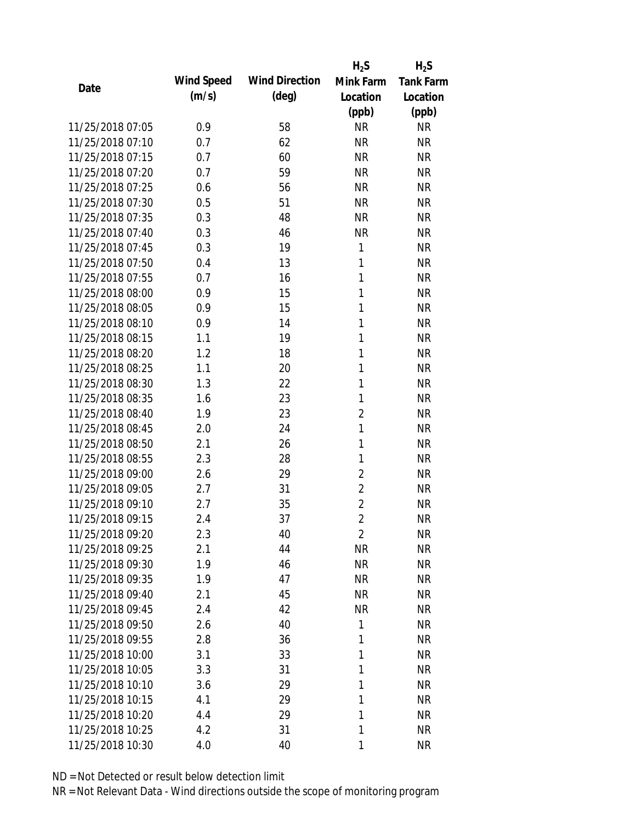|                  |            |                       | $H_2S$         | $H_2S$           |
|------------------|------------|-----------------------|----------------|------------------|
|                  | Wind Speed | <b>Wind Direction</b> | Mink Farm      | <b>Tank Farm</b> |
| Date             | (m/s)      | $(\text{deg})$        | Location       | Location         |
|                  |            |                       | (ppb)          | (ppb)            |
| 11/25/2018 07:05 | 0.9        | 58                    | <b>NR</b>      | <b>NR</b>        |
| 11/25/2018 07:10 | 0.7        | 62                    | <b>NR</b>      | <b>NR</b>        |
| 11/25/2018 07:15 | 0.7        | 60                    | <b>NR</b>      | <b>NR</b>        |
| 11/25/2018 07:20 | 0.7        | 59                    | <b>NR</b>      | <b>NR</b>        |
| 11/25/2018 07:25 | 0.6        | 56                    | <b>NR</b>      | <b>NR</b>        |
| 11/25/2018 07:30 | 0.5        | 51                    | <b>NR</b>      | <b>NR</b>        |
| 11/25/2018 07:35 | 0.3        | 48                    | <b>NR</b>      | <b>NR</b>        |
| 11/25/2018 07:40 | 0.3        | 46                    | <b>NR</b>      | <b>NR</b>        |
| 11/25/2018 07:45 | 0.3        | 19                    | 1              | <b>NR</b>        |
| 11/25/2018 07:50 | 0.4        | 13                    | 1              | <b>NR</b>        |
| 11/25/2018 07:55 | 0.7        | 16                    | 1              | <b>NR</b>        |
| 11/25/2018 08:00 | 0.9        | 15                    | 1              | <b>NR</b>        |
| 11/25/2018 08:05 | 0.9        | 15                    | $\mathbf{1}$   | <b>NR</b>        |
| 11/25/2018 08:10 | 0.9        | 14                    | $\mathbf{1}$   | <b>NR</b>        |
| 11/25/2018 08:15 | 1.1        | 19                    | 1              | <b>NR</b>        |
| 11/25/2018 08:20 | 1.2        | 18                    | 1              | <b>NR</b>        |
| 11/25/2018 08:25 | 1.1        | 20                    | 1              | <b>NR</b>        |
| 11/25/2018 08:30 | 1.3        | 22                    | 1              | <b>NR</b>        |
| 11/25/2018 08:35 | 1.6        | 23                    | $\mathbf{1}$   | <b>NR</b>        |
| 11/25/2018 08:40 | 1.9        | 23                    | $\overline{2}$ | <b>NR</b>        |
| 11/25/2018 08:45 | 2.0        | 24                    | 1              | <b>NR</b>        |
| 11/25/2018 08:50 | 2.1        | 26                    | 1              | <b>NR</b>        |
| 11/25/2018 08:55 | 2.3        | 28                    | 1              | <b>NR</b>        |
| 11/25/2018 09:00 | 2.6        | 29                    | $\overline{2}$ | <b>NR</b>        |
| 11/25/2018 09:05 | 2.7        | 31                    | $\overline{2}$ | <b>NR</b>        |
| 11/25/2018 09:10 | 2.7        | 35                    | $\overline{2}$ | <b>NR</b>        |
| 11/25/2018 09:15 | 2.4        | 37                    | $\overline{2}$ | <b>NR</b>        |
| 11/25/2018 09:20 | 2.3        | 40                    | 2              | <b>NR</b>        |
| 11/25/2018 09:25 | 2.1        | 44                    | <b>NR</b>      | <b>NR</b>        |
| 11/25/2018 09:30 | 1.9        | 46                    | <b>NR</b>      | NR               |
| 11/25/2018 09:35 | 1.9        | 47                    | <b>NR</b>      | <b>NR</b>        |
| 11/25/2018 09:40 | 2.1        | 45                    | <b>NR</b>      | <b>NR</b>        |
| 11/25/2018 09:45 | 2.4        | 42                    | <b>NR</b>      | <b>NR</b>        |
| 11/25/2018 09:50 | 2.6        | 40                    | 1              | <b>NR</b>        |
| 11/25/2018 09:55 | 2.8        | 36                    | 1              | <b>NR</b>        |
| 11/25/2018 10:00 | 3.1        | 33                    | 1              | <b>NR</b>        |
| 11/25/2018 10:05 | 3.3        | 31                    | 1              | <b>NR</b>        |
| 11/25/2018 10:10 | 3.6        | 29                    | 1              | <b>NR</b>        |
| 11/25/2018 10:15 | 4.1        | 29                    | 1              | <b>NR</b>        |
| 11/25/2018 10:20 | 4.4        | 29                    | 1              | <b>NR</b>        |
| 11/25/2018 10:25 | 4.2        | 31                    | 1              | <b>NR</b>        |
| 11/25/2018 10:30 | 4.0        | 40                    | 1              | <b>NR</b>        |
|                  |            |                       |                |                  |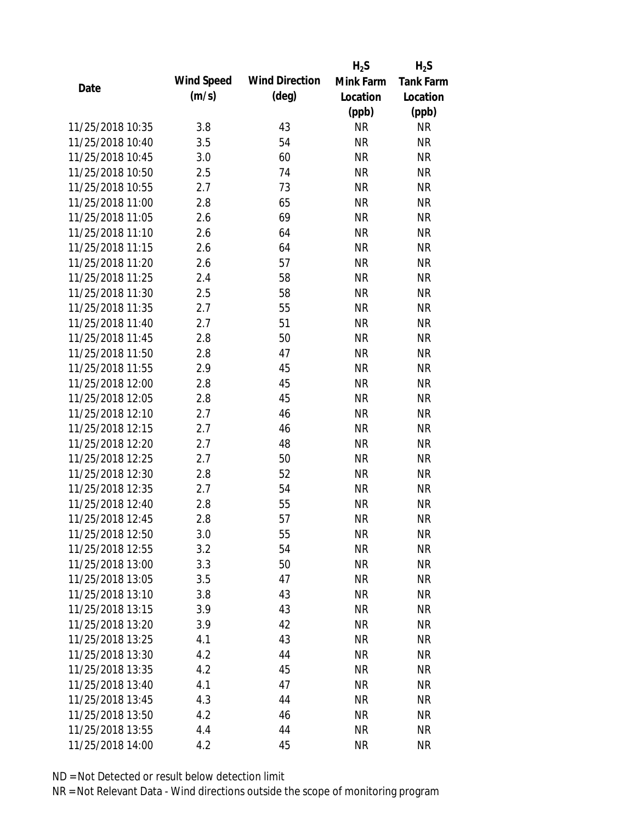|                  |            |                       | $H_2S$    | $H_2S$           |
|------------------|------------|-----------------------|-----------|------------------|
| Date             | Wind Speed | <b>Wind Direction</b> | Mink Farm | <b>Tank Farm</b> |
|                  | (m/s)      | $(\text{deg})$        | Location  | Location         |
|                  |            |                       | (ppb)     | (ppb)            |
| 11/25/2018 10:35 | 3.8        | 43                    | <b>NR</b> | <b>NR</b>        |
| 11/25/2018 10:40 | 3.5        | 54                    | <b>NR</b> | <b>NR</b>        |
| 11/25/2018 10:45 | 3.0        | 60                    | <b>NR</b> | <b>NR</b>        |
| 11/25/2018 10:50 | 2.5        | 74                    | <b>NR</b> | <b>NR</b>        |
| 11/25/2018 10:55 | 2.7        | 73                    | <b>NR</b> | <b>NR</b>        |
| 11/25/2018 11:00 | 2.8        | 65                    | <b>NR</b> | <b>NR</b>        |
| 11/25/2018 11:05 | 2.6        | 69                    | <b>NR</b> | <b>NR</b>        |
| 11/25/2018 11:10 | 2.6        | 64                    | <b>NR</b> | <b>NR</b>        |
| 11/25/2018 11:15 | 2.6        | 64                    | <b>NR</b> | <b>NR</b>        |
| 11/25/2018 11:20 | 2.6        | 57                    | <b>NR</b> | <b>NR</b>        |
| 11/25/2018 11:25 | 2.4        | 58                    | <b>NR</b> | <b>NR</b>        |
| 11/25/2018 11:30 | 2.5        | 58                    | <b>NR</b> | <b>NR</b>        |
| 11/25/2018 11:35 | 2.7        | 55                    | <b>NR</b> | <b>NR</b>        |
| 11/25/2018 11:40 | 2.7        | 51                    | <b>NR</b> | <b>NR</b>        |
| 11/25/2018 11:45 | 2.8        | 50                    | <b>NR</b> | <b>NR</b>        |
| 11/25/2018 11:50 | 2.8        | 47                    | <b>NR</b> | <b>NR</b>        |
| 11/25/2018 11:55 | 2.9        | 45                    | <b>NR</b> | <b>NR</b>        |
| 11/25/2018 12:00 | 2.8        | 45                    | <b>NR</b> | <b>NR</b>        |
| 11/25/2018 12:05 | 2.8        | 45                    | <b>NR</b> | <b>NR</b>        |
| 11/25/2018 12:10 | 2.7        | 46                    | <b>NR</b> | <b>NR</b>        |
| 11/25/2018 12:15 | 2.7        | 46                    | <b>NR</b> | <b>NR</b>        |
| 11/25/2018 12:20 | 2.7        | 48                    | <b>NR</b> | <b>NR</b>        |
| 11/25/2018 12:25 | 2.7        | 50                    | <b>NR</b> | <b>NR</b>        |
| 11/25/2018 12:30 | 2.8        | 52                    | <b>NR</b> | <b>NR</b>        |
| 11/25/2018 12:35 | 2.7        | 54                    | <b>NR</b> | <b>NR</b>        |
| 11/25/2018 12:40 | 2.8        | 55                    | <b>NR</b> | <b>NR</b>        |
| 11/25/2018 12:45 | 2.8        | 57                    | <b>NR</b> | <b>NR</b>        |
| 11/25/2018 12:50 | 3.0        | 55                    | <b>NR</b> | <b>NR</b>        |
| 11/25/2018 12:55 | 3.2        | 54                    | <b>NR</b> | <b>NR</b>        |
| 11/25/2018 13:00 | 3.3        | 50                    | <b>NR</b> | <b>NR</b>        |
| 11/25/2018 13:05 | 3.5        | 47                    | <b>NR</b> | <b>NR</b>        |
| 11/25/2018 13:10 | 3.8        | 43                    | <b>NR</b> | <b>NR</b>        |
| 11/25/2018 13:15 | 3.9        | 43                    | <b>NR</b> | <b>NR</b>        |
| 11/25/2018 13:20 | 3.9        | 42                    | <b>NR</b> | <b>NR</b>        |
| 11/25/2018 13:25 | 4.1        | 43                    | <b>NR</b> | <b>NR</b>        |
| 11/25/2018 13:30 | 4.2        | 44                    | <b>NR</b> | <b>NR</b>        |
| 11/25/2018 13:35 | 4.2        | 45                    | <b>NR</b> | <b>NR</b>        |
| 11/25/2018 13:40 | 4.1        | 47                    | NR        | <b>NR</b>        |
| 11/25/2018 13:45 | 4.3        | 44                    | <b>NR</b> | <b>NR</b>        |
| 11/25/2018 13:50 | 4.2        | 46                    | <b>NR</b> | <b>NR</b>        |
|                  |            |                       |           |                  |
| 11/25/2018 13:55 | 4.4        | 44                    | <b>NR</b> | <b>NR</b>        |
| 11/25/2018 14:00 | 4.2        | 45                    | <b>NR</b> | <b>NR</b>        |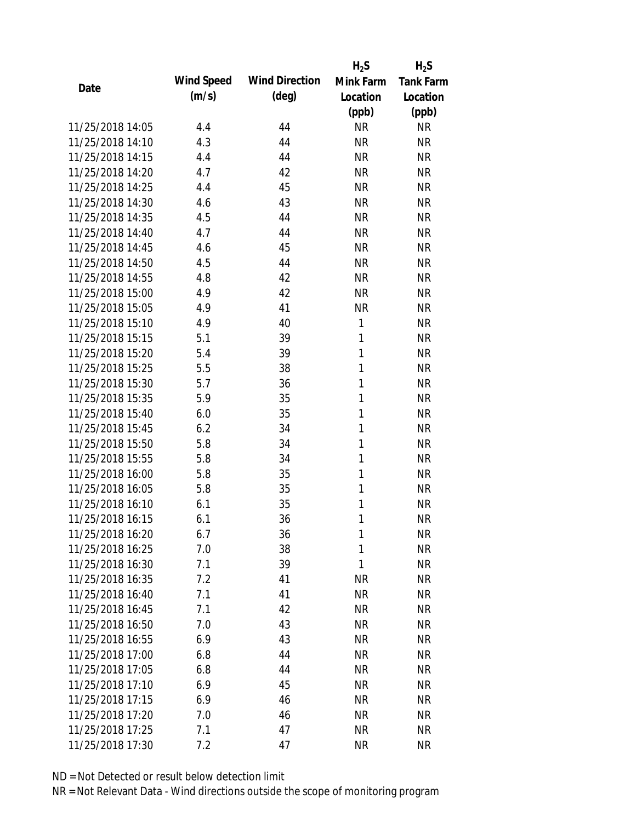|                  |            |                       | $H_2S$       | $H_2S$           |
|------------------|------------|-----------------------|--------------|------------------|
|                  | Wind Speed | <b>Wind Direction</b> | Mink Farm    | <b>Tank Farm</b> |
| Date             | (m/s)      | $(\text{deg})$        | Location     | Location         |
|                  |            |                       | (ppb)        | (ppb)            |
| 11/25/2018 14:05 | 4.4        | 44                    | <b>NR</b>    | <b>NR</b>        |
| 11/25/2018 14:10 | 4.3        | 44                    | <b>NR</b>    | <b>NR</b>        |
| 11/25/2018 14:15 | 4.4        | 44                    | <b>NR</b>    | <b>NR</b>        |
| 11/25/2018 14:20 | 4.7        | 42                    | <b>NR</b>    | <b>NR</b>        |
| 11/25/2018 14:25 | 4.4        | 45                    | <b>NR</b>    | <b>NR</b>        |
| 11/25/2018 14:30 | 4.6        | 43                    | <b>NR</b>    | <b>NR</b>        |
| 11/25/2018 14:35 | 4.5        | 44                    | <b>NR</b>    | <b>NR</b>        |
| 11/25/2018 14:40 | 4.7        | 44                    | <b>NR</b>    | <b>NR</b>        |
| 11/25/2018 14:45 | 4.6        | 45                    | <b>NR</b>    | <b>NR</b>        |
| 11/25/2018 14:50 | 4.5        | 44                    | <b>NR</b>    | <b>NR</b>        |
| 11/25/2018 14:55 | 4.8        | 42                    | <b>NR</b>    | <b>NR</b>        |
| 11/25/2018 15:00 | 4.9        | 42                    | <b>NR</b>    | <b>NR</b>        |
| 11/25/2018 15:05 | 4.9        | 41                    | <b>NR</b>    | <b>NR</b>        |
| 11/25/2018 15:10 | 4.9        | 40                    | 1            | <b>NR</b>        |
| 11/25/2018 15:15 | 5.1        | 39                    | 1            | <b>NR</b>        |
| 11/25/2018 15:20 | 5.4        | 39                    | 1            | <b>NR</b>        |
| 11/25/2018 15:25 | 5.5        | 38                    | 1            | <b>NR</b>        |
| 11/25/2018 15:30 | 5.7        | 36                    | 1            | <b>NR</b>        |
| 11/25/2018 15:35 | 5.9        | 35                    | $\mathbf{1}$ | <b>NR</b>        |
| 11/25/2018 15:40 | 6.0        | 35                    | 1            | <b>NR</b>        |
| 11/25/2018 15:45 | 6.2        | 34                    | 1            | <b>NR</b>        |
| 11/25/2018 15:50 | 5.8        | 34                    | 1            | <b>NR</b>        |
| 11/25/2018 15:55 | 5.8        | 34                    | 1            | <b>NR</b>        |
| 11/25/2018 16:00 | 5.8        | 35                    | 1            | <b>NR</b>        |
| 11/25/2018 16:05 | 5.8        | 35                    | 1            | <b>NR</b>        |
| 11/25/2018 16:10 | 6.1        | 35                    | 1            | <b>NR</b>        |
| 11/25/2018 16:15 | 6.1        | 36                    | 1            | <b>NR</b>        |
| 11/25/2018 16:20 | 6.7        | 36                    | 1            | <b>NR</b>        |
| 11/25/2018 16:25 | 7.0        | 38                    | 1            | <b>NR</b>        |
| 11/25/2018 16:30 | 7.1        | 39                    | 1            | <b>NR</b>        |
| 11/25/2018 16:35 | 7.2        | 41                    | <b>NR</b>    | <b>NR</b>        |
| 11/25/2018 16:40 | 7.1        | 41                    | <b>NR</b>    | <b>NR</b>        |
| 11/25/2018 16:45 | 7.1        | 42                    | <b>NR</b>    | <b>NR</b>        |
| 11/25/2018 16:50 | 7.0        | 43                    | <b>NR</b>    | <b>NR</b>        |
| 11/25/2018 16:55 | 6.9        | 43                    | <b>NR</b>    | <b>NR</b>        |
| 11/25/2018 17:00 | 6.8        | 44                    | <b>NR</b>    | <b>NR</b>        |
| 11/25/2018 17:05 | 6.8        | 44                    | <b>NR</b>    | <b>NR</b>        |
| 11/25/2018 17:10 | 6.9        | 45                    | <b>NR</b>    | <b>NR</b>        |
| 11/25/2018 17:15 | 6.9        | 46                    | <b>NR</b>    | <b>NR</b>        |
| 11/25/2018 17:20 | 7.0        | 46                    | <b>NR</b>    | <b>NR</b>        |
| 11/25/2018 17:25 | 7.1        | 47                    | <b>NR</b>    | <b>NR</b>        |
| 11/25/2018 17:30 | 7.2        | 47                    | <b>NR</b>    | <b>NR</b>        |
|                  |            |                       |              |                  |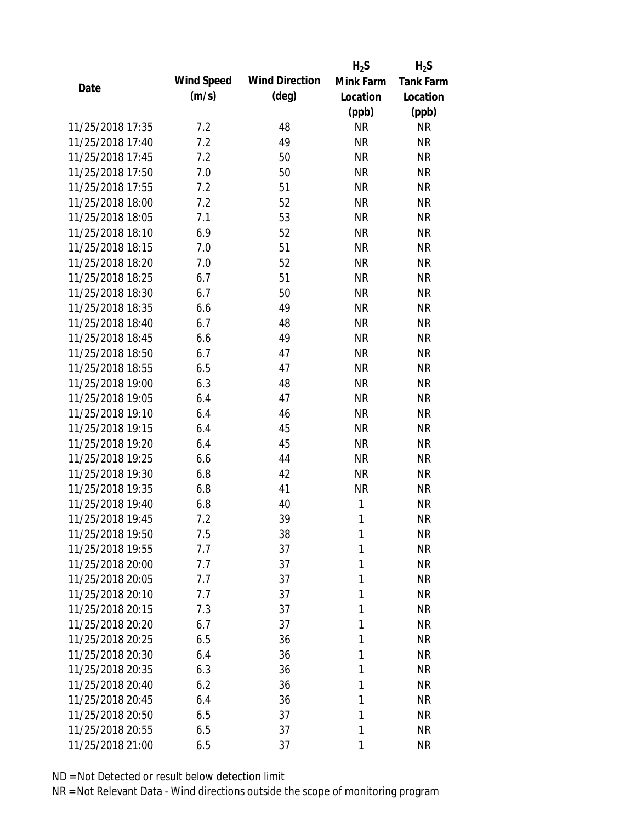|                  |            |                       | $H_2S$    | $H_2S$           |
|------------------|------------|-----------------------|-----------|------------------|
| Date             | Wind Speed | <b>Wind Direction</b> | Mink Farm | <b>Tank Farm</b> |
|                  | (m/s)      | $(\text{deg})$        | Location  | Location         |
|                  |            |                       | (ppb)     | (ppb)            |
| 11/25/2018 17:35 | 7.2        | 48                    | <b>NR</b> | <b>NR</b>        |
| 11/25/2018 17:40 | 7.2        | 49                    | <b>NR</b> | <b>NR</b>        |
| 11/25/2018 17:45 | 7.2        | 50                    | <b>NR</b> | <b>NR</b>        |
| 11/25/2018 17:50 | 7.0        | 50                    | <b>NR</b> | <b>NR</b>        |
| 11/25/2018 17:55 | 7.2        | 51                    | <b>NR</b> | <b>NR</b>        |
| 11/25/2018 18:00 | 7.2        | 52                    | <b>NR</b> | <b>NR</b>        |
| 11/25/2018 18:05 | 7.1        | 53                    | <b>NR</b> | <b>NR</b>        |
| 11/25/2018 18:10 | 6.9        | 52                    | <b>NR</b> | <b>NR</b>        |
| 11/25/2018 18:15 | 7.0        | 51                    | <b>NR</b> | <b>NR</b>        |
| 11/25/2018 18:20 | 7.0        | 52                    | <b>NR</b> | <b>NR</b>        |
| 11/25/2018 18:25 | 6.7        | 51                    | <b>NR</b> | <b>NR</b>        |
| 11/25/2018 18:30 | 6.7        | 50                    | <b>NR</b> | <b>NR</b>        |
| 11/25/2018 18:35 | 6.6        | 49                    | <b>NR</b> | <b>NR</b>        |
| 11/25/2018 18:40 | 6.7        | 48                    | <b>NR</b> | <b>NR</b>        |
| 11/25/2018 18:45 | 6.6        | 49                    | <b>NR</b> | <b>NR</b>        |
| 11/25/2018 18:50 | 6.7        | 47                    | <b>NR</b> | <b>NR</b>        |
| 11/25/2018 18:55 | 6.5        | 47                    | <b>NR</b> | <b>NR</b>        |
| 11/25/2018 19:00 | 6.3        | 48                    | <b>NR</b> | <b>NR</b>        |
| 11/25/2018 19:05 | 6.4        | 47                    | <b>NR</b> | <b>NR</b>        |
| 11/25/2018 19:10 | 6.4        | 46                    | <b>NR</b> | <b>NR</b>        |
| 11/25/2018 19:15 | 6.4        | 45                    | <b>NR</b> | <b>NR</b>        |
| 11/25/2018 19:20 | 6.4        | 45                    | <b>NR</b> | <b>NR</b>        |
| 11/25/2018 19:25 | 6.6        | 44                    | <b>NR</b> | <b>NR</b>        |
| 11/25/2018 19:30 | 6.8        | 42                    | <b>NR</b> | <b>NR</b>        |
| 11/25/2018 19:35 | 6.8        | 41                    | <b>NR</b> | <b>NR</b>        |
| 11/25/2018 19:40 | 6.8        | 40                    | 1         | <b>NR</b>        |
| 11/25/2018 19:45 | 7.2        | 39                    | 1         | <b>NR</b>        |
| 11/25/2018 19:50 | 7.5        | 38                    | 1         | <b>NR</b>        |
| 11/25/2018 19:55 | 7.7        | 37                    | 1         | <b>NR</b>        |
| 11/25/2018 20:00 | 7.7        | 37                    | 1         | <b>NR</b>        |
| 11/25/2018 20:05 | 7.7        | 37                    | 1         | <b>NR</b>        |
| 11/25/2018 20:10 | 7.7        | 37                    | 1         | <b>NR</b>        |
| 11/25/2018 20:15 | 7.3        | 37                    | 1         | <b>NR</b>        |
| 11/25/2018 20:20 | 6.7        | 37                    | 1         | <b>NR</b>        |
| 11/25/2018 20:25 | 6.5        | 36                    | 1         | <b>NR</b>        |
| 11/25/2018 20:30 | 6.4        | 36                    | 1         | <b>NR</b>        |
| 11/25/2018 20:35 | 6.3        | 36                    | 1         | <b>NR</b>        |
| 11/25/2018 20:40 | 6.2        | 36                    | 1         | <b>NR</b>        |
| 11/25/2018 20:45 | 6.4        | 36                    | 1         | <b>NR</b>        |
| 11/25/2018 20:50 | 6.5        | 37                    | 1         | <b>NR</b>        |
| 11/25/2018 20:55 | 6.5        | 37                    | 1         | <b>NR</b>        |
| 11/25/2018 21:00 | 6.5        | 37                    | 1         | <b>NR</b>        |
|                  |            |                       |           |                  |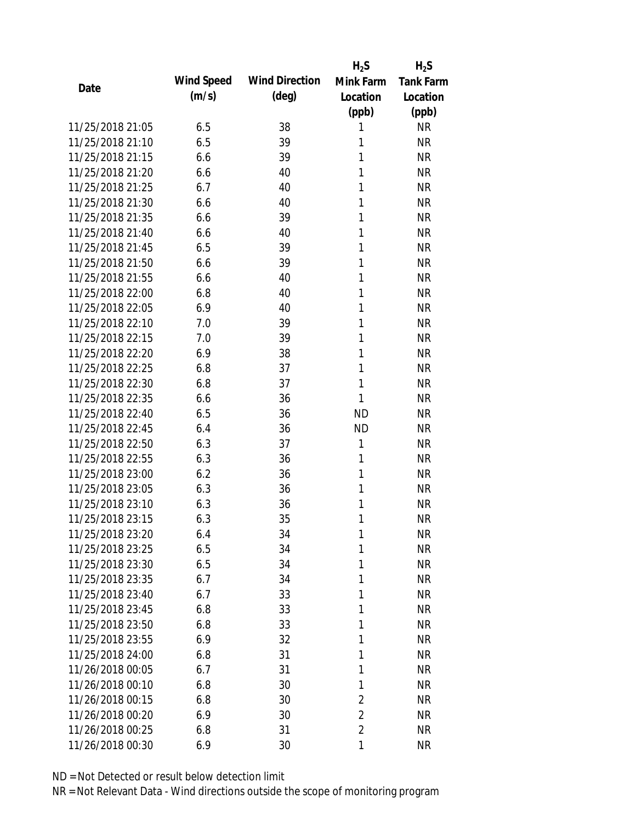|                  |            |                       | $H_2S$         | $H_2S$           |
|------------------|------------|-----------------------|----------------|------------------|
|                  | Wind Speed | <b>Wind Direction</b> | Mink Farm      | <b>Tank Farm</b> |
| Date             | (m/s)      | $(\text{deg})$        | Location       | Location         |
|                  |            |                       | (ppb)          | (ppb)            |
| 11/25/2018 21:05 | 6.5        | 38                    | 1              | <b>NR</b>        |
| 11/25/2018 21:10 | 6.5        | 39                    | 1              | <b>NR</b>        |
| 11/25/2018 21:15 | 6.6        | 39                    | 1              | <b>NR</b>        |
| 11/25/2018 21:20 | 6.6        | 40                    | 1              | <b>NR</b>        |
| 11/25/2018 21:25 | 6.7        | 40                    | 1              | <b>NR</b>        |
| 11/25/2018 21:30 | 6.6        | 40                    | 1              | <b>NR</b>        |
| 11/25/2018 21:35 | 6.6        | 39                    | 1              | <b>NR</b>        |
| 11/25/2018 21:40 | 6.6        | 40                    | 1              | <b>NR</b>        |
| 11/25/2018 21:45 | 6.5        | 39                    | 1              | <b>NR</b>        |
| 11/25/2018 21:50 | 6.6        | 39                    | 1              | <b>NR</b>        |
| 11/25/2018 21:55 | 6.6        | 40                    | 1              | <b>NR</b>        |
| 11/25/2018 22:00 | 6.8        | 40                    | 1              | <b>NR</b>        |
| 11/25/2018 22:05 | 6.9        | 40                    | 1              | <b>NR</b>        |
| 11/25/2018 22:10 | 7.0        | 39                    | 1              | <b>NR</b>        |
| 11/25/2018 22:15 | 7.0        | 39                    | 1              | <b>NR</b>        |
| 11/25/2018 22:20 | 6.9        | 38                    | 1              | <b>NR</b>        |
| 11/25/2018 22:25 | 6.8        | 37                    | 1              | <b>NR</b>        |
| 11/25/2018 22:30 | 6.8        | 37                    | 1              | <b>NR</b>        |
| 11/25/2018 22:35 | 6.6        | 36                    | 1              | <b>NR</b>        |
| 11/25/2018 22:40 | 6.5        | 36                    | <b>ND</b>      | <b>NR</b>        |
| 11/25/2018 22:45 | 6.4        | 36                    | <b>ND</b>      | <b>NR</b>        |
| 11/25/2018 22:50 | 6.3        | 37                    | 1              | <b>NR</b>        |
| 11/25/2018 22:55 | 6.3        | 36                    | 1              | <b>NR</b>        |
| 11/25/2018 23:00 | 6.2        | 36                    | 1              | <b>NR</b>        |
| 11/25/2018 23:05 | 6.3        | 36                    | 1              | <b>NR</b>        |
| 11/25/2018 23:10 | 6.3        | 36                    | 1              | <b>NR</b>        |
| 11/25/2018 23:15 | 6.3        | 35                    | 1              | <b>NR</b>        |
| 11/25/2018 23:20 | 6.4        | 34                    | 1              | <b>NR</b>        |
| 11/25/2018 23:25 | 6.5        | 34                    | 1              | <b>NR</b>        |
| 11/25/2018 23:30 | 6.5        | 34                    | 1              | <b>NR</b>        |
| 11/25/2018 23:35 | 6.7        | 34                    | 1              | <b>NR</b>        |
| 11/25/2018 23:40 | 6.7        | 33                    | 1              | <b>NR</b>        |
| 11/25/2018 23:45 | 6.8        | 33                    | 1              | <b>NR</b>        |
| 11/25/2018 23:50 | 6.8        | 33                    | 1              | <b>NR</b>        |
| 11/25/2018 23:55 | 6.9        | 32                    | 1              | <b>NR</b>        |
| 11/25/2018 24:00 | 6.8        | 31                    | 1              | <b>NR</b>        |
| 11/26/2018 00:05 | 6.7        | 31                    | 1              | <b>NR</b>        |
| 11/26/2018 00:10 | 6.8        | 30                    | 1              | <b>NR</b>        |
| 11/26/2018 00:15 | 6.8        | 30                    | $\overline{2}$ | <b>NR</b>        |
| 11/26/2018 00:20 | 6.9        | 30                    | $\overline{2}$ | <b>NR</b>        |
| 11/26/2018 00:25 | 6.8        | 31                    | $\overline{2}$ | <b>NR</b>        |
| 11/26/2018 00:30 | 6.9        | 30                    | 1              | <b>NR</b>        |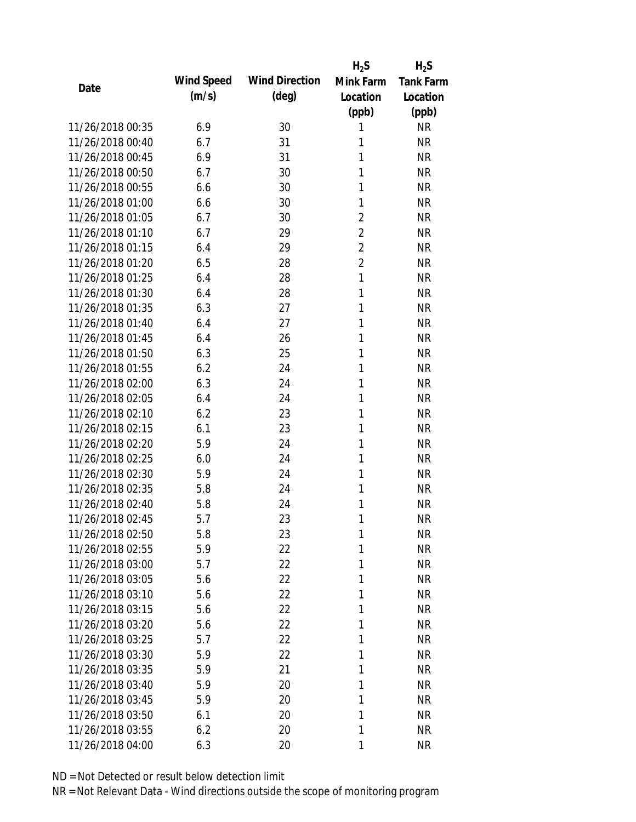|                  |            |                       | $H_2S$         | $H_2S$           |
|------------------|------------|-----------------------|----------------|------------------|
| Date             | Wind Speed | <b>Wind Direction</b> | Mink Farm      | <b>Tank Farm</b> |
|                  | (m/s)      | (deg)                 | Location       | Location         |
|                  |            |                       | (ppb)          | (ppb)            |
| 11/26/2018 00:35 | 6.9        | 30                    | 1              | <b>NR</b>        |
| 11/26/2018 00:40 | 6.7        | 31                    | 1              | <b>NR</b>        |
| 11/26/2018 00:45 | 6.9        | 31                    | 1              | <b>NR</b>        |
| 11/26/2018 00:50 | 6.7        | 30                    | 1              | <b>NR</b>        |
| 11/26/2018 00:55 | 6.6        | 30                    | 1              | <b>NR</b>        |
| 11/26/2018 01:00 | 6.6        | 30                    | 1              | <b>NR</b>        |
| 11/26/2018 01:05 | 6.7        | 30                    | $\overline{2}$ | <b>NR</b>        |
| 11/26/2018 01:10 | 6.7        | 29                    | $\overline{2}$ | <b>NR</b>        |
| 11/26/2018 01:15 | 6.4        | 29                    | $\overline{2}$ | <b>NR</b>        |
| 11/26/2018 01:20 | 6.5        | 28                    | $\overline{2}$ | <b>NR</b>        |
| 11/26/2018 01:25 | 6.4        | 28                    | 1              | <b>NR</b>        |
| 11/26/2018 01:30 | 6.4        | 28                    | 1              | <b>NR</b>        |
| 11/26/2018 01:35 | 6.3        | 27                    | 1              | <b>NR</b>        |
| 11/26/2018 01:40 | 6.4        | 27                    | 1              | <b>NR</b>        |
| 11/26/2018 01:45 | 6.4        | 26                    | 1              | <b>NR</b>        |
| 11/26/2018 01:50 | 6.3        | 25                    | 1              | <b>NR</b>        |
| 11/26/2018 01:55 | 6.2        | 24                    | 1              | <b>NR</b>        |
| 11/26/2018 02:00 | 6.3        | 24                    | 1              | <b>NR</b>        |
| 11/26/2018 02:05 | 6.4        | 24                    | 1              | <b>NR</b>        |
| 11/26/2018 02:10 | 6.2        | 23                    | 1              | <b>NR</b>        |
| 11/26/2018 02:15 | 6.1        | 23                    | 1              | <b>NR</b>        |
| 11/26/2018 02:20 | 5.9        | 24                    | 1              | <b>NR</b>        |
| 11/26/2018 02:25 | 6.0        | 24                    | 1              | <b>NR</b>        |
| 11/26/2018 02:30 | 5.9        | 24                    | 1              | <b>NR</b>        |
| 11/26/2018 02:35 | 5.8        | 24                    | 1              | <b>NR</b>        |
| 11/26/2018 02:40 | 5.8        | 24                    | 1              | <b>NR</b>        |
| 11/26/2018 02:45 | 5.7        | 23                    | 1              | <b>NR</b>        |
| 11/26/2018 02:50 | 5.8        | 23                    | 1              | <b>NR</b>        |
| 11/26/2018 02:55 | 5.9        | 22                    | 1              | <b>NR</b>        |
| 11/26/2018 03:00 | 5.7        | 22                    | 1              | <b>NR</b>        |
| 11/26/2018 03:05 | 5.6        | 22                    | 1              | <b>NR</b>        |
| 11/26/2018 03:10 | 5.6        | 22                    | 1              | <b>NR</b>        |
| 11/26/2018 03:15 | 5.6        | 22                    | 1              | <b>NR</b>        |
| 11/26/2018 03:20 | 5.6        | 22                    | 1              | <b>NR</b>        |
| 11/26/2018 03:25 | 5.7        | 22                    | 1              | <b>NR</b>        |
| 11/26/2018 03:30 | 5.9        | 22                    | 1              | <b>NR</b>        |
| 11/26/2018 03:35 | 5.9        | 21                    | 1              | <b>NR</b>        |
| 11/26/2018 03:40 | 5.9        | 20                    | 1              | <b>NR</b>        |
| 11/26/2018 03:45 | 5.9        | 20                    | 1              | <b>NR</b>        |
| 11/26/2018 03:50 | 6.1        | 20                    | 1              | <b>NR</b>        |
| 11/26/2018 03:55 | 6.2        | 20                    | 1              | <b>NR</b>        |
| 11/26/2018 04:00 | 6.3        | 20                    | 1              | <b>NR</b>        |
|                  |            |                       |                |                  |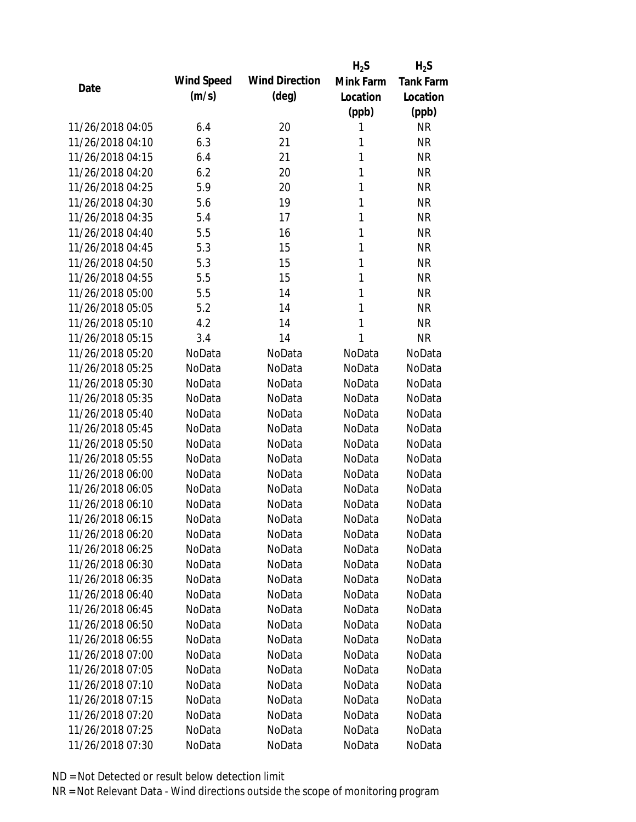|                  |            |                       | $H_2S$       | $H_2S$           |
|------------------|------------|-----------------------|--------------|------------------|
| Date             | Wind Speed | <b>Wind Direction</b> | Mink Farm    | <b>Tank Farm</b> |
|                  | (m/s)      | $(\text{deg})$        | Location     | Location         |
|                  |            |                       | (ppb)        | (ppb)            |
| 11/26/2018 04:05 | 6.4        | 20                    | 1            | NR               |
| 11/26/2018 04:10 | 6.3        | 21                    | 1            | <b>NR</b>        |
| 11/26/2018 04:15 | 6.4        | 21                    | $\mathbf{1}$ | <b>NR</b>        |
| 11/26/2018 04:20 | 6.2        | 20                    | 1            | <b>NR</b>        |
| 11/26/2018 04:25 | 5.9        | 20                    | 1            | <b>NR</b>        |
| 11/26/2018 04:30 | 5.6        | 19                    | 1            | <b>NR</b>        |
| 11/26/2018 04:35 | 5.4        | 17                    | 1            | <b>NR</b>        |
| 11/26/2018 04:40 | 5.5        | 16                    | 1            | <b>NR</b>        |
| 11/26/2018 04:45 | 5.3        | 15                    | $\mathbf{1}$ | <b>NR</b>        |
| 11/26/2018 04:50 | 5.3        | 15                    | $\mathbf{1}$ | <b>NR</b>        |
| 11/26/2018 04:55 | 5.5        | 15                    | 1            | <b>NR</b>        |
| 11/26/2018 05:00 | 5.5        | 14                    | 1            | <b>NR</b>        |
| 11/26/2018 05:05 | 5.2        | 14                    | 1            | <b>NR</b>        |
| 11/26/2018 05:10 | 4.2        | 14                    | 1            | <b>NR</b>        |
| 11/26/2018 05:15 | 3.4        | 14                    | 1            | <b>NR</b>        |
| 11/26/2018 05:20 | NoData     | NoData                | NoData       | NoData           |
| 11/26/2018 05:25 | NoData     | NoData                | NoData       | NoData           |
| 11/26/2018 05:30 | NoData     | NoData                | NoData       | NoData           |
| 11/26/2018 05:35 | NoData     | NoData                | NoData       | NoData           |
| 11/26/2018 05:40 | NoData     | NoData                | NoData       | NoData           |
| 11/26/2018 05:45 | NoData     | NoData                | NoData       | NoData           |
| 11/26/2018 05:50 | NoData     | NoData                | NoData       | NoData           |
| 11/26/2018 05:55 | NoData     | NoData                | NoData       | NoData           |
| 11/26/2018 06:00 | NoData     | NoData                | NoData       | NoData           |
| 11/26/2018 06:05 | NoData     | NoData                | NoData       | NoData           |
| 11/26/2018 06:10 | NoData     | NoData                | NoData       | NoData           |
| 11/26/2018 06:15 | NoData     | NoData                | NoData       | NoData           |
| 11/26/2018 06:20 | NoData     | NoData                | NoData       | NoData           |
| 11/26/2018 06:25 | NoData     | NoData                | NoData       | NoData           |
| 11/26/2018 06:30 | NoData     | NoData                | NoData       | NoData           |
| 11/26/2018 06:35 | NoData     | NoData                | NoData       | NoData           |
| 11/26/2018 06:40 | NoData     | NoData                | NoData       | NoData           |
| 11/26/2018 06:45 | NoData     | NoData                | NoData       | NoData           |
| 11/26/2018 06:50 | NoData     | NoData                | NoData       | NoData           |
| 11/26/2018 06:55 | NoData     | NoData                | NoData       | NoData           |
| 11/26/2018 07:00 | NoData     | NoData                | NoData       | NoData           |
| 11/26/2018 07:05 | NoData     | NoData                | NoData       | NoData           |
| 11/26/2018 07:10 | NoData     | NoData                | NoData       | NoData           |
| 11/26/2018 07:15 | NoData     | NoData                | NoData       | NoData           |
| 11/26/2018 07:20 | NoData     | NoData                | NoData       | NoData           |
| 11/26/2018 07:25 | NoData     | NoData                | NoData       | NoData           |
| 11/26/2018 07:30 | NoData     | NoData                | NoData       | NoData           |
|                  |            |                       |              |                  |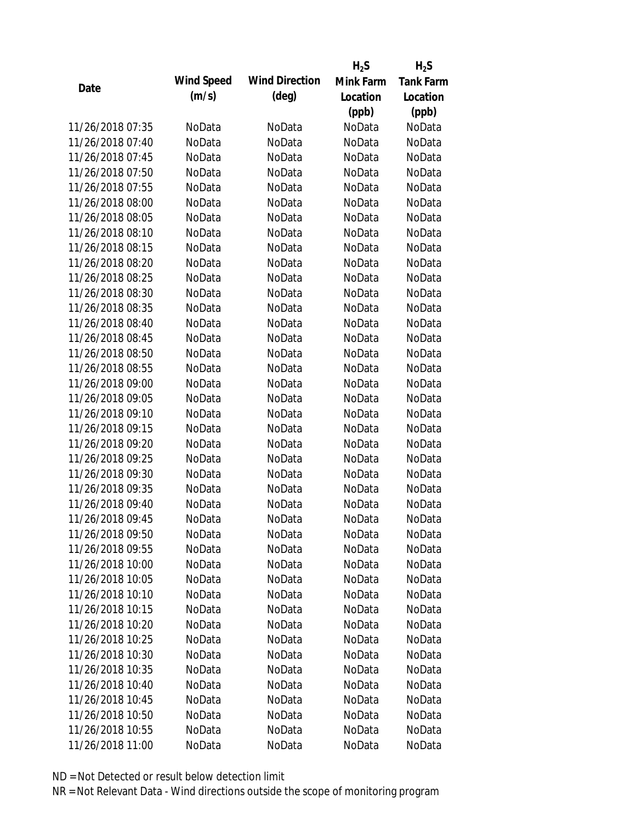|                  |            |                       | $H_2S$    | $H_2S$           |
|------------------|------------|-----------------------|-----------|------------------|
| Date             | Wind Speed | <b>Wind Direction</b> | Mink Farm | <b>Tank Farm</b> |
|                  | (m/s)      | (deg)                 | Location  | Location         |
|                  |            |                       | (ppb)     | (ppb)            |
| 11/26/2018 07:35 | NoData     | NoData                | NoData    | NoData           |
| 11/26/2018 07:40 | NoData     | NoData                | NoData    | NoData           |
| 11/26/2018 07:45 | NoData     | NoData                | NoData    | NoData           |
| 11/26/2018 07:50 | NoData     | NoData                | NoData    | NoData           |
| 11/26/2018 07:55 | NoData     | NoData                | NoData    | NoData           |
| 11/26/2018 08:00 | NoData     | NoData                | NoData    | NoData           |
| 11/26/2018 08:05 | NoData     | NoData                | NoData    | NoData           |
| 11/26/2018 08:10 | NoData     | NoData                | NoData    | NoData           |
| 11/26/2018 08:15 | NoData     | NoData                | NoData    | NoData           |
| 11/26/2018 08:20 | NoData     | NoData                | NoData    | NoData           |
| 11/26/2018 08:25 | NoData     | NoData                | NoData    | NoData           |
| 11/26/2018 08:30 | NoData     | NoData                | NoData    | NoData           |
| 11/26/2018 08:35 | NoData     | NoData                | NoData    | NoData           |
| 11/26/2018 08:40 | NoData     | NoData                | NoData    | NoData           |
| 11/26/2018 08:45 | NoData     | NoData                | NoData    | NoData           |
| 11/26/2018 08:50 | NoData     | NoData                | NoData    | NoData           |
| 11/26/2018 08:55 | NoData     | NoData                | NoData    | NoData           |
| 11/26/2018 09:00 | NoData     | NoData                | NoData    | NoData           |
| 11/26/2018 09:05 | NoData     | NoData                | NoData    | NoData           |
| 11/26/2018 09:10 | NoData     | NoData                | NoData    | NoData           |
| 11/26/2018 09:15 | NoData     | NoData                | NoData    | NoData           |
| 11/26/2018 09:20 | NoData     | NoData                | NoData    | NoData           |
| 11/26/2018 09:25 | NoData     | NoData                | NoData    | NoData           |
| 11/26/2018 09:30 | NoData     | NoData                | NoData    | NoData           |
| 11/26/2018 09:35 | NoData     | NoData                | NoData    | NoData           |
| 11/26/2018 09:40 | NoData     | NoData                | NoData    | NoData           |
| 11/26/2018 09:45 | NoData     | NoData                | NoData    | NoData           |
| 11/26/2018 09:50 | NoData     | NoData                | NoData    | NoData           |
| 11/26/2018 09:55 | NoData     | NoData                | NoData    | NoData           |
| 11/26/2018 10:00 | NoData     | NoData                | NoData    | NoData           |
| 11/26/2018 10:05 | NoData     | NoData                | NoData    | NoData           |
| 11/26/2018 10:10 | NoData     | NoData                | NoData    | NoData           |
| 11/26/2018 10:15 | NoData     | NoData                | NoData    | NoData           |
| 11/26/2018 10:20 | NoData     | NoData                | NoData    | NoData           |
| 11/26/2018 10:25 | NoData     | NoData                | NoData    | NoData           |
| 11/26/2018 10:30 | NoData     | NoData                | NoData    | NoData           |
| 11/26/2018 10:35 | NoData     | NoData                | NoData    | NoData           |
| 11/26/2018 10:40 | NoData     | NoData                | NoData    | NoData           |
| 11/26/2018 10:45 | NoData     | NoData                | NoData    | NoData           |
| 11/26/2018 10:50 | NoData     | NoData                | NoData    | NoData           |
| 11/26/2018 10:55 | NoData     | NoData                | NoData    | NoData           |
| 11/26/2018 11:00 | NoData     | NoData                | NoData    | NoData           |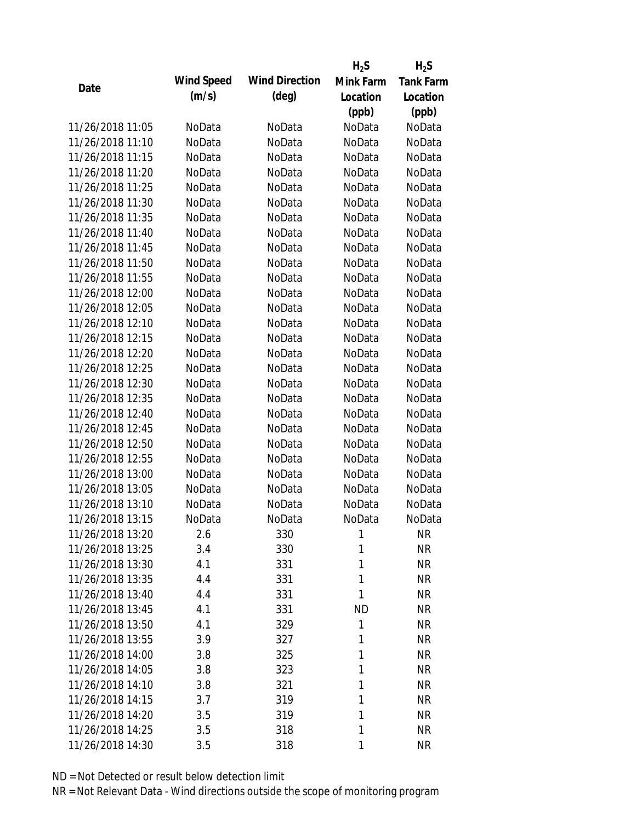|                  |            |                       | $H_2S$    | $H_2S$           |
|------------------|------------|-----------------------|-----------|------------------|
| Date             | Wind Speed | <b>Wind Direction</b> | Mink Farm | <b>Tank Farm</b> |
|                  | (m/s)      | (deg)                 | Location  | Location         |
|                  |            |                       | (ppb)     | (ppb)            |
| 11/26/2018 11:05 | NoData     | NoData                | NoData    | NoData           |
| 11/26/2018 11:10 | NoData     | NoData                | NoData    | NoData           |
| 11/26/2018 11:15 | NoData     | NoData                | NoData    | NoData           |
| 11/26/2018 11:20 | NoData     | NoData                | NoData    | NoData           |
| 11/26/2018 11:25 | NoData     | NoData                | NoData    | NoData           |
| 11/26/2018 11:30 | NoData     | NoData                | NoData    | NoData           |
| 11/26/2018 11:35 | NoData     | NoData                | NoData    | NoData           |
| 11/26/2018 11:40 | NoData     | NoData                | NoData    | NoData           |
| 11/26/2018 11:45 | NoData     | NoData                | NoData    | NoData           |
| 11/26/2018 11:50 | NoData     | NoData                | NoData    | NoData           |
| 11/26/2018 11:55 | NoData     | NoData                | NoData    | NoData           |
| 11/26/2018 12:00 | NoData     | NoData                | NoData    | NoData           |
| 11/26/2018 12:05 | NoData     | NoData                | NoData    | NoData           |
| 11/26/2018 12:10 | NoData     | NoData                | NoData    | NoData           |
| 11/26/2018 12:15 | NoData     | NoData                | NoData    | NoData           |
| 11/26/2018 12:20 | NoData     | NoData                | NoData    | NoData           |
| 11/26/2018 12:25 | NoData     | NoData                | NoData    | NoData           |
| 11/26/2018 12:30 | NoData     | NoData                | NoData    | NoData           |
| 11/26/2018 12:35 | NoData     | NoData                | NoData    | NoData           |
| 11/26/2018 12:40 | NoData     | NoData                | NoData    | NoData           |
| 11/26/2018 12:45 | NoData     | NoData                | NoData    | NoData           |
| 11/26/2018 12:50 | NoData     | NoData                | NoData    | NoData           |
| 11/26/2018 12:55 | NoData     | NoData                | NoData    | NoData           |
| 11/26/2018 13:00 | NoData     | NoData                | NoData    | NoData           |
| 11/26/2018 13:05 | NoData     | NoData                | NoData    | NoData           |
| 11/26/2018 13:10 | NoData     | NoData                | NoData    | NoData           |
| 11/26/2018 13:15 | NoData     | NoData                | NoData    | NoData           |
| 11/26/2018 13:20 | 2.6        | 330                   | 1         | <b>NR</b>        |
| 11/26/2018 13:25 | 3.4        | 330                   | 1         | <b>NR</b>        |
| 11/26/2018 13:30 | 4.1        | 331                   | 1         | <b>NR</b>        |
| 11/26/2018 13:35 | 4.4        | 331                   | 1         | <b>NR</b>        |
| 11/26/2018 13:40 | 4.4        | 331                   | 1         | <b>NR</b>        |
| 11/26/2018 13:45 | 4.1        | 331                   | <b>ND</b> | <b>NR</b>        |
| 11/26/2018 13:50 | 4.1        | 329                   | 1         | <b>NR</b>        |
| 11/26/2018 13:55 | 3.9        | 327                   | 1         | <b>NR</b>        |
| 11/26/2018 14:00 | 3.8        | 325                   | 1         | <b>NR</b>        |
| 11/26/2018 14:05 | 3.8        | 323                   | 1         | <b>NR</b>        |
| 11/26/2018 14:10 | 3.8        | 321                   | 1         | <b>NR</b>        |
| 11/26/2018 14:15 | 3.7        | 319                   | 1         | <b>NR</b>        |
| 11/26/2018 14:20 | 3.5        | 319                   | 1         | <b>NR</b>        |
| 11/26/2018 14:25 | 3.5        | 318                   | 1         | <b>NR</b>        |
| 11/26/2018 14:30 | 3.5        | 318                   | 1         | <b>NR</b>        |
|                  |            |                       |           |                  |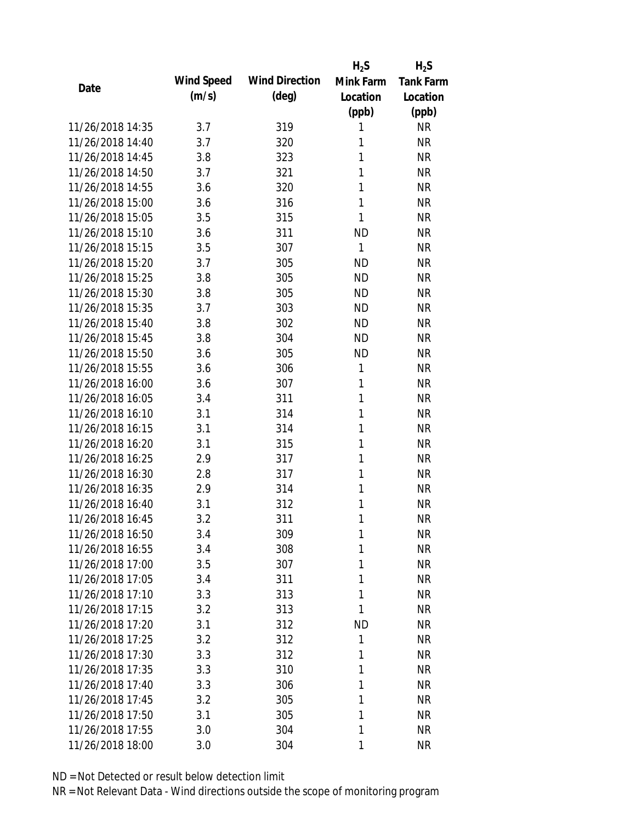|                  |            |                       | $H_2S$       | $H_2S$           |
|------------------|------------|-----------------------|--------------|------------------|
| Date             | Wind Speed | <b>Wind Direction</b> | Mink Farm    | <b>Tank Farm</b> |
|                  | (m/s)      | $(\text{deg})$        | Location     | Location         |
|                  |            |                       | (ppb)        | (ppb)            |
| 11/26/2018 14:35 | 3.7        | 319                   | 1            | <b>NR</b>        |
| 11/26/2018 14:40 | 3.7        | 320                   | 1            | <b>NR</b>        |
| 11/26/2018 14:45 | 3.8        | 323                   | 1            | <b>NR</b>        |
| 11/26/2018 14:50 | 3.7        | 321                   | 1            | <b>NR</b>        |
| 11/26/2018 14:55 | 3.6        | 320                   | 1            | <b>NR</b>        |
| 11/26/2018 15:00 | 3.6        | 316                   | 1            | <b>NR</b>        |
| 11/26/2018 15:05 | 3.5        | 315                   | 1            | <b>NR</b>        |
| 11/26/2018 15:10 | 3.6        | 311                   | <b>ND</b>    | <b>NR</b>        |
| 11/26/2018 15:15 | 3.5        | 307                   | 1            | <b>NR</b>        |
| 11/26/2018 15:20 | 3.7        | 305                   | <b>ND</b>    | <b>NR</b>        |
| 11/26/2018 15:25 | 3.8        | 305                   | <b>ND</b>    | <b>NR</b>        |
| 11/26/2018 15:30 | 3.8        | 305                   | <b>ND</b>    | <b>NR</b>        |
| 11/26/2018 15:35 | 3.7        | 303                   | <b>ND</b>    | <b>NR</b>        |
| 11/26/2018 15:40 | 3.8        | 302                   | <b>ND</b>    | <b>NR</b>        |
| 11/26/2018 15:45 | 3.8        | 304                   | <b>ND</b>    | <b>NR</b>        |
| 11/26/2018 15:50 | 3.6        | 305                   | <b>ND</b>    | <b>NR</b>        |
| 11/26/2018 15:55 | 3.6        | 306                   | 1            | <b>NR</b>        |
| 11/26/2018 16:00 | 3.6        | 307                   | 1            | <b>NR</b>        |
| 11/26/2018 16:05 | 3.4        | 311                   | $\mathbf{1}$ | <b>NR</b>        |
| 11/26/2018 16:10 | 3.1        | 314                   | 1            | <b>NR</b>        |
| 11/26/2018 16:15 | 3.1        | 314                   | 1            | <b>NR</b>        |
| 11/26/2018 16:20 | 3.1        | 315                   | 1            | <b>NR</b>        |
| 11/26/2018 16:25 | 2.9        | 317                   | 1            | <b>NR</b>        |
| 11/26/2018 16:30 | 2.8        | 317                   | 1            | <b>NR</b>        |
| 11/26/2018 16:35 | 2.9        | 314                   | 1            | <b>NR</b>        |
| 11/26/2018 16:40 | 3.1        | 312                   | 1            | <b>NR</b>        |
| 11/26/2018 16:45 | 3.2        | 311                   | 1            | <b>NR</b>        |
| 11/26/2018 16:50 | 3.4        | 309                   | 1            | <b>NR</b>        |
| 11/26/2018 16:55 | 3.4        | 308                   | 1            | <b>NR</b>        |
| 11/26/2018 17:00 | 3.5        | 307                   | 1            | <b>NR</b>        |
| 11/26/2018 17:05 | 3.4        | 311                   | 1            | <b>NR</b>        |
| 11/26/2018 17:10 | 3.3        | 313                   | 1            | <b>NR</b>        |
| 11/26/2018 17:15 | 3.2        | 313                   | 1            | <b>NR</b>        |
| 11/26/2018 17:20 | 3.1        | 312                   | <b>ND</b>    | <b>NR</b>        |
| 11/26/2018 17:25 | 3.2        | 312                   | 1            | <b>NR</b>        |
| 11/26/2018 17:30 | 3.3        | 312                   | 1            | <b>NR</b>        |
| 11/26/2018 17:35 | 3.3        | 310                   | 1            | <b>NR</b>        |
| 11/26/2018 17:40 | 3.3        | 306                   | 1            | <b>NR</b>        |
| 11/26/2018 17:45 | 3.2        | 305                   | 1            | <b>NR</b>        |
| 11/26/2018 17:50 | 3.1        | 305                   | 1            | <b>NR</b>        |
| 11/26/2018 17:55 | 3.0        | 304                   | 1            | <b>NR</b>        |
| 11/26/2018 18:00 | 3.0        | 304                   | 1            | <b>NR</b>        |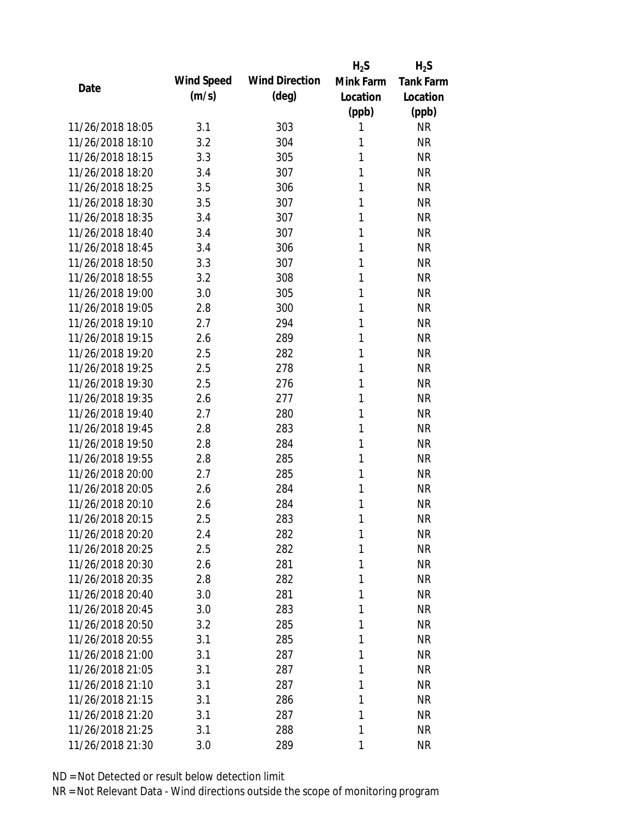|                  |            |                       | $H_2S$    | $H_2S$           |
|------------------|------------|-----------------------|-----------|------------------|
| Date             | Wind Speed | <b>Wind Direction</b> | Mink Farm | <b>Tank Farm</b> |
|                  | (m/s)      | $(\text{deg})$        | Location  | Location         |
|                  |            |                       | (ppb)     | (ppb)            |
| 11/26/2018 18:05 | 3.1        | 303                   | 1         | <b>NR</b>        |
| 11/26/2018 18:10 | 3.2        | 304                   | 1         | <b>NR</b>        |
| 11/26/2018 18:15 | 3.3        | 305                   | 1         | <b>NR</b>        |
| 11/26/2018 18:20 | 3.4        | 307                   | 1         | <b>NR</b>        |
| 11/26/2018 18:25 | 3.5        | 306                   | 1         | <b>NR</b>        |
| 11/26/2018 18:30 | 3.5        | 307                   | 1         | <b>NR</b>        |
| 11/26/2018 18:35 | 3.4        | 307                   | 1         | <b>NR</b>        |
| 11/26/2018 18:40 | 3.4        | 307                   | 1         | <b>NR</b>        |
| 11/26/2018 18:45 | 3.4        | 306                   | 1         | <b>NR</b>        |
| 11/26/2018 18:50 | 3.3        | 307                   | 1         | <b>NR</b>        |
| 11/26/2018 18:55 | 3.2        | 308                   | 1         | <b>NR</b>        |
| 11/26/2018 19:00 | 3.0        | 305                   | 1         | <b>NR</b>        |
| 11/26/2018 19:05 | 2.8        | 300                   | 1         | <b>NR</b>        |
| 11/26/2018 19:10 | 2.7        | 294                   | 1         | <b>NR</b>        |
| 11/26/2018 19:15 | 2.6        | 289                   | 1         | <b>NR</b>        |
| 11/26/2018 19:20 | 2.5        | 282                   | 1         | <b>NR</b>        |
| 11/26/2018 19:25 | 2.5        | 278                   | 1         | <b>NR</b>        |
| 11/26/2018 19:30 | 2.5        | 276                   | 1         | <b>NR</b>        |
| 11/26/2018 19:35 | 2.6        | 277                   | 1         | <b>NR</b>        |
| 11/26/2018 19:40 | 2.7        | 280                   | 1         | <b>NR</b>        |
| 11/26/2018 19:45 | 2.8        | 283                   | 1         | <b>NR</b>        |
| 11/26/2018 19:50 | 2.8        | 284                   | 1         | <b>NR</b>        |
| 11/26/2018 19:55 | 2.8        | 285                   | 1         | <b>NR</b>        |
| 11/26/2018 20:00 | 2.7        | 285                   | 1         | <b>NR</b>        |
| 11/26/2018 20:05 | 2.6        | 284                   | 1         | <b>NR</b>        |
| 11/26/2018 20:10 | 2.6        | 284                   | 1         | <b>NR</b>        |
| 11/26/2018 20:15 | 2.5        | 283                   | 1         | <b>NR</b>        |
| 11/26/2018 20:20 | 2.4        | 282                   | 1         | <b>NR</b>        |
| 11/26/2018 20:25 | 2.5        | 282                   | 1         | <b>NR</b>        |
| 11/26/2018 20:30 | 2.6        | 281                   | 1         | <b>NR</b>        |
| 11/26/2018 20:35 | 2.8        | 282                   | 1         | <b>NR</b>        |
| 11/26/2018 20:40 | 3.0        | 281                   | 1         | <b>NR</b>        |
| 11/26/2018 20:45 | 3.0        | 283                   | 1         | <b>NR</b>        |
| 11/26/2018 20:50 | 3.2        | 285                   | 1         | <b>NR</b>        |
| 11/26/2018 20:55 | 3.1        | 285                   | 1         | <b>NR</b>        |
| 11/26/2018 21:00 | 3.1        | 287                   | 1         | <b>NR</b>        |
| 11/26/2018 21:05 | 3.1        | 287                   | 1         | <b>NR</b>        |
| 11/26/2018 21:10 | 3.1        | 287                   | 1         | <b>NR</b>        |
| 11/26/2018 21:15 | 3.1        | 286                   | 1         | <b>NR</b>        |
| 11/26/2018 21:20 | 3.1        | 287                   | 1         | <b>NR</b>        |
| 11/26/2018 21:25 | 3.1        | 288                   | 1         | <b>NR</b>        |
| 11/26/2018 21:30 | 3.0        | 289                   | 1         | <b>NR</b>        |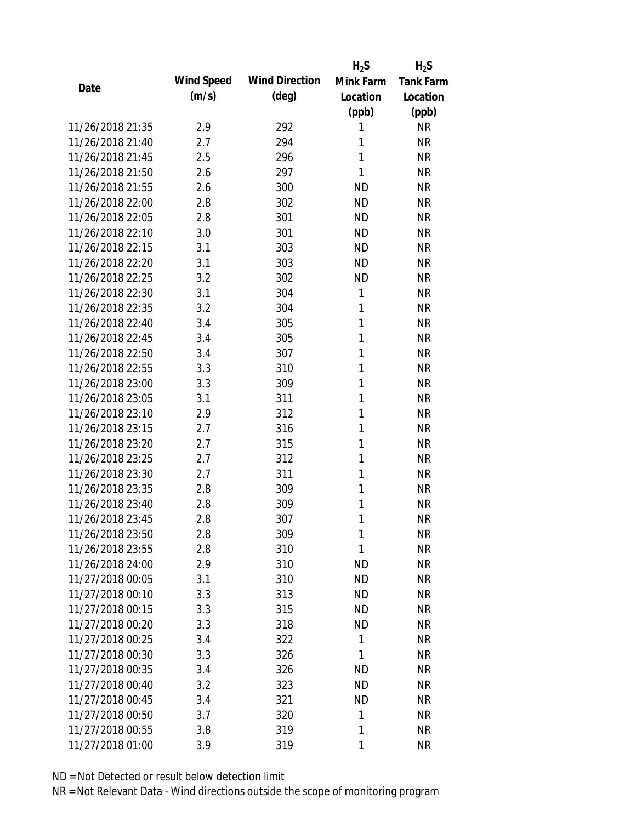|                  |            |                       | $H_2S$    | $H_2S$           |
|------------------|------------|-----------------------|-----------|------------------|
| Date             | Wind Speed | <b>Wind Direction</b> | Mink Farm | <b>Tank Farm</b> |
|                  | (m/s)      | $(\text{deg})$        | Location  | Location         |
|                  |            |                       | (ppb)     | (ppb)            |
| 11/26/2018 21:35 | 2.9        | 292                   | 1         | <b>NR</b>        |
| 11/26/2018 21:40 | 2.7        | 294                   | 1         | <b>NR</b>        |
| 11/26/2018 21:45 | 2.5        | 296                   | 1         | <b>NR</b>        |
| 11/26/2018 21:50 | 2.6        | 297                   | 1         | <b>NR</b>        |
| 11/26/2018 21:55 | 2.6        | 300                   | <b>ND</b> | <b>NR</b>        |
| 11/26/2018 22:00 | 2.8        | 302                   | <b>ND</b> | <b>NR</b>        |
| 11/26/2018 22:05 | 2.8        | 301                   | <b>ND</b> | <b>NR</b>        |
| 11/26/2018 22:10 | 3.0        | 301                   | <b>ND</b> | <b>NR</b>        |
| 11/26/2018 22:15 | 3.1        | 303                   | <b>ND</b> | <b>NR</b>        |
| 11/26/2018 22:20 | 3.1        | 303                   | <b>ND</b> | <b>NR</b>        |
| 11/26/2018 22:25 | 3.2        | 302                   | <b>ND</b> | <b>NR</b>        |
| 11/26/2018 22:30 | 3.1        | 304                   | 1         | <b>NR</b>        |
| 11/26/2018 22:35 | 3.2        | 304                   | 1         | <b>NR</b>        |
| 11/26/2018 22:40 | 3.4        | 305                   | 1         | <b>NR</b>        |
| 11/26/2018 22:45 | 3.4        | 305                   | 1         | <b>NR</b>        |
| 11/26/2018 22:50 | 3.4        | 307                   | 1         | <b>NR</b>        |
| 11/26/2018 22:55 | 3.3        | 310                   | 1         | <b>NR</b>        |
| 11/26/2018 23:00 | 3.3        | 309                   | 1         | <b>NR</b>        |
| 11/26/2018 23:05 | 3.1        | 311                   | 1         | <b>NR</b>        |
| 11/26/2018 23:10 | 2.9        | 312                   | 1         | <b>NR</b>        |
| 11/26/2018 23:15 | 2.7        | 316                   | 1         | <b>NR</b>        |
| 11/26/2018 23:20 | 2.7        | 315                   | 1         | <b>NR</b>        |
| 11/26/2018 23:25 | 2.7        | 312                   | 1         | <b>NR</b>        |
| 11/26/2018 23:30 | 2.7        | 311                   | 1         | <b>NR</b>        |
| 11/26/2018 23:35 | 2.8        | 309                   | 1         | <b>NR</b>        |
| 11/26/2018 23:40 | 2.8        | 309                   | 1         | <b>NR</b>        |
| 11/26/2018 23:45 | 2.8        | 307                   | 1         | <b>NR</b>        |
| 11/26/2018 23:50 | 2.8        | 309                   | 1         | <b>NR</b>        |
| 11/26/2018 23:55 | 2.8        | 310                   | 1         | <b>NR</b>        |
| 11/26/2018 24:00 | 2.9        | 310                   | <b>ND</b> | <b>NR</b>        |
| 11/27/2018 00:05 | 3.1        | 310                   | <b>ND</b> | <b>NR</b>        |
| 11/27/2018 00:10 | 3.3        | 313                   | <b>ND</b> | <b>NR</b>        |
| 11/27/2018 00:15 | 3.3        | 315                   | <b>ND</b> | <b>NR</b>        |
| 11/27/2018 00:20 | 3.3        | 318                   | <b>ND</b> | <b>NR</b>        |
| 11/27/2018 00:25 | 3.4        | 322                   | 1         | <b>NR</b>        |
| 11/27/2018 00:30 | 3.3        | 326                   | 1         | <b>NR</b>        |
| 11/27/2018 00:35 | 3.4        | 326                   | <b>ND</b> | <b>NR</b>        |
| 11/27/2018 00:40 | 3.2        | 323                   | <b>ND</b> | <b>NR</b>        |
| 11/27/2018 00:45 | 3.4        | 321                   | <b>ND</b> | <b>NR</b>        |
| 11/27/2018 00:50 | 3.7        | 320                   | 1         | <b>NR</b>        |
| 11/27/2018 00:55 | 3.8        | 319                   | 1         | <b>NR</b>        |
| 11/27/2018 01:00 | 3.9        | 319                   | 1         | <b>NR</b>        |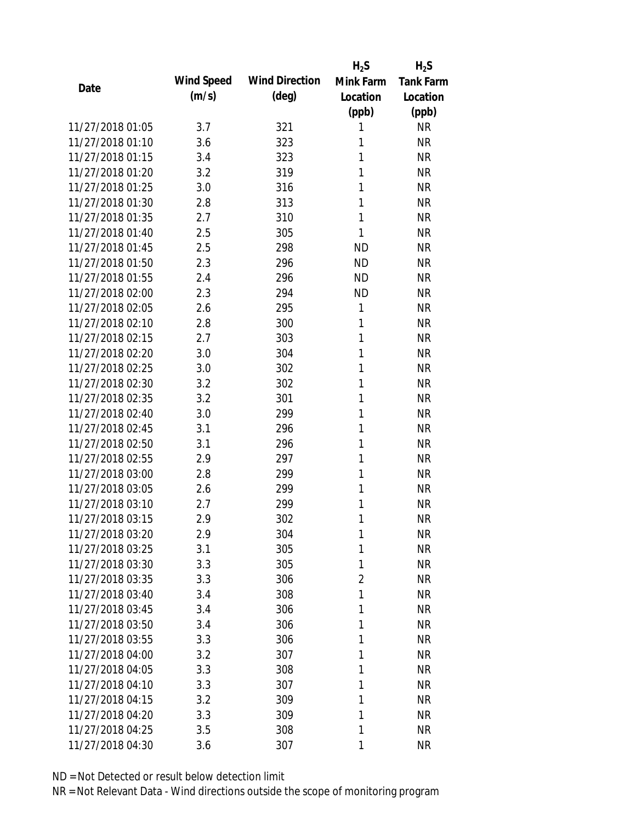|                  |            |                       | $H_2S$    | $H_2S$           |
|------------------|------------|-----------------------|-----------|------------------|
| Date             | Wind Speed | <b>Wind Direction</b> | Mink Farm | <b>Tank Farm</b> |
|                  | (m/s)      | $(\text{deg})$        | Location  | Location         |
|                  |            |                       | (ppb)     | (ppb)            |
| 11/27/2018 01:05 | 3.7        | 321                   | 1         | <b>NR</b>        |
| 11/27/2018 01:10 | 3.6        | 323                   | 1         | <b>NR</b>        |
| 11/27/2018 01:15 | 3.4        | 323                   | 1         | <b>NR</b>        |
| 11/27/2018 01:20 | 3.2        | 319                   | 1         | <b>NR</b>        |
| 11/27/2018 01:25 | 3.0        | 316                   | 1         | <b>NR</b>        |
| 11/27/2018 01:30 | 2.8        | 313                   | 1         | <b>NR</b>        |
| 11/27/2018 01:35 | 2.7        | 310                   | 1         | <b>NR</b>        |
| 11/27/2018 01:40 | 2.5        | 305                   | 1         | <b>NR</b>        |
| 11/27/2018 01:45 | 2.5        | 298                   | <b>ND</b> | <b>NR</b>        |
| 11/27/2018 01:50 | 2.3        | 296                   | <b>ND</b> | <b>NR</b>        |
| 11/27/2018 01:55 | 2.4        | 296                   | <b>ND</b> | <b>NR</b>        |
| 11/27/2018 02:00 | 2.3        | 294                   | <b>ND</b> | <b>NR</b>        |
| 11/27/2018 02:05 | 2.6        | 295                   | 1         | <b>NR</b>        |
| 11/27/2018 02:10 | 2.8        | 300                   | 1         | <b>NR</b>        |
| 11/27/2018 02:15 | 2.7        | 303                   | 1         | <b>NR</b>        |
| 11/27/2018 02:20 | 3.0        | 304                   | 1         | <b>NR</b>        |
| 11/27/2018 02:25 | 3.0        | 302                   | 1         | <b>NR</b>        |
| 11/27/2018 02:30 | 3.2        | 302                   | 1         | <b>NR</b>        |
| 11/27/2018 02:35 | 3.2        | 301                   | 1         | <b>NR</b>        |
| 11/27/2018 02:40 | 3.0        | 299                   | 1         | <b>NR</b>        |
| 11/27/2018 02:45 | 3.1        | 296                   | 1         | <b>NR</b>        |
| 11/27/2018 02:50 | 3.1        | 296                   | 1         | <b>NR</b>        |
| 11/27/2018 02:55 | 2.9        | 297                   | 1         | <b>NR</b>        |
| 11/27/2018 03:00 | 2.8        | 299                   | 1         | <b>NR</b>        |
| 11/27/2018 03:05 | 2.6        | 299                   | 1         | <b>NR</b>        |
| 11/27/2018 03:10 | 2.7        | 299                   | 1         | <b>NR</b>        |
| 11/27/2018 03:15 | 2.9        | 302                   | 1         | <b>NR</b>        |
| 11/27/2018 03:20 | 2.9        | 304                   | 1         | <b>NR</b>        |
| 11/27/2018 03:25 | 3.1        | 305                   | 1         | <b>NR</b>        |
| 11/27/2018 03:30 | 3.3        | 305                   | 1         | <b>NR</b>        |
| 11/27/2018 03:35 | 3.3        | 306                   | 2         | <b>NR</b>        |
| 11/27/2018 03:40 | 3.4        | 308                   | 1         | <b>NR</b>        |
| 11/27/2018 03:45 | 3.4        | 306                   | 1         | <b>NR</b>        |
| 11/27/2018 03:50 | 3.4        | 306                   | 1         | <b>NR</b>        |
| 11/27/2018 03:55 | 3.3        | 306                   | 1         | <b>NR</b>        |
| 11/27/2018 04:00 | 3.2        | 307                   | 1         | <b>NR</b>        |
| 11/27/2018 04:05 | 3.3        | 308                   | 1         | <b>NR</b>        |
| 11/27/2018 04:10 | 3.3        | 307                   | 1         | <b>NR</b>        |
| 11/27/2018 04:15 | 3.2        | 309                   | 1         | <b>NR</b>        |
| 11/27/2018 04:20 | 3.3        | 309                   | 1         | <b>NR</b>        |
| 11/27/2018 04:25 | 3.5        | 308                   | 1         | <b>NR</b>        |
| 11/27/2018 04:30 | 3.6        | 307                   | 1         | <b>NR</b>        |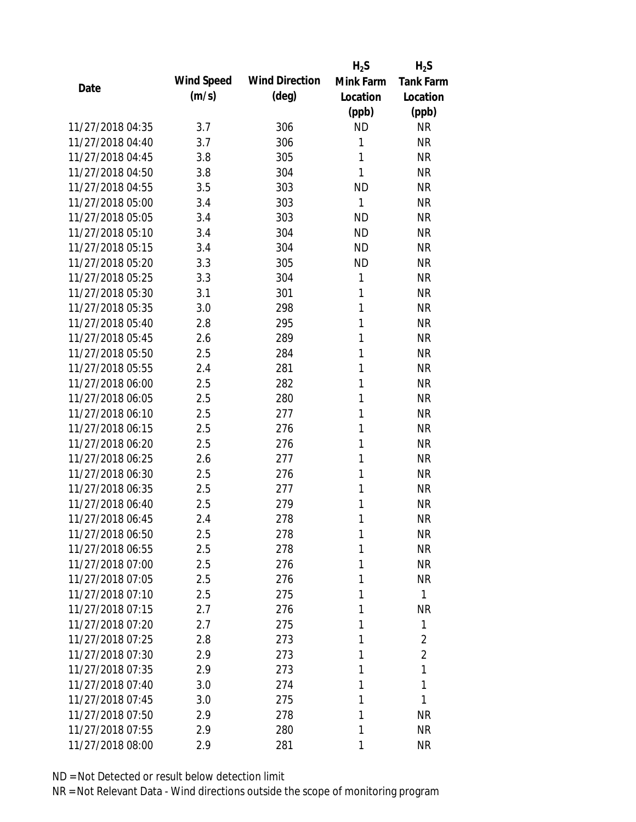|                  |            |                       | $H_2S$    | $H_2S$           |
|------------------|------------|-----------------------|-----------|------------------|
| Date             | Wind Speed | <b>Wind Direction</b> | Mink Farm | <b>Tank Farm</b> |
|                  | (m/s)      | $(\text{deg})$        | Location  | Location         |
|                  |            |                       | (ppb)     | (ppb)            |
| 11/27/2018 04:35 | 3.7        | 306                   | <b>ND</b> | <b>NR</b>        |
| 11/27/2018 04:40 | 3.7        | 306                   | 1         | <b>NR</b>        |
| 11/27/2018 04:45 | 3.8        | 305                   | 1         | <b>NR</b>        |
| 11/27/2018 04:50 | 3.8        | 304                   | 1         | <b>NR</b>        |
| 11/27/2018 04:55 | 3.5        | 303                   | <b>ND</b> | <b>NR</b>        |
| 11/27/2018 05:00 | 3.4        | 303                   | 1         | <b>NR</b>        |
| 11/27/2018 05:05 | 3.4        | 303                   | <b>ND</b> | <b>NR</b>        |
| 11/27/2018 05:10 | 3.4        | 304                   | <b>ND</b> | <b>NR</b>        |
| 11/27/2018 05:15 | 3.4        | 304                   | <b>ND</b> | <b>NR</b>        |
| 11/27/2018 05:20 | 3.3        | 305                   | <b>ND</b> | <b>NR</b>        |
| 11/27/2018 05:25 | 3.3        | 304                   | 1         | <b>NR</b>        |
| 11/27/2018 05:30 | 3.1        | 301                   | 1         | <b>NR</b>        |
| 11/27/2018 05:35 | 3.0        | 298                   | 1         | <b>NR</b>        |
| 11/27/2018 05:40 | 2.8        | 295                   | 1         | <b>NR</b>        |
| 11/27/2018 05:45 | 2.6        | 289                   | 1         | <b>NR</b>        |
| 11/27/2018 05:50 | 2.5        | 284                   | 1         | <b>NR</b>        |
| 11/27/2018 05:55 | 2.4        | 281                   | 1         | <b>NR</b>        |
| 11/27/2018 06:00 | 2.5        | 282                   | 1         | <b>NR</b>        |
| 11/27/2018 06:05 | 2.5        | 280                   | 1         | <b>NR</b>        |
| 11/27/2018 06:10 | 2.5        | 277                   | 1         | <b>NR</b>        |
| 11/27/2018 06:15 | 2.5        | 276                   | 1         | <b>NR</b>        |
| 11/27/2018 06:20 | 2.5        | 276                   | 1         | <b>NR</b>        |
| 11/27/2018 06:25 | 2.6        | 277                   | 1         | <b>NR</b>        |
| 11/27/2018 06:30 | 2.5        | 276                   | 1         | <b>NR</b>        |
| 11/27/2018 06:35 | 2.5        | 277                   | 1         | <b>NR</b>        |
| 11/27/2018 06:40 | 2.5        | 279                   | 1         | <b>NR</b>        |
| 11/27/2018 06:45 | 2.4        | 278                   | 1         | <b>NR</b>        |
| 11/27/2018 06:50 | 2.5        | 278                   | 1         | <b>NR</b>        |
| 11/27/2018 06:55 | 2.5        | 278                   | 1         | <b>NR</b>        |
| 11/27/2018 07:00 | 2.5        | 276                   | 1         | <b>NR</b>        |
| 11/27/2018 07:05 | 2.5        | 276                   | 1         | <b>NR</b>        |
| 11/27/2018 07:10 | 2.5        | 275                   | 1         | $\mathbf{1}$     |
| 11/27/2018 07:15 | 2.7        | 276                   | 1         | <b>NR</b>        |
| 11/27/2018 07:20 | 2.7        | 275                   | 1         | 1                |
| 11/27/2018 07:25 | 2.8        | 273                   | 1         | $\overline{2}$   |
| 11/27/2018 07:30 | 2.9        | 273                   | 1         | $\overline{2}$   |
| 11/27/2018 07:35 | 2.9        | 273                   | 1         | 1                |
| 11/27/2018 07:40 | 3.0        | 274                   | 1         | 1                |
| 11/27/2018 07:45 | 3.0        | 275                   | 1         | 1                |
| 11/27/2018 07:50 | 2.9        | 278                   | 1         | <b>NR</b>        |
| 11/27/2018 07:55 | 2.9        | 280                   | 1         | <b>NR</b>        |
| 11/27/2018 08:00 | 2.9        | 281                   | 1         | <b>NR</b>        |
|                  |            |                       |           |                  |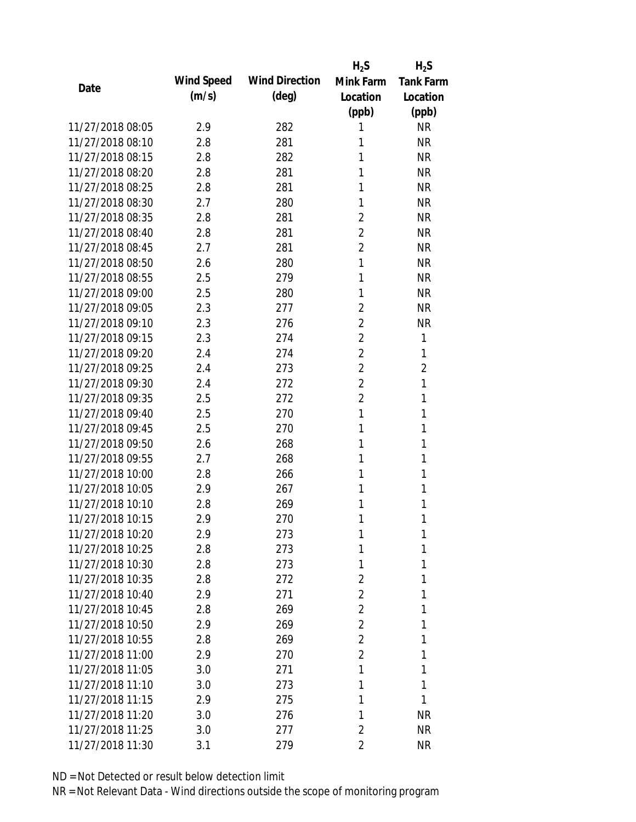|                  |            |                       | $H_2S$         | $H_2S$           |
|------------------|------------|-----------------------|----------------|------------------|
|                  | Wind Speed | <b>Wind Direction</b> | Mink Farm      | <b>Tank Farm</b> |
| Date             | (m/s)      | $(\text{deg})$        | Location       | Location         |
|                  |            |                       | (ppb)          | (ppb)            |
| 11/27/2018 08:05 | 2.9        | 282                   | 1              | <b>NR</b>        |
| 11/27/2018 08:10 | 2.8        | 281                   | 1              | <b>NR</b>        |
| 11/27/2018 08:15 | 2.8        | 282                   | 1              | <b>NR</b>        |
| 11/27/2018 08:20 | 2.8        | 281                   | 1              | <b>NR</b>        |
| 11/27/2018 08:25 | 2.8        | 281                   | 1              | <b>NR</b>        |
| 11/27/2018 08:30 | 2.7        | 280                   | 1              | <b>NR</b>        |
| 11/27/2018 08:35 | 2.8        | 281                   | $\overline{2}$ | <b>NR</b>        |
| 11/27/2018 08:40 | 2.8        | 281                   | 2              | <b>NR</b>        |
| 11/27/2018 08:45 | 2.7        | 281                   | $\overline{2}$ | <b>NR</b>        |
| 11/27/2018 08:50 | 2.6        | 280                   | 1              | <b>NR</b>        |
| 11/27/2018 08:55 | 2.5        | 279                   | 1              | <b>NR</b>        |
| 11/27/2018 09:00 | 2.5        | 280                   | 1              | <b>NR</b>        |
| 11/27/2018 09:05 | 2.3        | 277                   | 2              | <b>NR</b>        |
| 11/27/2018 09:10 | 2.3        | 276                   | $\overline{2}$ | <b>NR</b>        |
| 11/27/2018 09:15 | 2.3        | 274                   | $\overline{2}$ | 1                |
| 11/27/2018 09:20 | 2.4        | 274                   | $\overline{2}$ | 1                |
| 11/27/2018 09:25 | 2.4        | 273                   | $\overline{2}$ | $\overline{2}$   |
| 11/27/2018 09:30 | 2.4        | 272                   | $\overline{2}$ | 1                |
| 11/27/2018 09:35 | 2.5        | 272                   | 2              | 1                |
| 11/27/2018 09:40 | 2.5        | 270                   | 1              | 1                |
| 11/27/2018 09:45 | 2.5        | 270                   | 1              | 1                |
| 11/27/2018 09:50 | 2.6        | 268                   | 1              | 1                |
| 11/27/2018 09:55 | 2.7        | 268                   | 1              | 1                |
| 11/27/2018 10:00 | 2.8        | 266                   | 1              | 1                |
| 11/27/2018 10:05 | 2.9        | 267                   | 1              | 1                |
| 11/27/2018 10:10 | 2.8        | 269                   | 1              | 1                |
| 11/27/2018 10:15 | 2.9        | 270                   | 1              | 1                |
| 11/27/2018 10:20 | 2.9        | 273                   | 1              | 1                |
| 11/27/2018 10:25 | 2.8        | 273                   | 1              | 1                |
| 11/27/2018 10:30 | 2.8        | 273                   | 1              | 1                |
| 11/27/2018 10:35 | 2.8        | 272                   | $\overline{2}$ | 1                |
| 11/27/2018 10:40 | 2.9        | 271                   | $\overline{2}$ | 1                |
| 11/27/2018 10:45 | 2.8        | 269                   | 2              | 1                |
| 11/27/2018 10:50 | 2.9        | 269                   | $\overline{2}$ | 1                |
| 11/27/2018 10:55 | 2.8        | 269                   | 2              | 1                |
| 11/27/2018 11:00 | 2.9        | 270                   | 2              | 1                |
| 11/27/2018 11:05 | 3.0        | 271                   | 1              | 1                |
| 11/27/2018 11:10 | 3.0        | 273                   | 1              | 1                |
| 11/27/2018 11:15 | 2.9        | 275                   | 1              | 1                |
| 11/27/2018 11:20 | 3.0        | 276                   | 1              | <b>NR</b>        |
| 11/27/2018 11:25 | 3.0        | 277                   | 2              | <b>NR</b>        |
| 11/27/2018 11:30 | 3.1        | 279                   | 2              | <b>NR</b>        |
|                  |            |                       |                |                  |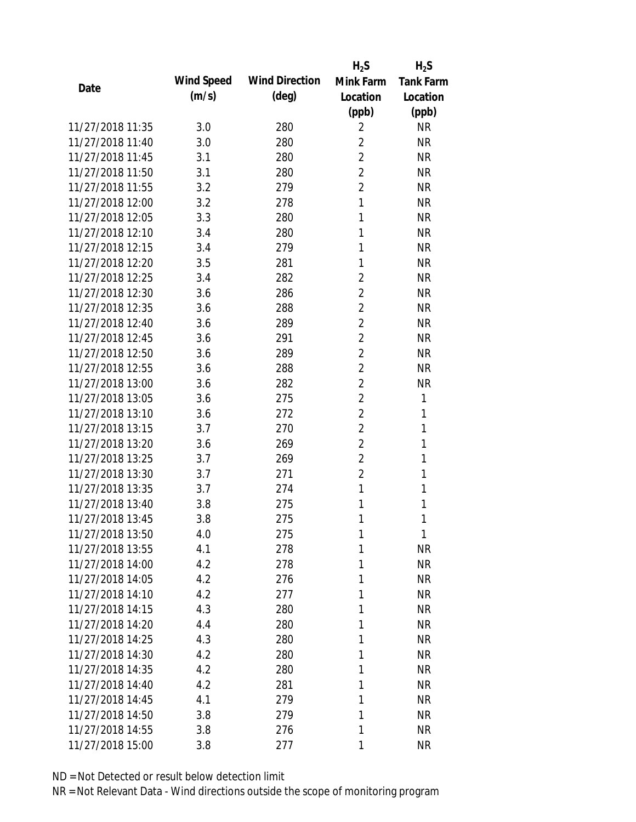|                  |            |                       | $H_2S$         | $H_2S$           |
|------------------|------------|-----------------------|----------------|------------------|
| Date             | Wind Speed | <b>Wind Direction</b> | Mink Farm      | <b>Tank Farm</b> |
|                  | (m/s)      | $(\text{deg})$        | Location       | Location         |
|                  |            |                       | (ppb)          | (ppb)            |
| 11/27/2018 11:35 | 3.0        | 280                   | $\overline{2}$ | <b>NR</b>        |
| 11/27/2018 11:40 | 3.0        | 280                   | $\overline{2}$ | <b>NR</b>        |
| 11/27/2018 11:45 | 3.1        | 280                   | $\overline{2}$ | <b>NR</b>        |
| 11/27/2018 11:50 | 3.1        | 280                   | $\overline{2}$ | <b>NR</b>        |
| 11/27/2018 11:55 | 3.2        | 279                   | $\overline{2}$ | <b>NR</b>        |
| 11/27/2018 12:00 | 3.2        | 278                   | $\mathbf{1}$   | <b>NR</b>        |
| 11/27/2018 12:05 | 3.3        | 280                   | 1              | <b>NR</b>        |
| 11/27/2018 12:10 | 3.4        | 280                   | 1              | <b>NR</b>        |
| 11/27/2018 12:15 | 3.4        | 279                   | 1              | <b>NR</b>        |
| 11/27/2018 12:20 | 3.5        | 281                   | 1              | <b>NR</b>        |
| 11/27/2018 12:25 | 3.4        | 282                   | $\overline{2}$ | <b>NR</b>        |
| 11/27/2018 12:30 | 3.6        | 286                   | 2              | <b>NR</b>        |
| 11/27/2018 12:35 | 3.6        | 288                   | $\overline{2}$ | <b>NR</b>        |
| 11/27/2018 12:40 | 3.6        | 289                   | $\overline{2}$ | <b>NR</b>        |
| 11/27/2018 12:45 | 3.6        | 291                   | $\overline{2}$ | <b>NR</b>        |
| 11/27/2018 12:50 | 3.6        | 289                   | $\overline{2}$ | <b>NR</b>        |
| 11/27/2018 12:55 | 3.6        | 288                   | 2              | <b>NR</b>        |
| 11/27/2018 13:00 | 3.6        | 282                   | $\overline{2}$ | <b>NR</b>        |
| 11/27/2018 13:05 | 3.6        | 275                   | $\overline{2}$ | 1                |
| 11/27/2018 13:10 | 3.6        | 272                   | $\overline{2}$ | 1                |
| 11/27/2018 13:15 | 3.7        | 270                   | $\overline{2}$ | 1                |
| 11/27/2018 13:20 | 3.6        | 269                   | $\overline{2}$ | 1                |
| 11/27/2018 13:25 | 3.7        | 269                   | $\overline{2}$ | 1                |
| 11/27/2018 13:30 | 3.7        | 271                   | $\overline{2}$ | 1                |
| 11/27/2018 13:35 | 3.7        | 274                   | 1              | 1                |
| 11/27/2018 13:40 | 3.8        | 275                   | 1              | 1                |
| 11/27/2018 13:45 | 3.8        | 275                   | 1              | 1                |
| 11/27/2018 13:50 | 4.0        | 275                   | 1              | 1                |
| 11/27/2018 13:55 | 4.1        | 278                   | 1              | <b>NR</b>        |
| 11/27/2018 14:00 | 4.2        | 278                   | 1              | <b>NR</b>        |
| 11/27/2018 14:05 | 4.2        | 276                   | 1              | <b>NR</b>        |
| 11/27/2018 14:10 | 4.2        | 277                   | 1              | <b>NR</b>        |
| 11/27/2018 14:15 | 4.3        | 280                   | 1              | <b>NR</b>        |
| 11/27/2018 14:20 | 4.4        | 280                   | 1              | <b>NR</b>        |
| 11/27/2018 14:25 | 4.3        | 280                   | 1              | <b>NR</b>        |
| 11/27/2018 14:30 | 4.2        | 280                   | 1              | <b>NR</b>        |
| 11/27/2018 14:35 | 4.2        | 280                   | 1              | <b>NR</b>        |
| 11/27/2018 14:40 | 4.2        | 281                   | 1              | <b>NR</b>        |
| 11/27/2018 14:45 | 4.1        | 279                   | 1              | <b>NR</b>        |
| 11/27/2018 14:50 | 3.8        | 279                   | 1              | <b>NR</b>        |
| 11/27/2018 14:55 | 3.8        | 276                   | 1              | <b>NR</b>        |
| 11/27/2018 15:00 | 3.8        | 277                   | 1              | <b>NR</b>        |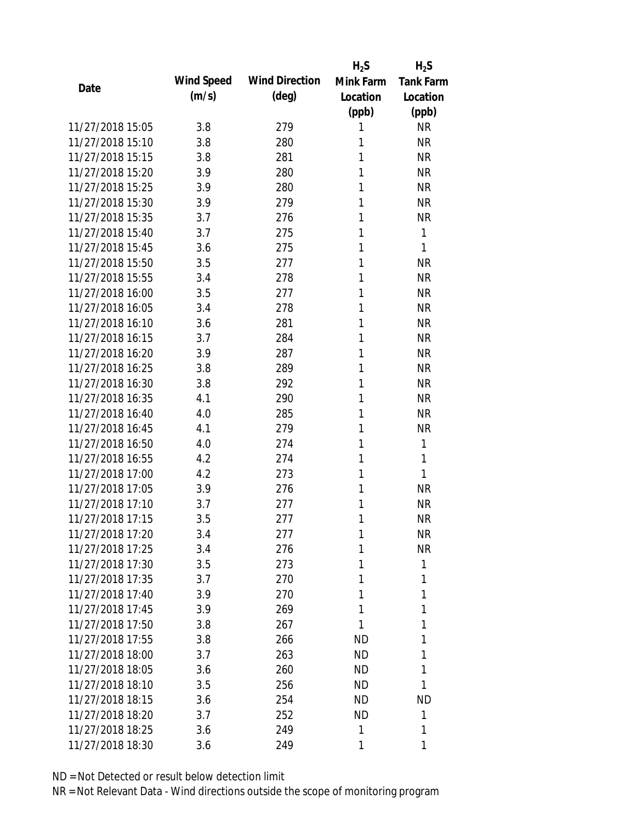|                  |            |                       | $H_2S$    | $H_2S$           |
|------------------|------------|-----------------------|-----------|------------------|
| Date             | Wind Speed | <b>Wind Direction</b> | Mink Farm | <b>Tank Farm</b> |
|                  | (m/s)      | $(\text{deg})$        | Location  | Location         |
|                  |            |                       | (ppb)     | (ppb)            |
| 11/27/2018 15:05 | 3.8        | 279                   | 1         | <b>NR</b>        |
| 11/27/2018 15:10 | 3.8        | 280                   | 1         | <b>NR</b>        |
| 11/27/2018 15:15 | 3.8        | 281                   | 1         | <b>NR</b>        |
| 11/27/2018 15:20 | 3.9        | 280                   | 1         | <b>NR</b>        |
| 11/27/2018 15:25 | 3.9        | 280                   | 1         | <b>NR</b>        |
| 11/27/2018 15:30 | 3.9        | 279                   | 1         | <b>NR</b>        |
| 11/27/2018 15:35 | 3.7        | 276                   | 1         | <b>NR</b>        |
| 11/27/2018 15:40 | 3.7        | 275                   | 1         | $\mathbf{1}$     |
| 11/27/2018 15:45 | 3.6        | 275                   | 1         | 1                |
| 11/27/2018 15:50 | 3.5        | 277                   | 1         | <b>NR</b>        |
| 11/27/2018 15:55 | 3.4        | 278                   | 1         | <b>NR</b>        |
| 11/27/2018 16:00 | 3.5        | 277                   | 1         | <b>NR</b>        |
| 11/27/2018 16:05 | 3.4        | 278                   | 1         | <b>NR</b>        |
| 11/27/2018 16:10 | 3.6        | 281                   | 1         | <b>NR</b>        |
| 11/27/2018 16:15 | 3.7        | 284                   | 1         | <b>NR</b>        |
| 11/27/2018 16:20 | 3.9        | 287                   | 1         | <b>NR</b>        |
| 11/27/2018 16:25 | 3.8        | 289                   | 1         | <b>NR</b>        |
| 11/27/2018 16:30 | 3.8        | 292                   | 1         | <b>NR</b>        |
| 11/27/2018 16:35 | 4.1        | 290                   | 1         | <b>NR</b>        |
| 11/27/2018 16:40 | 4.0        | 285                   | 1         | <b>NR</b>        |
| 11/27/2018 16:45 | 4.1        | 279                   | 1         | <b>NR</b>        |
| 11/27/2018 16:50 | 4.0        | 274                   | 1         | $\mathbf{1}$     |
| 11/27/2018 16:55 | 4.2        | 274                   | 1         | 1                |
| 11/27/2018 17:00 | 4.2        | 273                   | 1         | 1                |
| 11/27/2018 17:05 | 3.9        | 276                   | 1         | <b>NR</b>        |
| 11/27/2018 17:10 | 3.7        | 277                   | 1         | <b>NR</b>        |
| 11/27/2018 17:15 | 3.5        | 277                   | 1         | <b>NR</b>        |
| 11/27/2018 17:20 | 3.4        | 277                   | 1         | <b>NR</b>        |
| 11/27/2018 17:25 | 3.4        | 276                   | 1         | <b>NR</b>        |
| 11/27/2018 17:30 | 3.5        | 273                   | 1         | 1                |
| 11/27/2018 17:35 | 3.7        | 270                   | 1         | 1                |
| 11/27/2018 17:40 | 3.9        | 270                   | 1         | 1                |
| 11/27/2018 17:45 | 3.9        | 269                   | 1         | 1                |
| 11/27/2018 17:50 | 3.8        | 267                   | 1         | 1                |
| 11/27/2018 17:55 | 3.8        | 266                   | <b>ND</b> | 1                |
| 11/27/2018 18:00 | 3.7        | 263                   | <b>ND</b> | 1                |
| 11/27/2018 18:05 | 3.6        | 260                   | ND.       | 1                |
| 11/27/2018 18:10 | 3.5        | 256                   | ND        | 1                |
| 11/27/2018 18:15 | 3.6        | 254                   | <b>ND</b> | <b>ND</b>        |
| 11/27/2018 18:20 | 3.7        | 252                   | <b>ND</b> | 1                |
| 11/27/2018 18:25 | 3.6        | 249                   | 1         | 1                |
| 11/27/2018 18:30 | 3.6        | 249                   | 1         | 1                |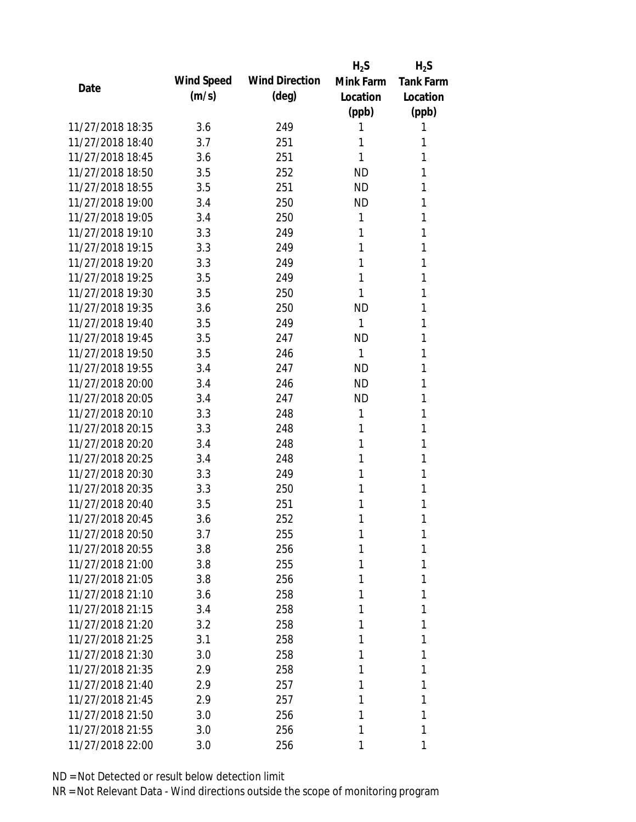|                  |            |                       | $H_2S$    | $H_2S$           |
|------------------|------------|-----------------------|-----------|------------------|
| Date             | Wind Speed | <b>Wind Direction</b> | Mink Farm | <b>Tank Farm</b> |
|                  | (m/s)      | $(\text{deg})$        | Location  | Location         |
|                  |            |                       | (ppb)     | (ppb)            |
| 11/27/2018 18:35 | 3.6        | 249                   | 1         | 1                |
| 11/27/2018 18:40 | 3.7        | 251                   | 1         | 1                |
| 11/27/2018 18:45 | 3.6        | 251                   | 1         | 1                |
| 11/27/2018 18:50 | 3.5        | 252                   | <b>ND</b> | 1                |
| 11/27/2018 18:55 | 3.5        | 251                   | <b>ND</b> | 1                |
| 11/27/2018 19:00 | 3.4        | 250                   | ND        | 1                |
| 11/27/2018 19:05 | 3.4        | 250                   | 1         | 1                |
| 11/27/2018 19:10 | 3.3        | 249                   | 1         | 1                |
| 11/27/2018 19:15 | 3.3        | 249                   | 1         | 1                |
| 11/27/2018 19:20 | 3.3        | 249                   | 1         | 1                |
| 11/27/2018 19:25 | 3.5        | 249                   | 1         | 1                |
| 11/27/2018 19:30 | 3.5        | 250                   | 1         | 1                |
| 11/27/2018 19:35 | 3.6        | 250                   | <b>ND</b> | 1                |
| 11/27/2018 19:40 | 3.5        | 249                   | 1         | 1                |
| 11/27/2018 19:45 | 3.5        | 247                   | <b>ND</b> | 1                |
| 11/27/2018 19:50 | 3.5        | 246                   | 1         | 1                |
| 11/27/2018 19:55 | 3.4        | 247                   | <b>ND</b> | 1                |
| 11/27/2018 20:00 | 3.4        | 246                   | <b>ND</b> | 1                |
| 11/27/2018 20:05 | 3.4        | 247                   | <b>ND</b> | 1                |
| 11/27/2018 20:10 | 3.3        | 248                   | 1         | 1                |
| 11/27/2018 20:15 | 3.3        | 248                   | 1         | 1                |
| 11/27/2018 20:20 | 3.4        | 248                   | 1         | 1                |
| 11/27/2018 20:25 | 3.4        | 248                   | 1         | 1                |
| 11/27/2018 20:30 | 3.3        | 249                   | 1         | 1                |
| 11/27/2018 20:35 | 3.3        | 250                   | 1         | 1                |
| 11/27/2018 20:40 | 3.5        | 251                   | 1         | 1                |
| 11/27/2018 20:45 | 3.6        | 252                   | 1         | 1                |
| 11/27/2018 20:50 | 3.7        | 255                   | 1         | 1                |
| 11/27/2018 20:55 | 3.8        | 256                   | 1         | 1                |
| 11/27/2018 21:00 | 3.8        | 255                   | 1         | 1                |
| 11/27/2018 21:05 | 3.8        | 256                   | 1         | 1                |
| 11/27/2018 21:10 | 3.6        | 258                   | 1         | 1                |
| 11/27/2018 21:15 | 3.4        | 258                   | 1         | 1                |
| 11/27/2018 21:20 | 3.2        | 258                   | 1         | 1                |
| 11/27/2018 21:25 | 3.1        | 258                   | 1         | 1                |
| 11/27/2018 21:30 | 3.0        | 258                   | 1         | 1                |
| 11/27/2018 21:35 | 2.9        | 258                   | 1         | 1                |
| 11/27/2018 21:40 | 2.9        | 257                   | 1         | 1                |
| 11/27/2018 21:45 | 2.9        | 257                   | 1         | 1                |
| 11/27/2018 21:50 | 3.0        | 256                   | 1         | 1                |
| 11/27/2018 21:55 | 3.0        | 256                   | 1         | 1                |
| 11/27/2018 22:00 | 3.0        | 256                   | 1         | 1                |
|                  |            |                       |           |                  |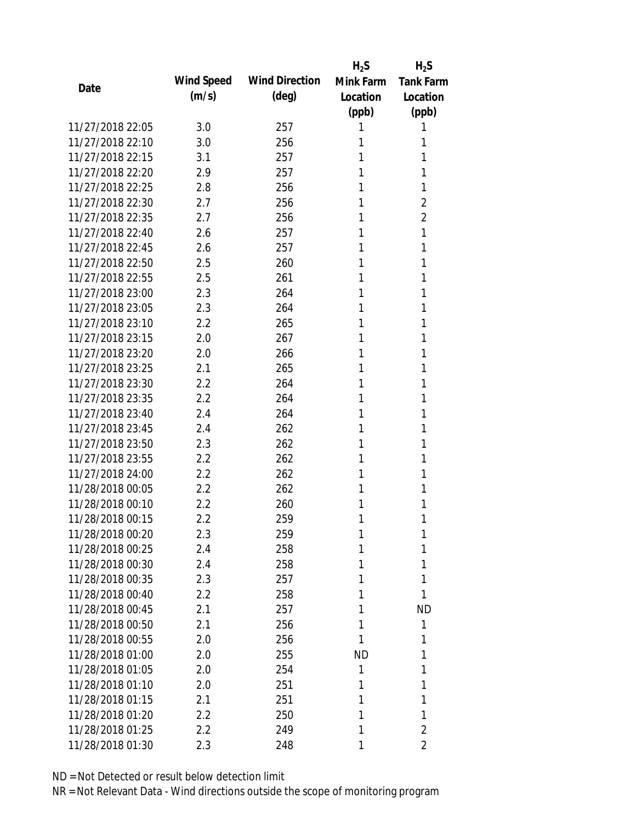|                  |            |                       | $H_2S$    | $H_2S$           |
|------------------|------------|-----------------------|-----------|------------------|
| Date             | Wind Speed | <b>Wind Direction</b> | Mink Farm | <b>Tank Farm</b> |
|                  | (m/s)      | (deg)                 | Location  | Location         |
|                  |            |                       | (ppb)     | (ppb)            |
| 11/27/2018 22:05 | 3.0        | 257                   | 1         | 1                |
| 11/27/2018 22:10 | 3.0        | 256                   | 1         | 1                |
| 11/27/2018 22:15 | 3.1        | 257                   | 1         | 1                |
| 11/27/2018 22:20 | 2.9        | 257                   | 1         | 1                |
| 11/27/2018 22:25 | 2.8        | 256                   | 1         | 1                |
| 11/27/2018 22:30 | 2.7        | 256                   | 1         | 2                |
| 11/27/2018 22:35 | 2.7        | 256                   | 1         | $\overline{2}$   |
| 11/27/2018 22:40 | 2.6        | 257                   | 1         | 1                |
| 11/27/2018 22:45 | 2.6        | 257                   | 1         | 1                |
| 11/27/2018 22:50 | 2.5        | 260                   | 1         | 1                |
| 11/27/2018 22:55 | 2.5        | 261                   | 1         | 1                |
| 11/27/2018 23:00 | 2.3        | 264                   | 1         | 1                |
| 11/27/2018 23:05 | 2.3        | 264                   | 1         | 1                |
| 11/27/2018 23:10 | 2.2        | 265                   | 1         | 1                |
| 11/27/2018 23:15 | 2.0        | 267                   | 1         | 1                |
| 11/27/2018 23:20 | 2.0        | 266                   | 1         | 1                |
| 11/27/2018 23:25 | 2.1        | 265                   | 1         | 1                |
| 11/27/2018 23:30 | 2.2        | 264                   | 1         | 1                |
| 11/27/2018 23:35 | 2.2        | 264                   | 1         | 1                |
| 11/27/2018 23:40 | 2.4        | 264                   | 1         | 1                |
| 11/27/2018 23:45 | 2.4        | 262                   | 1         | 1                |
| 11/27/2018 23:50 | 2.3        | 262                   | 1         | 1                |
| 11/27/2018 23:55 | 2.2        | 262                   | 1         | 1                |
| 11/27/2018 24:00 | 2.2        | 262                   | 1         | 1                |
| 11/28/2018 00:05 | 2.2        | 262                   | 1         | 1                |
| 11/28/2018 00:10 | 2.2        | 260                   | 1         | 1                |
| 11/28/2018 00:15 | 2.2        | 259                   | 1         | 1                |
| 11/28/2018 00:20 | 2.3        | 259                   | 1         | 1                |
| 11/28/2018 00:25 | 2.4        | 258                   | 1         | 1                |
| 11/28/2018 00:30 | 2.4        | 258                   | 1         | 1                |
| 11/28/2018 00:35 | 2.3        | 257                   | 1         | 1                |
| 11/28/2018 00:40 | 2.2        | 258                   | 1         | 1                |
| 11/28/2018 00:45 | 2.1        | 257                   | 1         | <b>ND</b>        |
| 11/28/2018 00:50 | 2.1        | 256                   | 1         | 1                |
| 11/28/2018 00:55 | 2.0        | 256                   | 1         | 1                |
| 11/28/2018 01:00 | 2.0        | 255                   | <b>ND</b> | 1                |
| 11/28/2018 01:05 | 2.0        | 254                   | 1         | 1                |
| 11/28/2018 01:10 | 2.0        | 251                   | 1         | 1                |
| 11/28/2018 01:15 | 2.1        | 251                   | 1         | 1                |
| 11/28/2018 01:20 | 2.2        | 250                   | 1         | 1                |
| 11/28/2018 01:25 | 2.2        | 249                   | 1         | $\overline{2}$   |
| 11/28/2018 01:30 | 2.3        | 248                   | 1         | 2                |
|                  |            |                       |           |                  |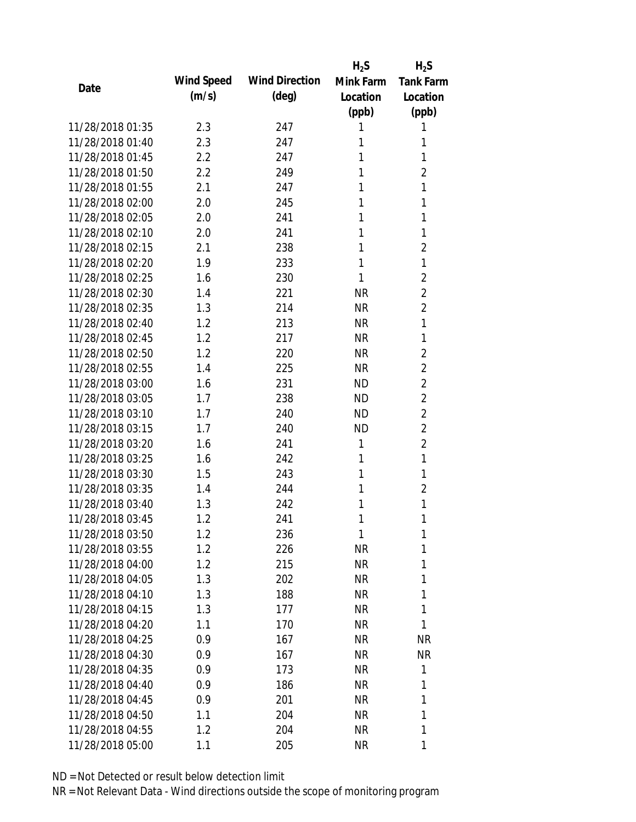|                  |            |                       | $H_2S$    | $H_2S$           |
|------------------|------------|-----------------------|-----------|------------------|
| Date             | Wind Speed | <b>Wind Direction</b> | Mink Farm | <b>Tank Farm</b> |
|                  | (m/s)      | $(\text{deg})$        | Location  | Location         |
|                  |            |                       | (ppb)     | (ppb)            |
| 11/28/2018 01:35 | 2.3        | 247                   | 1         | 1                |
| 11/28/2018 01:40 | 2.3        | 247                   | 1         | 1                |
| 11/28/2018 01:45 | 2.2        | 247                   | 1         | 1                |
| 11/28/2018 01:50 | 2.2        | 249                   | 1         | $\overline{2}$   |
| 11/28/2018 01:55 | 2.1        | 247                   | 1         | 1                |
| 11/28/2018 02:00 | 2.0        | 245                   | 1         | 1                |
| 11/28/2018 02:05 | 2.0        | 241                   | 1         | 1                |
| 11/28/2018 02:10 | 2.0        | 241                   | 1         | 1                |
| 11/28/2018 02:15 | 2.1        | 238                   | 1         | $\overline{2}$   |
| 11/28/2018 02:20 | 1.9        | 233                   | 1         | 1                |
| 11/28/2018 02:25 | 1.6        | 230                   | 1         | $\overline{2}$   |
| 11/28/2018 02:30 | 1.4        | 221                   | <b>NR</b> | $\overline{2}$   |
| 11/28/2018 02:35 | 1.3        | 214                   | <b>NR</b> | $\overline{2}$   |
| 11/28/2018 02:40 | 1.2        | 213                   | <b>NR</b> | 1                |
| 11/28/2018 02:45 | 1.2        | 217                   | <b>NR</b> | 1                |
| 11/28/2018 02:50 | 1.2        | 220                   | <b>NR</b> | $\overline{2}$   |
| 11/28/2018 02:55 | 1.4        | 225                   | <b>NR</b> | 2                |
| 11/28/2018 03:00 | 1.6        | 231                   | <b>ND</b> | $\overline{2}$   |
| 11/28/2018 03:05 | 1.7        | 238                   | <b>ND</b> | $\overline{2}$   |
| 11/28/2018 03:10 | 1.7        | 240                   | <b>ND</b> | $\overline{2}$   |
| 11/28/2018 03:15 | 1.7        | 240                   | <b>ND</b> | $\overline{2}$   |
| 11/28/2018 03:20 | 1.6        | 241                   | 1         | $\overline{2}$   |
| 11/28/2018 03:25 | 1.6        | 242                   | 1         | 1                |
| 11/28/2018 03:30 | 1.5        | 243                   | 1         | 1                |
| 11/28/2018 03:35 | 1.4        | 244                   | 1         | 2                |
| 11/28/2018 03:40 | 1.3        | 242                   | 1         | 1                |
| 11/28/2018 03:45 | 1.2        | 241                   | 1         | 1                |
| 11/28/2018 03:50 | 1.2        | 236                   | 1         | 1                |
| 11/28/2018 03:55 | 1.2        | 226                   | <b>NR</b> | 1                |
| 11/28/2018 04:00 | 1.2        | 215                   | <b>NR</b> | 1                |
| 11/28/2018 04:05 | 1.3        | 202                   | <b>NR</b> | 1                |
| 11/28/2018 04:10 | 1.3        | 188                   | <b>NR</b> | 1                |
| 11/28/2018 04:15 | 1.3        | 177                   | <b>NR</b> | 1                |
| 11/28/2018 04:20 | 1.1        | 170                   | <b>NR</b> | 1                |
| 11/28/2018 04:25 | 0.9        | 167                   | <b>NR</b> | <b>NR</b>        |
| 11/28/2018 04:30 | 0.9        | 167                   | <b>NR</b> | <b>NR</b>        |
| 11/28/2018 04:35 | 0.9        | 173                   | <b>NR</b> | 1                |
| 11/28/2018 04:40 | 0.9        | 186                   | <b>NR</b> | 1                |
| 11/28/2018 04:45 | 0.9        | 201                   | <b>NR</b> | 1                |
| 11/28/2018 04:50 | 1.1        | 204                   | <b>NR</b> | 1                |
| 11/28/2018 04:55 | 1.2        | 204                   | <b>NR</b> | 1                |
| 11/28/2018 05:00 | 1.1        | 205                   | <b>NR</b> | 1                |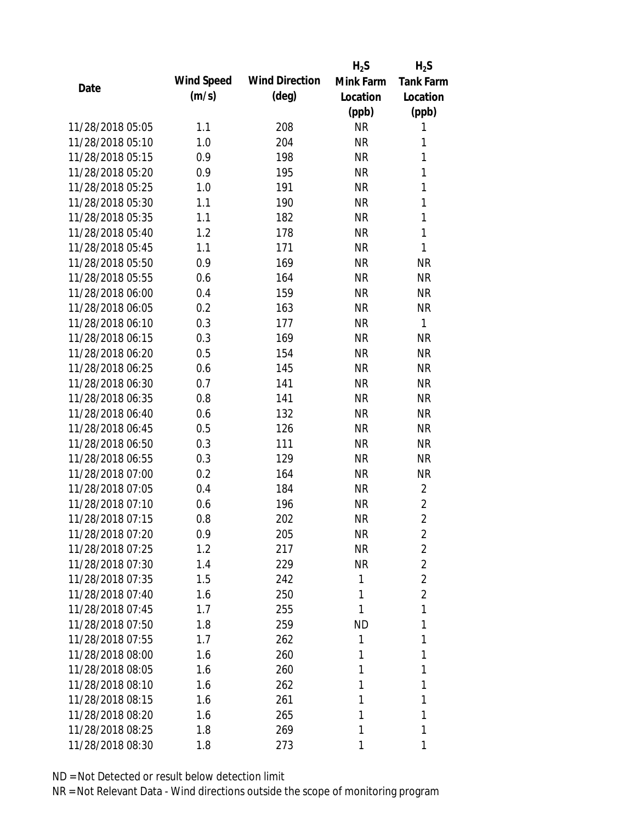|                  |            |                       | $H_2S$    | $H_2S$           |
|------------------|------------|-----------------------|-----------|------------------|
| Date             | Wind Speed | <b>Wind Direction</b> | Mink Farm | <b>Tank Farm</b> |
|                  | (m/s)      | $(\text{deg})$        | Location  | Location         |
|                  |            |                       | (ppb)     | (ppb)            |
| 11/28/2018 05:05 | 1.1        | 208                   | <b>NR</b> | 1                |
| 11/28/2018 05:10 | 1.0        | 204                   | <b>NR</b> | 1                |
| 11/28/2018 05:15 | 0.9        | 198                   | <b>NR</b> | $\mathbf{1}$     |
| 11/28/2018 05:20 | 0.9        | 195                   | <b>NR</b> | 1                |
| 11/28/2018 05:25 | 1.0        | 191                   | <b>NR</b> | 1                |
| 11/28/2018 05:30 | 1.1        | 190                   | <b>NR</b> | 1                |
| 11/28/2018 05:35 | 1.1        | 182                   | <b>NR</b> | $\mathbf{1}$     |
| 11/28/2018 05:40 | 1.2        | 178                   | <b>NR</b> | $\mathbf{1}$     |
| 11/28/2018 05:45 | 1.1        | 171                   | <b>NR</b> | 1                |
| 11/28/2018 05:50 | 0.9        | 169                   | <b>NR</b> | <b>NR</b>        |
| 11/28/2018 05:55 | 0.6        | 164                   | <b>NR</b> | <b>NR</b>        |
| 11/28/2018 06:00 | 0.4        | 159                   | <b>NR</b> | <b>NR</b>        |
| 11/28/2018 06:05 | 0.2        | 163                   | <b>NR</b> | <b>NR</b>        |
| 11/28/2018 06:10 | 0.3        | 177                   | <b>NR</b> | 1                |
| 11/28/2018 06:15 | 0.3        | 169                   | <b>NR</b> | <b>NR</b>        |
| 11/28/2018 06:20 | 0.5        | 154                   | <b>NR</b> | <b>NR</b>        |
| 11/28/2018 06:25 | 0.6        | 145                   | <b>NR</b> | <b>NR</b>        |
| 11/28/2018 06:30 | 0.7        | 141                   | <b>NR</b> | <b>NR</b>        |
| 11/28/2018 06:35 | 0.8        | 141                   | <b>NR</b> | <b>NR</b>        |
| 11/28/2018 06:40 | 0.6        | 132                   | <b>NR</b> | <b>NR</b>        |
| 11/28/2018 06:45 | 0.5        | 126                   | <b>NR</b> | <b>NR</b>        |
| 11/28/2018 06:50 | 0.3        | 111                   | <b>NR</b> | <b>NR</b>        |
| 11/28/2018 06:55 | 0.3        | 129                   | <b>NR</b> | <b>NR</b>        |
| 11/28/2018 07:00 | 0.2        | 164                   | <b>NR</b> | <b>NR</b>        |
| 11/28/2018 07:05 | 0.4        | 184                   | <b>NR</b> | $\overline{2}$   |
| 11/28/2018 07:10 | 0.6        | 196                   | <b>NR</b> | $\overline{2}$   |
| 11/28/2018 07:15 | 0.8        | 202                   | <b>NR</b> | $\overline{2}$   |
| 11/28/2018 07:20 | 0.9        | 205                   | <b>NR</b> | 2                |
| 11/28/2018 07:25 | 1.2        | 217                   | <b>NR</b> | 2                |
| 11/28/2018 07:30 | 1.4        | 229                   | <b>NR</b> | $\overline{2}$   |
| 11/28/2018 07:35 | 1.5        | 242                   | 1         | $\overline{2}$   |
| 11/28/2018 07:40 | 1.6        | 250                   | 1         | $\overline{2}$   |
| 11/28/2018 07:45 | 1.7        | 255                   | 1         | 1                |
| 11/28/2018 07:50 | 1.8        | 259                   | ND        | 1                |
| 11/28/2018 07:55 | 1.7        | 262                   | 1         | 1                |
| 11/28/2018 08:00 | 1.6        | 260                   | 1         | 1                |
| 11/28/2018 08:05 | 1.6        | 260                   | 1         | 1                |
| 11/28/2018 08:10 | 1.6        | 262                   | 1         | 1                |
| 11/28/2018 08:15 | 1.6        | 261                   | 1         | 1                |
| 11/28/2018 08:20 | 1.6        | 265                   | 1         | 1                |
| 11/28/2018 08:25 | 1.8        | 269                   | 1         | 1                |
| 11/28/2018 08:30 | 1.8        | 273                   | 1         | 1                |
|                  |            |                       |           |                  |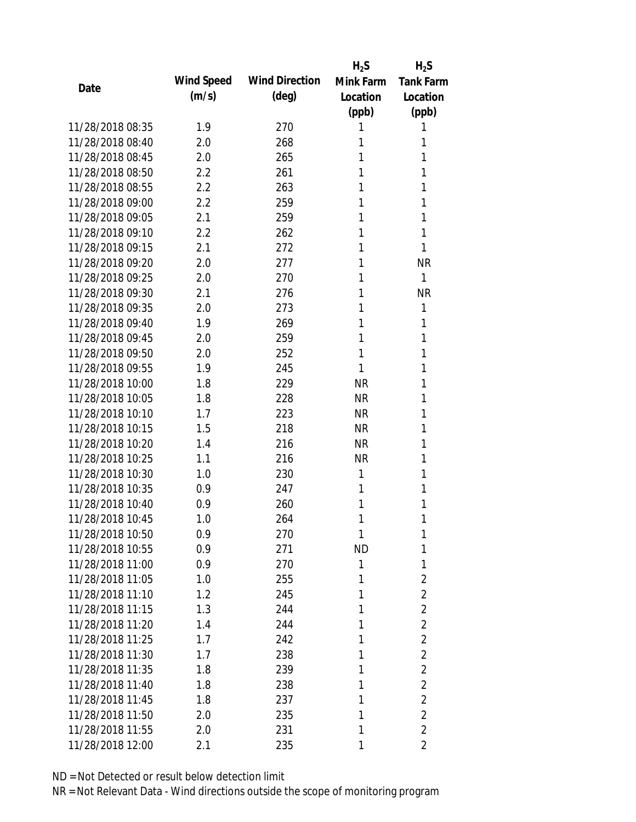|                  |            |                       | $H_2S$    | $H_2S$           |
|------------------|------------|-----------------------|-----------|------------------|
|                  | Wind Speed | <b>Wind Direction</b> | Mink Farm | <b>Tank Farm</b> |
| Date             | (m/s)      | $(\text{deg})$        | Location  | Location         |
|                  |            |                       | (ppb)     | (ppb)            |
| 11/28/2018 08:35 | 1.9        | 270                   | 1         | 1                |
| 11/28/2018 08:40 | 2.0        | 268                   | 1         | 1                |
| 11/28/2018 08:45 | 2.0        | 265                   | 1         | 1                |
| 11/28/2018 08:50 | 2.2        | 261                   | 1         | 1                |
| 11/28/2018 08:55 | 2.2        | 263                   | 1         | 1                |
| 11/28/2018 09:00 | 2.2        | 259                   | 1         | 1                |
| 11/28/2018 09:05 | 2.1        | 259                   | 1         | 1                |
| 11/28/2018 09:10 | 2.2        | 262                   | 1         | 1                |
| 11/28/2018 09:15 | 2.1        | 272                   | 1         | 1                |
| 11/28/2018 09:20 | 2.0        | 277                   | 1         | <b>NR</b>        |
| 11/28/2018 09:25 | 2.0        | 270                   | 1         | 1                |
| 11/28/2018 09:30 | 2.1        | 276                   | 1         | <b>NR</b>        |
| 11/28/2018 09:35 | 2.0        | 273                   | 1         | 1                |
| 11/28/2018 09:40 | 1.9        | 269                   | 1         | 1                |
| 11/28/2018 09:45 | 2.0        | 259                   | 1         | 1                |
| 11/28/2018 09:50 | 2.0        | 252                   | 1         | 1                |
| 11/28/2018 09:55 | 1.9        | 245                   | 1         | 1                |
| 11/28/2018 10:00 | 1.8        | 229                   | <b>NR</b> | 1                |
| 11/28/2018 10:05 | 1.8        | 228                   | <b>NR</b> | 1                |
| 11/28/2018 10:10 | 1.7        | 223                   | <b>NR</b> | 1                |
| 11/28/2018 10:15 | 1.5        | 218                   | <b>NR</b> | 1                |
| 11/28/2018 10:20 | 1.4        | 216                   | <b>NR</b> | 1                |
| 11/28/2018 10:25 | 1.1        | 216                   | <b>NR</b> | 1                |
| 11/28/2018 10:30 | 1.0        | 230                   | 1         | 1                |
| 11/28/2018 10:35 | 0.9        | 247                   | 1         | 1                |
| 11/28/2018 10:40 | 0.9        | 260                   | 1         | 1                |
| 11/28/2018 10:45 | 1.0        | 264                   | 1         | 1                |
| 11/28/2018 10:50 | 0.9        | 270                   | 1         | 1                |
| 11/28/2018 10:55 | 0.9        | 271                   | <b>ND</b> | 1                |
| 11/28/2018 11:00 | 0.9        | 270                   | 1         | 1                |
| 11/28/2018 11:05 | 1.0        | 255                   | 1         | $\overline{2}$   |
| 11/28/2018 11:10 | 1.2        | 245                   | 1         | $\overline{2}$   |
| 11/28/2018 11:15 | 1.3        | 244                   | 1         | $\overline{2}$   |
| 11/28/2018 11:20 | 1.4        | 244                   | 1         | $\overline{2}$   |
| 11/28/2018 11:25 | 1.7        | 242                   | 1         | $\overline{2}$   |
| 11/28/2018 11:30 | 1.7        | 238                   | 1         | $\overline{2}$   |
| 11/28/2018 11:35 | 1.8        | 239                   | 1         | $\overline{2}$   |
| 11/28/2018 11:40 | 1.8        | 238                   | 1         | $\overline{2}$   |
| 11/28/2018 11:45 | 1.8        | 237                   | 1         | $\overline{2}$   |
| 11/28/2018 11:50 | 2.0        | 235                   | 1         | $\overline{2}$   |
| 11/28/2018 11:55 | 2.0        | 231                   | 1         | $\overline{2}$   |
| 11/28/2018 12:00 | 2.1        | 235                   | 1         | 2                |
|                  |            |                       |           |                  |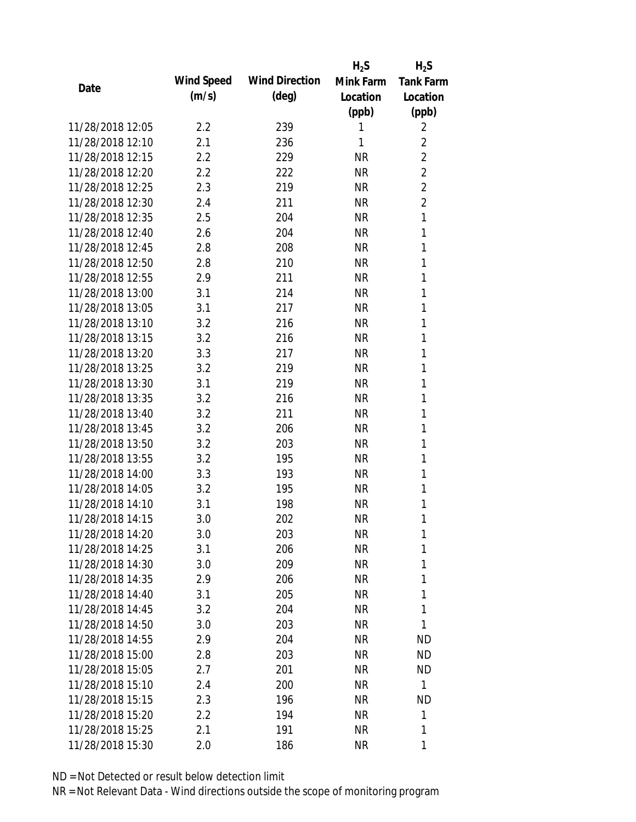|                  |            |                       | $H_2S$    | $H_2S$           |
|------------------|------------|-----------------------|-----------|------------------|
|                  | Wind Speed | <b>Wind Direction</b> | Mink Farm | <b>Tank Farm</b> |
| Date             | (m/s)      | $(\text{deg})$        | Location  | Location         |
|                  |            |                       | (ppb)     | (ppb)            |
| 11/28/2018 12:05 | 2.2        | 239                   | 1         | 2                |
| 11/28/2018 12:10 | 2.1        | 236                   | 1         | 2                |
| 11/28/2018 12:15 | 2.2        | 229                   | <b>NR</b> | $\overline{2}$   |
| 11/28/2018 12:20 | 2.2        | 222                   | <b>NR</b> | $\overline{2}$   |
| 11/28/2018 12:25 | 2.3        | 219                   | <b>NR</b> | $\overline{2}$   |
| 11/28/2018 12:30 | 2.4        | 211                   | <b>NR</b> | $\overline{2}$   |
| 11/28/2018 12:35 | 2.5        | 204                   | <b>NR</b> | 1                |
| 11/28/2018 12:40 | 2.6        | 204                   | <b>NR</b> | 1                |
| 11/28/2018 12:45 | 2.8        | 208                   | <b>NR</b> | 1                |
| 11/28/2018 12:50 | 2.8        | 210                   | <b>NR</b> | 1                |
| 11/28/2018 12:55 | 2.9        | 211                   | <b>NR</b> | 1                |
| 11/28/2018 13:00 | 3.1        | 214                   | <b>NR</b> | 1                |
| 11/28/2018 13:05 | 3.1        | 217                   | <b>NR</b> | 1                |
| 11/28/2018 13:10 | 3.2        | 216                   | <b>NR</b> | 1                |
| 11/28/2018 13:15 | 3.2        | 216                   | <b>NR</b> | 1                |
| 11/28/2018 13:20 | 3.3        | 217                   | <b>NR</b> | 1                |
| 11/28/2018 13:25 | 3.2        | 219                   | <b>NR</b> | 1                |
| 11/28/2018 13:30 | 3.1        | 219                   | <b>NR</b> | 1                |
| 11/28/2018 13:35 | 3.2        | 216                   | <b>NR</b> | 1                |
| 11/28/2018 13:40 | 3.2        | 211                   | <b>NR</b> | 1                |
| 11/28/2018 13:45 | 3.2        | 206                   | <b>NR</b> | 1                |
| 11/28/2018 13:50 | 3.2        | 203                   | <b>NR</b> | 1                |
| 11/28/2018 13:55 | 3.2        | 195                   | <b>NR</b> | 1                |
| 11/28/2018 14:00 | 3.3        | 193                   | <b>NR</b> | 1                |
| 11/28/2018 14:05 | 3.2        | 195                   | <b>NR</b> | 1                |
| 11/28/2018 14:10 | 3.1        | 198                   | <b>NR</b> | 1                |
| 11/28/2018 14:15 | 3.0        | 202                   | <b>NR</b> | 1                |
| 11/28/2018 14:20 | 3.0        | 203                   | <b>NR</b> | 1                |
| 11/28/2018 14:25 | 3.1        | 206                   | <b>NR</b> | 1                |
| 11/28/2018 14:30 | 3.0        | 209                   | <b>NR</b> | 1                |
| 11/28/2018 14:35 | 2.9        | 206                   | <b>NR</b> | 1                |
| 11/28/2018 14:40 | 3.1        | 205                   | <b>NR</b> | 1                |
| 11/28/2018 14:45 | 3.2        | 204                   | <b>NR</b> | 1                |
| 11/28/2018 14:50 | 3.0        | 203                   | <b>NR</b> | 1                |
| 11/28/2018 14:55 | 2.9        | 204                   | <b>NR</b> | <b>ND</b>        |
| 11/28/2018 15:00 | 2.8        | 203                   | <b>NR</b> | <b>ND</b>        |
| 11/28/2018 15:05 | 2.7        | 201                   | <b>NR</b> | <b>ND</b>        |
| 11/28/2018 15:10 | 2.4        | 200                   | <b>NR</b> | 1                |
| 11/28/2018 15:15 | 2.3        | 196                   | <b>NR</b> | <b>ND</b>        |
| 11/28/2018 15:20 | $2.2\,$    | 194                   | <b>NR</b> | 1                |
| 11/28/2018 15:25 | 2.1        | 191                   | <b>NR</b> | 1                |
| 11/28/2018 15:30 | 2.0        | 186                   | <b>NR</b> | 1                |
|                  |            |                       |           |                  |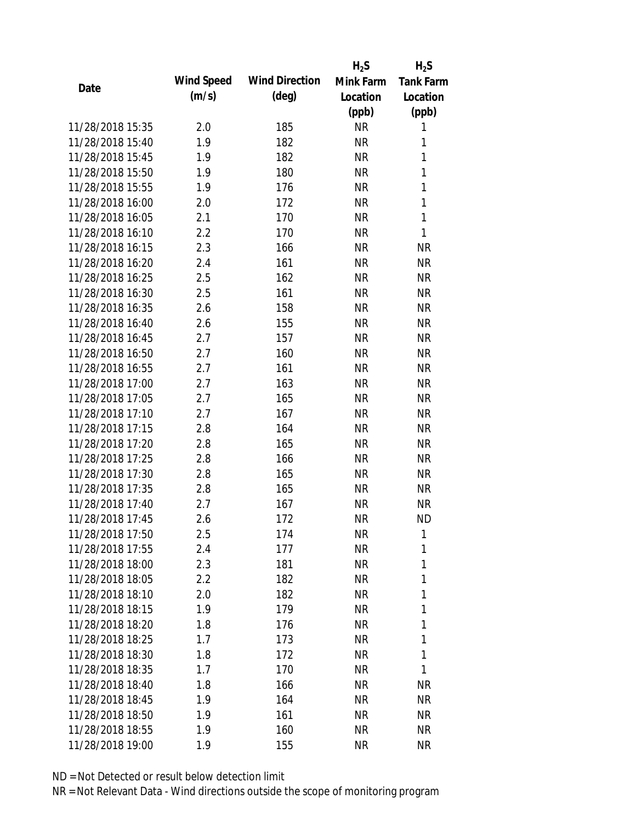|                  |            |                       | $H_2S$    | $H_2S$           |
|------------------|------------|-----------------------|-----------|------------------|
| Date             | Wind Speed | <b>Wind Direction</b> | Mink Farm | <b>Tank Farm</b> |
|                  | (m/s)      | $(\text{deg})$        | Location  | Location         |
|                  |            |                       | (ppb)     | (ppb)            |
| 11/28/2018 15:35 | 2.0        | 185                   | <b>NR</b> | 1                |
| 11/28/2018 15:40 | 1.9        | 182                   | <b>NR</b> | 1                |
| 11/28/2018 15:45 | 1.9        | 182                   | <b>NR</b> | $\mathbf{1}$     |
| 11/28/2018 15:50 | 1.9        | 180                   | <b>NR</b> | 1                |
| 11/28/2018 15:55 | 1.9        | 176                   | <b>NR</b> | $\mathbf{1}$     |
| 11/28/2018 16:00 | 2.0        | 172                   | <b>NR</b> | 1                |
| 11/28/2018 16:05 | 2.1        | 170                   | <b>NR</b> | 1                |
| 11/28/2018 16:10 | 2.2        | 170                   | <b>NR</b> | $\mathbf{1}$     |
| 11/28/2018 16:15 | 2.3        | 166                   | <b>NR</b> | <b>NR</b>        |
| 11/28/2018 16:20 | 2.4        | 161                   | <b>NR</b> | <b>NR</b>        |
| 11/28/2018 16:25 | 2.5        | 162                   | <b>NR</b> | <b>NR</b>        |
| 11/28/2018 16:30 | 2.5        | 161                   | <b>NR</b> | <b>NR</b>        |
| 11/28/2018 16:35 | 2.6        | 158                   | <b>NR</b> | <b>NR</b>        |
| 11/28/2018 16:40 | 2.6        | 155                   | <b>NR</b> | <b>NR</b>        |
| 11/28/2018 16:45 | 2.7        | 157                   | <b>NR</b> | <b>NR</b>        |
| 11/28/2018 16:50 | 2.7        | 160                   | <b>NR</b> | <b>NR</b>        |
| 11/28/2018 16:55 | 2.7        | 161                   | <b>NR</b> | <b>NR</b>        |
| 11/28/2018 17:00 | 2.7        | 163                   | <b>NR</b> | <b>NR</b>        |
| 11/28/2018 17:05 | 2.7        | 165                   | <b>NR</b> | <b>NR</b>        |
| 11/28/2018 17:10 | 2.7        | 167                   | <b>NR</b> | <b>NR</b>        |
| 11/28/2018 17:15 | 2.8        | 164                   | <b>NR</b> | <b>NR</b>        |
| 11/28/2018 17:20 | 2.8        | 165                   | <b>NR</b> | <b>NR</b>        |
| 11/28/2018 17:25 | 2.8        | 166                   | <b>NR</b> | <b>NR</b>        |
| 11/28/2018 17:30 | 2.8        | 165                   | <b>NR</b> | <b>NR</b>        |
| 11/28/2018 17:35 | 2.8        | 165                   | <b>NR</b> | <b>NR</b>        |
| 11/28/2018 17:40 | 2.7        | 167                   | <b>NR</b> | <b>NR</b>        |
| 11/28/2018 17:45 | 2.6        | 172                   | <b>NR</b> | <b>ND</b>        |
| 11/28/2018 17:50 | 2.5        | 174                   | <b>NR</b> | 1                |
| 11/28/2018 17:55 | 2.4        | 177                   | <b>NR</b> | 1                |
| 11/28/2018 18:00 | 2.3        | 181                   | <b>NR</b> | 1                |
| 11/28/2018 18:05 | 2.2        | 182                   | <b>NR</b> | 1                |
| 11/28/2018 18:10 | 2.0        | 182                   | <b>NR</b> | 1                |
| 11/28/2018 18:15 | 1.9        | 179                   | <b>NR</b> | 1                |
| 11/28/2018 18:20 | 1.8        | 176                   | <b>NR</b> | 1                |
| 11/28/2018 18:25 | 1.7        | 173                   | <b>NR</b> | 1                |
| 11/28/2018 18:30 | 1.8        | 172                   | <b>NR</b> | 1                |
| 11/28/2018 18:35 | 1.7        | 170                   | <b>NR</b> | 1                |
| 11/28/2018 18:40 | 1.8        | 166                   | <b>NR</b> | <b>NR</b>        |
| 11/28/2018 18:45 | 1.9        | 164                   | <b>NR</b> | <b>NR</b>        |
| 11/28/2018 18:50 | 1.9        | 161                   | <b>NR</b> | <b>NR</b>        |
| 11/28/2018 18:55 | 1.9        | 160                   | <b>NR</b> | <b>NR</b>        |
| 11/28/2018 19:00 | 1.9        | 155                   | <b>NR</b> | <b>NR</b>        |
|                  |            |                       |           |                  |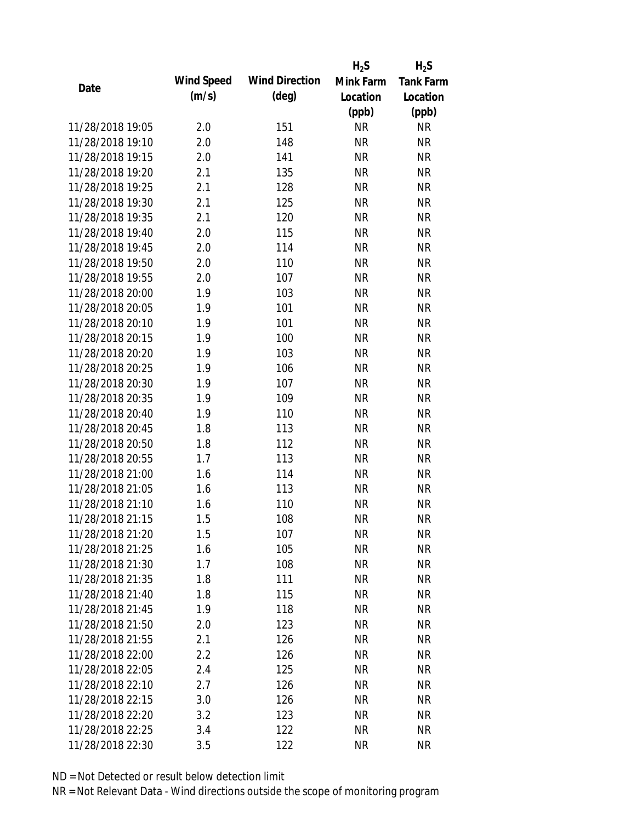|                  |            |                       | $H_2S$    | $H_2S$           |
|------------------|------------|-----------------------|-----------|------------------|
| Date             | Wind Speed | <b>Wind Direction</b> | Mink Farm | <b>Tank Farm</b> |
|                  | (m/s)      | $(\text{deg})$        | Location  | Location         |
|                  |            |                       | (ppb)     | (ppb)            |
| 11/28/2018 19:05 | 2.0        | 151                   | <b>NR</b> | <b>NR</b>        |
| 11/28/2018 19:10 | 2.0        | 148                   | <b>NR</b> | <b>NR</b>        |
| 11/28/2018 19:15 | 2.0        | 141                   | <b>NR</b> | <b>NR</b>        |
| 11/28/2018 19:20 | 2.1        | 135                   | <b>NR</b> | <b>NR</b>        |
| 11/28/2018 19:25 | 2.1        | 128                   | <b>NR</b> | <b>NR</b>        |
| 11/28/2018 19:30 | 2.1        | 125                   | <b>NR</b> | <b>NR</b>        |
| 11/28/2018 19:35 | 2.1        | 120                   | <b>NR</b> | <b>NR</b>        |
| 11/28/2018 19:40 | 2.0        | 115                   | <b>NR</b> | <b>NR</b>        |
| 11/28/2018 19:45 | 2.0        | 114                   | <b>NR</b> | <b>NR</b>        |
| 11/28/2018 19:50 | 2.0        | 110                   | <b>NR</b> | <b>NR</b>        |
| 11/28/2018 19:55 | 2.0        | 107                   | <b>NR</b> | <b>NR</b>        |
| 11/28/2018 20:00 | 1.9        | 103                   | <b>NR</b> | <b>NR</b>        |
| 11/28/2018 20:05 | 1.9        | 101                   | <b>NR</b> | <b>NR</b>        |
| 11/28/2018 20:10 | 1.9        | 101                   | <b>NR</b> | <b>NR</b>        |
| 11/28/2018 20:15 | 1.9        | 100                   | <b>NR</b> | <b>NR</b>        |
| 11/28/2018 20:20 | 1.9        | 103                   | <b>NR</b> | <b>NR</b>        |
| 11/28/2018 20:25 | 1.9        | 106                   | <b>NR</b> | <b>NR</b>        |
| 11/28/2018 20:30 | 1.9        | 107                   | <b>NR</b> | <b>NR</b>        |
| 11/28/2018 20:35 | 1.9        | 109                   | <b>NR</b> | <b>NR</b>        |
| 11/28/2018 20:40 | 1.9        | 110                   | <b>NR</b> | <b>NR</b>        |
| 11/28/2018 20:45 | 1.8        | 113                   | <b>NR</b> | <b>NR</b>        |
| 11/28/2018 20:50 | 1.8        | 112                   | <b>NR</b> | <b>NR</b>        |
| 11/28/2018 20:55 | 1.7        | 113                   | <b>NR</b> | <b>NR</b>        |
| 11/28/2018 21:00 | 1.6        | 114                   | <b>NR</b> | <b>NR</b>        |
| 11/28/2018 21:05 | 1.6        | 113                   | <b>NR</b> | <b>NR</b>        |
| 11/28/2018 21:10 | 1.6        | 110                   | <b>NR</b> | <b>NR</b>        |
| 11/28/2018 21:15 | 1.5        | 108                   | <b>NR</b> | <b>NR</b>        |
| 11/28/2018 21:20 | 1.5        | 107                   | <b>NR</b> | <b>NR</b>        |
| 11/28/2018 21:25 | 1.6        | 105                   | <b>NR</b> | <b>NR</b>        |
| 11/28/2018 21:30 | 1.7        | 108                   | <b>NR</b> | <b>NR</b>        |
| 11/28/2018 21:35 | 1.8        | 111                   | NR        | <b>NR</b>        |
| 11/28/2018 21:40 | 1.8        | 115                   | <b>NR</b> | <b>NR</b>        |
| 11/28/2018 21:45 | 1.9        | 118                   | <b>NR</b> | <b>NR</b>        |
| 11/28/2018 21:50 | 2.0        | 123                   | <b>NR</b> | <b>NR</b>        |
| 11/28/2018 21:55 | 2.1        | 126                   | <b>NR</b> | NR               |
| 11/28/2018 22:00 | 2.2        | 126                   | <b>NR</b> | <b>NR</b>        |
| 11/28/2018 22:05 | 2.4        | 125                   | <b>NR</b> | <b>NR</b>        |
| 11/28/2018 22:10 | 2.7        | 126                   | NR        | <b>NR</b>        |
| 11/28/2018 22:15 | 3.0        | 126                   | <b>NR</b> | NR               |
| 11/28/2018 22:20 | 3.2        | 123                   | <b>NR</b> | <b>NR</b>        |
| 11/28/2018 22:25 | 3.4        | 122                   | <b>NR</b> | <b>NR</b>        |
| 11/28/2018 22:30 | 3.5        | 122                   | <b>NR</b> | <b>NR</b>        |
|                  |            |                       |           |                  |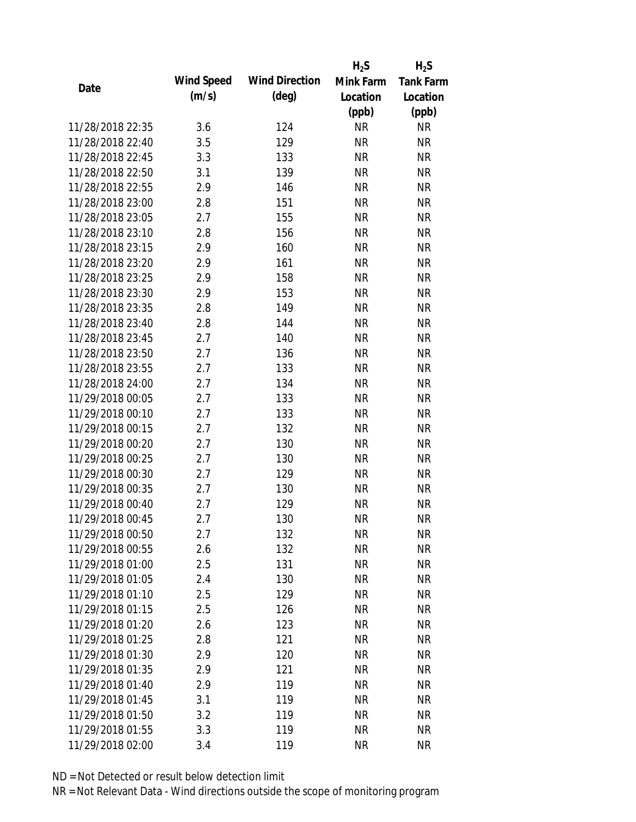|                  |            |                       | $H_2S$    | $H_2S$           |
|------------------|------------|-----------------------|-----------|------------------|
| Date             | Wind Speed | <b>Wind Direction</b> | Mink Farm | <b>Tank Farm</b> |
|                  | (m/s)      | $(\text{deg})$        | Location  | Location         |
|                  |            |                       | (ppb)     | (ppb)            |
| 11/28/2018 22:35 | 3.6        | 124                   | <b>NR</b> | <b>NR</b>        |
| 11/28/2018 22:40 | 3.5        | 129                   | <b>NR</b> | <b>NR</b>        |
| 11/28/2018 22:45 | 3.3        | 133                   | <b>NR</b> | <b>NR</b>        |
| 11/28/2018 22:50 | 3.1        | 139                   | <b>NR</b> | <b>NR</b>        |
| 11/28/2018 22:55 | 2.9        | 146                   | <b>NR</b> | <b>NR</b>        |
| 11/28/2018 23:00 | 2.8        | 151                   | <b>NR</b> | <b>NR</b>        |
| 11/28/2018 23:05 | 2.7        | 155                   | <b>NR</b> | <b>NR</b>        |
| 11/28/2018 23:10 | 2.8        | 156                   | <b>NR</b> | <b>NR</b>        |
| 11/28/2018 23:15 | 2.9        | 160                   | <b>NR</b> | <b>NR</b>        |
| 11/28/2018 23:20 | 2.9        | 161                   | <b>NR</b> | <b>NR</b>        |
| 11/28/2018 23:25 | 2.9        | 158                   | <b>NR</b> | <b>NR</b>        |
| 11/28/2018 23:30 | 2.9        | 153                   | <b>NR</b> | <b>NR</b>        |
| 11/28/2018 23:35 | 2.8        | 149                   | <b>NR</b> | <b>NR</b>        |
| 11/28/2018 23:40 | 2.8        | 144                   | <b>NR</b> | <b>NR</b>        |
| 11/28/2018 23:45 | 2.7        | 140                   | <b>NR</b> | <b>NR</b>        |
| 11/28/2018 23:50 | 2.7        | 136                   | <b>NR</b> | <b>NR</b>        |
| 11/28/2018 23:55 | 2.7        | 133                   | <b>NR</b> | <b>NR</b>        |
| 11/28/2018 24:00 | 2.7        | 134                   | <b>NR</b> | <b>NR</b>        |
| 11/29/2018 00:05 | 2.7        | 133                   | <b>NR</b> | <b>NR</b>        |
| 11/29/2018 00:10 | 2.7        | 133                   | <b>NR</b> | <b>NR</b>        |
| 11/29/2018 00:15 | 2.7        | 132                   | <b>NR</b> | <b>NR</b>        |
| 11/29/2018 00:20 | 2.7        | 130                   | <b>NR</b> | <b>NR</b>        |
| 11/29/2018 00:25 | 2.7        | 130                   | <b>NR</b> | <b>NR</b>        |
| 11/29/2018 00:30 | 2.7        | 129                   | <b>NR</b> | <b>NR</b>        |
| 11/29/2018 00:35 | 2.7        | 130                   | <b>NR</b> | <b>NR</b>        |
| 11/29/2018 00:40 | 2.7        | 129                   | <b>NR</b> | <b>NR</b>        |
| 11/29/2018 00:45 | 2.7        | 130                   | <b>NR</b> | <b>NR</b>        |
| 11/29/2018 00:50 | 2.7        | 132                   | <b>NR</b> | <b>NR</b>        |
| 11/29/2018 00:55 | 2.6        | 132                   | <b>NR</b> | <b>NR</b>        |
| 11/29/2018 01:00 | 2.5        | 131                   | <b>NR</b> | <b>NR</b>        |
| 11/29/2018 01:05 | 2.4        | 130                   | <b>NR</b> | <b>NR</b>        |
| 11/29/2018 01:10 | 2.5        | 129                   | <b>NR</b> | <b>NR</b>        |
| 11/29/2018 01:15 | 2.5        | 126                   | <b>NR</b> | <b>NR</b>        |
| 11/29/2018 01:20 | 2.6        | 123                   | <b>NR</b> | <b>NR</b>        |
| 11/29/2018 01:25 | 2.8        | 121                   | <b>NR</b> | <b>NR</b>        |
| 11/29/2018 01:30 | 2.9        | 120                   | <b>NR</b> | <b>NR</b>        |
| 11/29/2018 01:35 | 2.9        | 121                   | <b>NR</b> | <b>NR</b>        |
| 11/29/2018 01:40 | 2.9        | 119                   | <b>NR</b> | <b>NR</b>        |
| 11/29/2018 01:45 | 3.1        | 119                   | <b>NR</b> | <b>NR</b>        |
| 11/29/2018 01:50 | 3.2        | 119                   | <b>NR</b> | <b>NR</b>        |
| 11/29/2018 01:55 | 3.3        | 119                   | <b>NR</b> | <b>NR</b>        |
|                  |            |                       |           |                  |
| 11/29/2018 02:00 | 3.4        | 119                   | <b>NR</b> | <b>NR</b>        |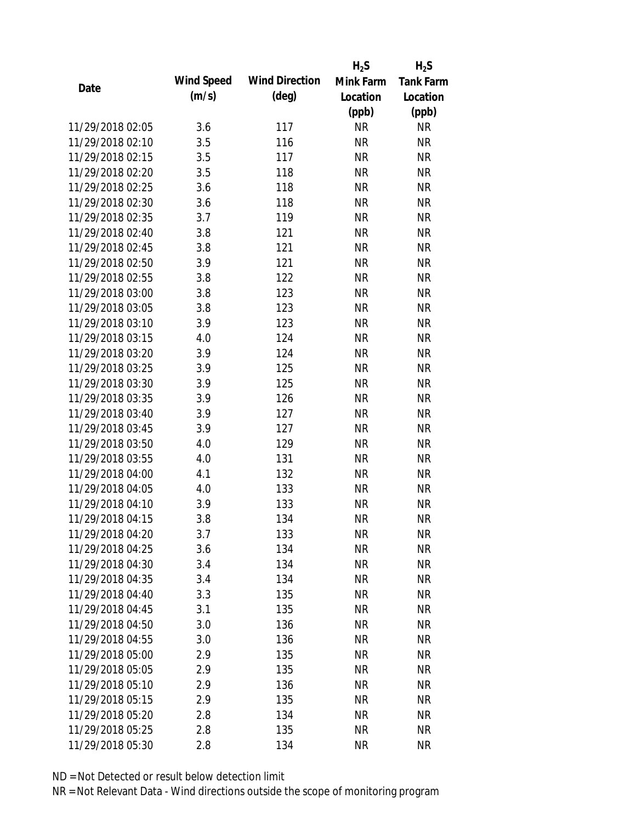|                  |            |                       | $H_2S$    | $H_2S$           |
|------------------|------------|-----------------------|-----------|------------------|
|                  | Wind Speed | <b>Wind Direction</b> | Mink Farm | <b>Tank Farm</b> |
| Date             | (m/s)      | $(\text{deg})$        | Location  | Location         |
|                  |            |                       | (ppb)     | (ppb)            |
| 11/29/2018 02:05 | 3.6        | 117                   | <b>NR</b> | <b>NR</b>        |
| 11/29/2018 02:10 | 3.5        | 116                   | <b>NR</b> | <b>NR</b>        |
| 11/29/2018 02:15 | 3.5        | 117                   | <b>NR</b> | <b>NR</b>        |
| 11/29/2018 02:20 | 3.5        | 118                   | <b>NR</b> | <b>NR</b>        |
| 11/29/2018 02:25 | 3.6        | 118                   | <b>NR</b> | <b>NR</b>        |
| 11/29/2018 02:30 | 3.6        | 118                   | <b>NR</b> | <b>NR</b>        |
| 11/29/2018 02:35 | 3.7        | 119                   | <b>NR</b> | <b>NR</b>        |
| 11/29/2018 02:40 | 3.8        | 121                   | <b>NR</b> | <b>NR</b>        |
| 11/29/2018 02:45 | 3.8        | 121                   | <b>NR</b> | <b>NR</b>        |
| 11/29/2018 02:50 | 3.9        | 121                   | <b>NR</b> | <b>NR</b>        |
| 11/29/2018 02:55 | 3.8        | 122                   | <b>NR</b> | <b>NR</b>        |
| 11/29/2018 03:00 | 3.8        | 123                   | <b>NR</b> | <b>NR</b>        |
| 11/29/2018 03:05 | 3.8        | 123                   | <b>NR</b> | <b>NR</b>        |
| 11/29/2018 03:10 | 3.9        | 123                   | <b>NR</b> | <b>NR</b>        |
| 11/29/2018 03:15 | 4.0        | 124                   | <b>NR</b> | <b>NR</b>        |
| 11/29/2018 03:20 | 3.9        | 124                   | <b>NR</b> | <b>NR</b>        |
| 11/29/2018 03:25 | 3.9        | 125                   | <b>NR</b> | <b>NR</b>        |
| 11/29/2018 03:30 | 3.9        | 125                   | <b>NR</b> | <b>NR</b>        |
| 11/29/2018 03:35 | 3.9        | 126                   | <b>NR</b> | <b>NR</b>        |
| 11/29/2018 03:40 | 3.9        | 127                   | <b>NR</b> | <b>NR</b>        |
| 11/29/2018 03:45 | 3.9        | 127                   | <b>NR</b> | <b>NR</b>        |
| 11/29/2018 03:50 | 4.0        | 129                   | <b>NR</b> | <b>NR</b>        |
| 11/29/2018 03:55 | 4.0        | 131                   | <b>NR</b> | <b>NR</b>        |
| 11/29/2018 04:00 | 4.1        | 132                   | <b>NR</b> | <b>NR</b>        |
| 11/29/2018 04:05 | 4.0        | 133                   | <b>NR</b> | <b>NR</b>        |
| 11/29/2018 04:10 | 3.9        | 133                   | <b>NR</b> | <b>NR</b>        |
| 11/29/2018 04:15 | 3.8        | 134                   | <b>NR</b> | <b>NR</b>        |
| 11/29/2018 04:20 | 3.7        | 133                   | <b>NR</b> | <b>NR</b>        |
| 11/29/2018 04:25 | 3.6        | 134                   | <b>NR</b> | <b>NR</b>        |
| 11/29/2018 04:30 | 3.4        | 134                   | <b>NR</b> | <b>NR</b>        |
| 11/29/2018 04:35 | 3.4        | 134                   | <b>NR</b> | <b>NR</b>        |
| 11/29/2018 04:40 | 3.3        | 135                   | <b>NR</b> | <b>NR</b>        |
| 11/29/2018 04:45 | 3.1        | 135                   | <b>NR</b> | <b>NR</b>        |
| 11/29/2018 04:50 | 3.0        | 136                   | <b>NR</b> | <b>NR</b>        |
| 11/29/2018 04:55 | 3.0        | 136                   | <b>NR</b> | <b>NR</b>        |
| 11/29/2018 05:00 | 2.9        | 135                   | NR        | <b>NR</b>        |
| 11/29/2018 05:05 | 2.9        | 135                   | <b>NR</b> | <b>NR</b>        |
| 11/29/2018 05:10 | 2.9        | 136                   | <b>NR</b> | <b>NR</b>        |
| 11/29/2018 05:15 | 2.9        | 135                   | <b>NR</b> | <b>NR</b>        |
| 11/29/2018 05:20 | 2.8        | 134                   | <b>NR</b> | <b>NR</b>        |
| 11/29/2018 05:25 | 2.8        | 135                   | <b>NR</b> | <b>NR</b>        |
| 11/29/2018 05:30 | 2.8        |                       | <b>NR</b> | <b>NR</b>        |
|                  |            | 134                   |           |                  |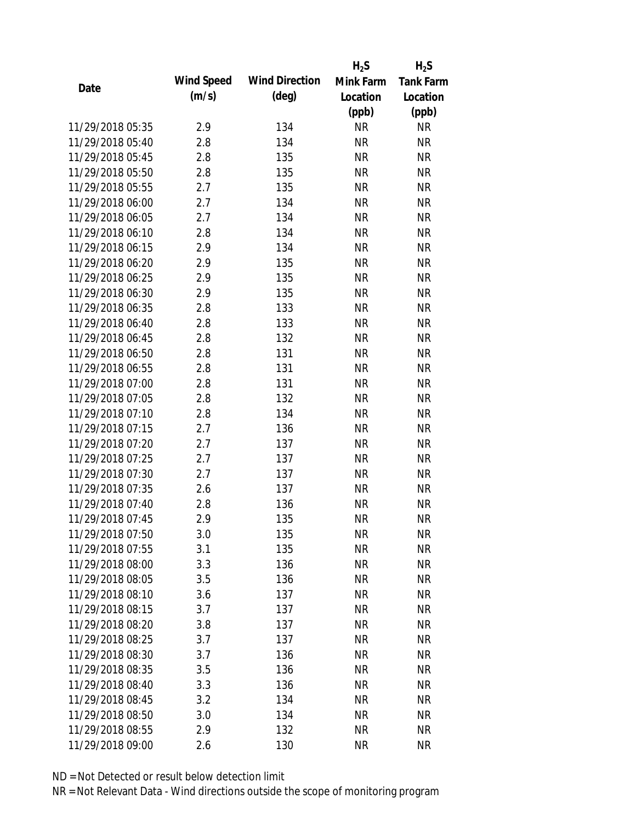|                  |            |                       | $H_2S$    | $H_2S$           |
|------------------|------------|-----------------------|-----------|------------------|
| Date             | Wind Speed | <b>Wind Direction</b> | Mink Farm | <b>Tank Farm</b> |
|                  | (m/s)      | $(\text{deg})$        | Location  | Location         |
|                  |            |                       | (ppb)     | (ppb)            |
| 11/29/2018 05:35 | 2.9        | 134                   | <b>NR</b> | <b>NR</b>        |
| 11/29/2018 05:40 | 2.8        | 134                   | <b>NR</b> | <b>NR</b>        |
| 11/29/2018 05:45 | 2.8        | 135                   | <b>NR</b> | <b>NR</b>        |
| 11/29/2018 05:50 | 2.8        | 135                   | <b>NR</b> | <b>NR</b>        |
| 11/29/2018 05:55 | 2.7        | 135                   | <b>NR</b> | <b>NR</b>        |
| 11/29/2018 06:00 | 2.7        | 134                   | <b>NR</b> | <b>NR</b>        |
| 11/29/2018 06:05 | 2.7        | 134                   | <b>NR</b> | <b>NR</b>        |
| 11/29/2018 06:10 | 2.8        | 134                   | <b>NR</b> | <b>NR</b>        |
| 11/29/2018 06:15 | 2.9        | 134                   | <b>NR</b> | <b>NR</b>        |
| 11/29/2018 06:20 | 2.9        | 135                   | <b>NR</b> | <b>NR</b>        |
| 11/29/2018 06:25 | 2.9        | 135                   | <b>NR</b> | <b>NR</b>        |
| 11/29/2018 06:30 | 2.9        | 135                   | <b>NR</b> | <b>NR</b>        |
| 11/29/2018 06:35 | 2.8        | 133                   | <b>NR</b> | <b>NR</b>        |
| 11/29/2018 06:40 | 2.8        | 133                   | <b>NR</b> | <b>NR</b>        |
| 11/29/2018 06:45 | 2.8        | 132                   | <b>NR</b> | <b>NR</b>        |
| 11/29/2018 06:50 | 2.8        | 131                   | <b>NR</b> | <b>NR</b>        |
| 11/29/2018 06:55 | 2.8        | 131                   | <b>NR</b> | <b>NR</b>        |
| 11/29/2018 07:00 | 2.8        | 131                   | <b>NR</b> | <b>NR</b>        |
| 11/29/2018 07:05 | 2.8        | 132                   | <b>NR</b> | <b>NR</b>        |
| 11/29/2018 07:10 | 2.8        | 134                   | <b>NR</b> | <b>NR</b>        |
| 11/29/2018 07:15 | 2.7        | 136                   | <b>NR</b> | <b>NR</b>        |
| 11/29/2018 07:20 | 2.7        | 137                   | <b>NR</b> | <b>NR</b>        |
| 11/29/2018 07:25 | 2.7        | 137                   | <b>NR</b> | <b>NR</b>        |
| 11/29/2018 07:30 | 2.7        | 137                   | <b>NR</b> | <b>NR</b>        |
| 11/29/2018 07:35 | 2.6        | 137                   | <b>NR</b> | <b>NR</b>        |
| 11/29/2018 07:40 | 2.8        | 136                   | <b>NR</b> | <b>NR</b>        |
| 11/29/2018 07:45 | 2.9        | 135                   | <b>NR</b> | <b>NR</b>        |
| 11/29/2018 07:50 | 3.0        | 135                   | <b>NR</b> | <b>NR</b>        |
| 11/29/2018 07:55 | 3.1        | 135                   | <b>NR</b> | <b>NR</b>        |
| 11/29/2018 08:00 | 3.3        | 136                   | <b>NR</b> | <b>NR</b>        |
| 11/29/2018 08:05 | 3.5        | 136                   | <b>NR</b> | <b>NR</b>        |
| 11/29/2018 08:10 | 3.6        | 137                   | <b>NR</b> | <b>NR</b>        |
| 11/29/2018 08:15 | 3.7        | 137                   | <b>NR</b> | <b>NR</b>        |
| 11/29/2018 08:20 | 3.8        | 137                   | <b>NR</b> | <b>NR</b>        |
| 11/29/2018 08:25 | 3.7        | 137                   | <b>NR</b> | <b>NR</b>        |
| 11/29/2018 08:30 | 3.7        | 136                   | <b>NR</b> | <b>NR</b>        |
| 11/29/2018 08:35 | 3.5        | 136                   | <b>NR</b> | <b>NR</b>        |
| 11/29/2018 08:40 | 3.3        | 136                   | NR        | <b>NR</b>        |
| 11/29/2018 08:45 | 3.2        | 134                   | <b>NR</b> | <b>NR</b>        |
| 11/29/2018 08:50 | 3.0        | 134                   | <b>NR</b> | <b>NR</b>        |
| 11/29/2018 08:55 | 2.9        | 132                   | <b>NR</b> | <b>NR</b>        |
| 11/29/2018 09:00 | 2.6        | 130                   | <b>NR</b> | <b>NR</b>        |
|                  |            |                       |           |                  |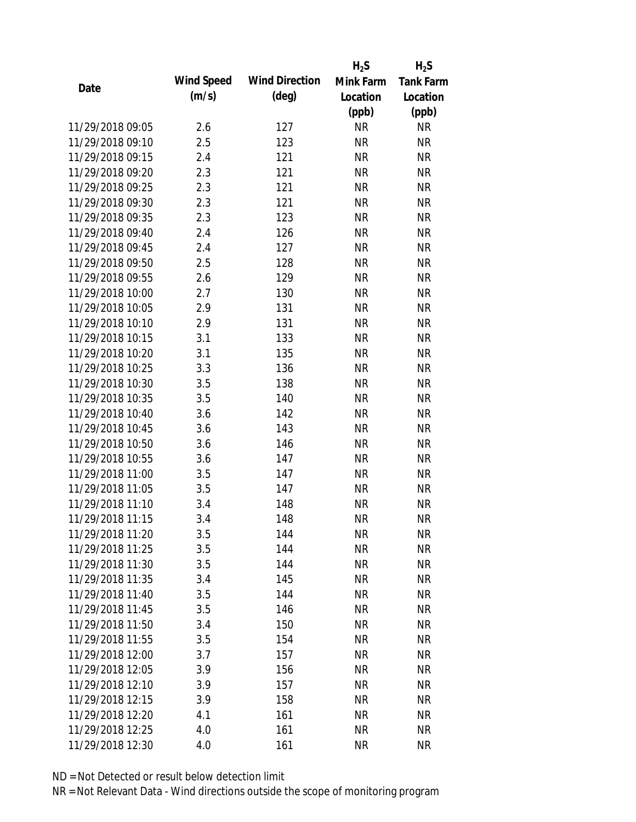|                  |            |                       | $H_2S$    | $H_2S$           |
|------------------|------------|-----------------------|-----------|------------------|
|                  | Wind Speed | <b>Wind Direction</b> | Mink Farm | <b>Tank Farm</b> |
| Date             | (m/s)      | $(\text{deg})$        | Location  | Location         |
|                  |            |                       | (ppb)     | (ppb)            |
| 11/29/2018 09:05 | 2.6        | 127                   | <b>NR</b> | <b>NR</b>        |
| 11/29/2018 09:10 | 2.5        | 123                   | <b>NR</b> | <b>NR</b>        |
| 11/29/2018 09:15 | 2.4        | 121                   | <b>NR</b> | <b>NR</b>        |
| 11/29/2018 09:20 | 2.3        | 121                   | <b>NR</b> | <b>NR</b>        |
| 11/29/2018 09:25 | 2.3        | 121                   | <b>NR</b> | <b>NR</b>        |
| 11/29/2018 09:30 | 2.3        | 121                   | <b>NR</b> | <b>NR</b>        |
| 11/29/2018 09:35 | 2.3        | 123                   | <b>NR</b> | <b>NR</b>        |
| 11/29/2018 09:40 | 2.4        | 126                   | <b>NR</b> | <b>NR</b>        |
| 11/29/2018 09:45 | 2.4        | 127                   | <b>NR</b> | <b>NR</b>        |
| 11/29/2018 09:50 | 2.5        | 128                   | <b>NR</b> | <b>NR</b>        |
| 11/29/2018 09:55 | 2.6        | 129                   | <b>NR</b> | <b>NR</b>        |
| 11/29/2018 10:00 | 2.7        | 130                   | <b>NR</b> | <b>NR</b>        |
| 11/29/2018 10:05 | 2.9        | 131                   | <b>NR</b> | <b>NR</b>        |
| 11/29/2018 10:10 | 2.9        | 131                   | <b>NR</b> | <b>NR</b>        |
| 11/29/2018 10:15 | 3.1        | 133                   | <b>NR</b> | <b>NR</b>        |
| 11/29/2018 10:20 | 3.1        | 135                   | <b>NR</b> | <b>NR</b>        |
| 11/29/2018 10:25 | 3.3        | 136                   | <b>NR</b> | <b>NR</b>        |
| 11/29/2018 10:30 | 3.5        | 138                   | <b>NR</b> | <b>NR</b>        |
| 11/29/2018 10:35 | 3.5        | 140                   | <b>NR</b> | <b>NR</b>        |
| 11/29/2018 10:40 | 3.6        | 142                   | <b>NR</b> | <b>NR</b>        |
| 11/29/2018 10:45 | 3.6        | 143                   | <b>NR</b> | <b>NR</b>        |
| 11/29/2018 10:50 | 3.6        | 146                   | <b>NR</b> | <b>NR</b>        |
| 11/29/2018 10:55 | 3.6        | 147                   | <b>NR</b> | <b>NR</b>        |
| 11/29/2018 11:00 | 3.5        | 147                   | <b>NR</b> | <b>NR</b>        |
| 11/29/2018 11:05 | 3.5        | 147                   | <b>NR</b> | <b>NR</b>        |
| 11/29/2018 11:10 | 3.4        | 148                   | <b>NR</b> | <b>NR</b>        |
| 11/29/2018 11:15 | 3.4        | 148                   | <b>NR</b> | <b>NR</b>        |
| 11/29/2018 11:20 | 3.5        | 144                   | <b>NR</b> | <b>NR</b>        |
| 11/29/2018 11:25 | 3.5        | 144                   | <b>NR</b> | <b>NR</b>        |
| 11/29/2018 11:30 | 3.5        | 144                   | <b>NR</b> | <b>NR</b>        |
| 11/29/2018 11:35 | 3.4        | 145                   | NR        | <b>NR</b>        |
| 11/29/2018 11:40 | 3.5        | 144                   | <b>NR</b> | <b>NR</b>        |
| 11/29/2018 11:45 | 3.5        | 146                   | <b>NR</b> | <b>NR</b>        |
| 11/29/2018 11:50 | 3.4        | 150                   | <b>NR</b> | <b>NR</b>        |
| 11/29/2018 11:55 | 3.5        | 154                   | <b>NR</b> | NR               |
| 11/29/2018 12:00 | 3.7        | 157                   | NR        | <b>NR</b>        |
| 11/29/2018 12:05 | 3.9        | 156                   | <b>NR</b> | <b>NR</b>        |
| 11/29/2018 12:10 | 3.9        | 157                   | <b>NR</b> | <b>NR</b>        |
| 11/29/2018 12:15 | 3.9        | 158                   | <b>NR</b> | <b>NR</b>        |
| 11/29/2018 12:20 | 4.1        | 161                   | <b>NR</b> | <b>NR</b>        |
| 11/29/2018 12:25 | 4.0        | 161                   | <b>NR</b> | <b>NR</b>        |
| 11/29/2018 12:30 | 4.0        | 161                   | <b>NR</b> | <b>NR</b>        |
|                  |            |                       |           |                  |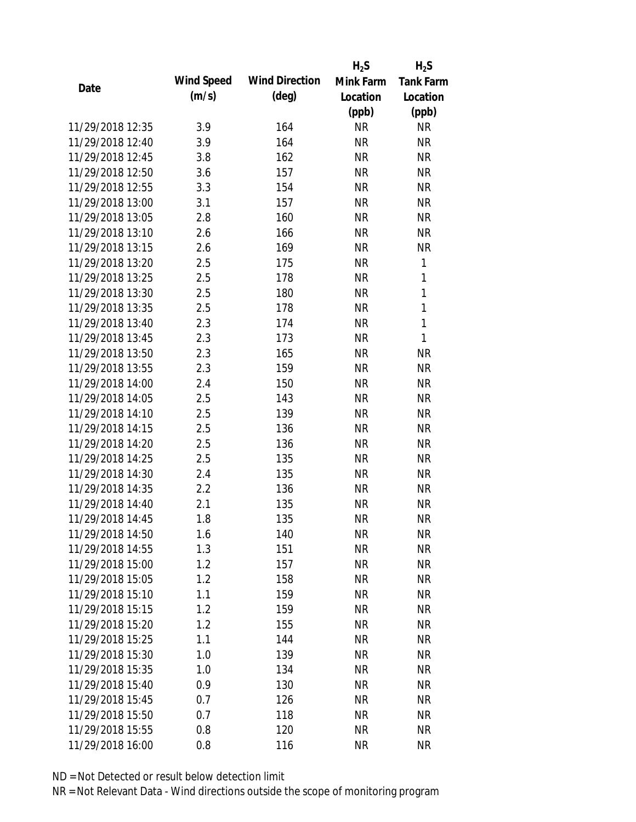|                  |            |                       | $H_2S$    | $H_2S$           |
|------------------|------------|-----------------------|-----------|------------------|
|                  | Wind Speed | <b>Wind Direction</b> | Mink Farm | <b>Tank Farm</b> |
| Date             | (m/s)      | $(\text{deg})$        | Location  | Location         |
|                  |            |                       | (ppb)     | (ppb)            |
| 11/29/2018 12:35 | 3.9        | 164                   | <b>NR</b> | <b>NR</b>        |
| 11/29/2018 12:40 | 3.9        | 164                   | <b>NR</b> | <b>NR</b>        |
| 11/29/2018 12:45 | 3.8        | 162                   | <b>NR</b> | <b>NR</b>        |
| 11/29/2018 12:50 | 3.6        | 157                   | <b>NR</b> | <b>NR</b>        |
| 11/29/2018 12:55 | 3.3        | 154                   | <b>NR</b> | <b>NR</b>        |
| 11/29/2018 13:00 | 3.1        | 157                   | <b>NR</b> | <b>NR</b>        |
| 11/29/2018 13:05 | 2.8        | 160                   | <b>NR</b> | <b>NR</b>        |
| 11/29/2018 13:10 | 2.6        | 166                   | <b>NR</b> | <b>NR</b>        |
| 11/29/2018 13:15 | 2.6        | 169                   | <b>NR</b> | <b>NR</b>        |
| 11/29/2018 13:20 | 2.5        | 175                   | <b>NR</b> | 1                |
| 11/29/2018 13:25 | 2.5        | 178                   | <b>NR</b> | 1                |
| 11/29/2018 13:30 | 2.5        | 180                   | <b>NR</b> | $\mathbf{1}$     |
| 11/29/2018 13:35 | 2.5        | 178                   | <b>NR</b> | $\mathbf 1$      |
| 11/29/2018 13:40 | 2.3        | 174                   | <b>NR</b> | $\mathbf{1}$     |
| 11/29/2018 13:45 | 2.3        | 173                   | <b>NR</b> | $\mathbf{1}$     |
| 11/29/2018 13:50 | 2.3        | 165                   | <b>NR</b> | <b>NR</b>        |
| 11/29/2018 13:55 | 2.3        | 159                   | <b>NR</b> | <b>NR</b>        |
| 11/29/2018 14:00 | 2.4        | 150                   | <b>NR</b> | <b>NR</b>        |
| 11/29/2018 14:05 | 2.5        | 143                   | <b>NR</b> | <b>NR</b>        |
| 11/29/2018 14:10 | 2.5        | 139                   | <b>NR</b> | <b>NR</b>        |
| 11/29/2018 14:15 | 2.5        | 136                   | <b>NR</b> | <b>NR</b>        |
| 11/29/2018 14:20 | 2.5        | 136                   | <b>NR</b> | <b>NR</b>        |
| 11/29/2018 14:25 | 2.5        | 135                   | <b>NR</b> | <b>NR</b>        |
| 11/29/2018 14:30 | 2.4        | 135                   | <b>NR</b> | <b>NR</b>        |
| 11/29/2018 14:35 | 2.2        | 136                   | <b>NR</b> | <b>NR</b>        |
| 11/29/2018 14:40 | 2.1        | 135                   | <b>NR</b> | <b>NR</b>        |
| 11/29/2018 14:45 | 1.8        | 135                   | <b>NR</b> | <b>NR</b>        |
| 11/29/2018 14:50 | 1.6        | 140                   | <b>NR</b> | <b>NR</b>        |
| 11/29/2018 14:55 | 1.3        | 151                   | <b>NR</b> | <b>NR</b>        |
| 11/29/2018 15:00 | 1.2        | 157                   | <b>NR</b> | <b>NR</b>        |
| 11/29/2018 15:05 | 1.2        | 158                   | <b>NR</b> | <b>NR</b>        |
| 11/29/2018 15:10 | 1.1        | 159                   | <b>NR</b> | NR               |
| 11/29/2018 15:15 | 1.2        | 159                   | <b>NR</b> | <b>NR</b>        |
| 11/29/2018 15:20 | 1.2        | 155                   | <b>NR</b> | <b>NR</b>        |
| 11/29/2018 15:25 | 1.1        | 144                   | <b>NR</b> | <b>NR</b>        |
| 11/29/2018 15:30 | 1.0        | 139                   | <b>NR</b> | <b>NR</b>        |
| 11/29/2018 15:35 | 1.0        | 134                   | <b>NR</b> | <b>NR</b>        |
| 11/29/2018 15:40 | 0.9        | 130                   | <b>NR</b> | <b>NR</b>        |
| 11/29/2018 15:45 | 0.7        | 126                   | <b>NR</b> | <b>NR</b>        |
| 11/29/2018 15:50 | 0.7        | 118                   | <b>NR</b> | NR               |
| 11/29/2018 15:55 | 0.8        | 120                   | <b>NR</b> | <b>NR</b>        |
| 11/29/2018 16:00 | 0.8        | 116                   | <b>NR</b> | <b>NR</b>        |
|                  |            |                       |           |                  |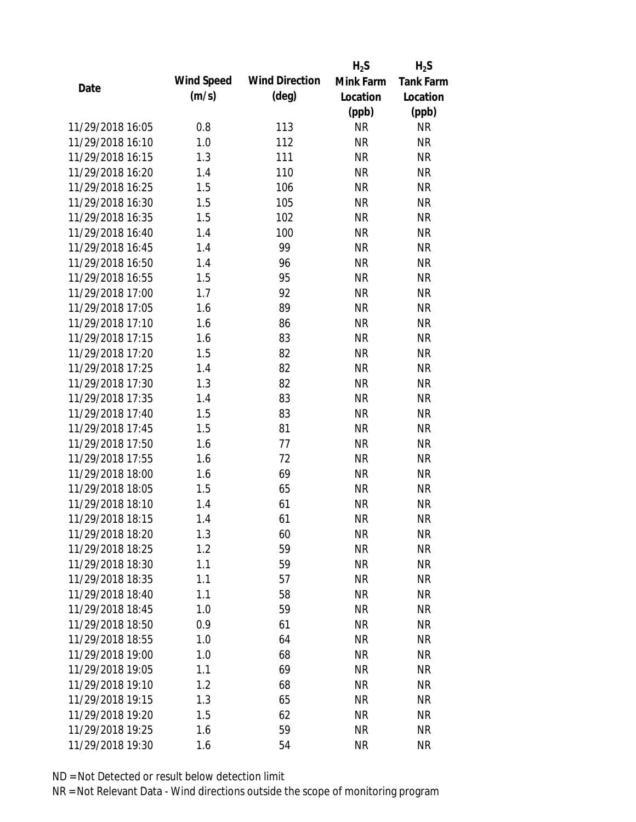|                  |            |                       | $H_2S$    | $H_2S$           |
|------------------|------------|-----------------------|-----------|------------------|
| Date             | Wind Speed | <b>Wind Direction</b> | Mink Farm | <b>Tank Farm</b> |
|                  | (m/s)      | $(\text{deg})$        | Location  | Location         |
|                  |            |                       | (ppb)     | (ppb)            |
| 11/29/2018 16:05 | 0.8        | 113                   | <b>NR</b> | <b>NR</b>        |
| 11/29/2018 16:10 | 1.0        | 112                   | <b>NR</b> | <b>NR</b>        |
| 11/29/2018 16:15 | 1.3        | 111                   | <b>NR</b> | <b>NR</b>        |
| 11/29/2018 16:20 | 1.4        | 110                   | <b>NR</b> | <b>NR</b>        |
| 11/29/2018 16:25 | 1.5        | 106                   | <b>NR</b> | <b>NR</b>        |
| 11/29/2018 16:30 | 1.5        | 105                   | <b>NR</b> | <b>NR</b>        |
| 11/29/2018 16:35 | 1.5        | 102                   | <b>NR</b> | <b>NR</b>        |
| 11/29/2018 16:40 | 1.4        | 100                   | <b>NR</b> | <b>NR</b>        |
| 11/29/2018 16:45 | 1.4        | 99                    | <b>NR</b> | <b>NR</b>        |
| 11/29/2018 16:50 | 1.4        | 96                    | <b>NR</b> | <b>NR</b>        |
| 11/29/2018 16:55 | 1.5        | 95                    | <b>NR</b> | <b>NR</b>        |
| 11/29/2018 17:00 | 1.7        | 92                    | <b>NR</b> | <b>NR</b>        |
| 11/29/2018 17:05 | 1.6        | 89                    | <b>NR</b> | <b>NR</b>        |
| 11/29/2018 17:10 | 1.6        | 86                    | <b>NR</b> | <b>NR</b>        |
| 11/29/2018 17:15 | 1.6        | 83                    | <b>NR</b> | <b>NR</b>        |
| 11/29/2018 17:20 | 1.5        | 82                    | <b>NR</b> | <b>NR</b>        |
| 11/29/2018 17:25 | 1.4        | 82                    | <b>NR</b> | <b>NR</b>        |
| 11/29/2018 17:30 | 1.3        | 82                    | <b>NR</b> | <b>NR</b>        |
| 11/29/2018 17:35 | 1.4        | 83                    | <b>NR</b> | <b>NR</b>        |
| 11/29/2018 17:40 | 1.5        | 83                    | <b>NR</b> | <b>NR</b>        |
| 11/29/2018 17:45 | 1.5        | 81                    | <b>NR</b> | <b>NR</b>        |
| 11/29/2018 17:50 | 1.6        | 77                    | <b>NR</b> | <b>NR</b>        |
| 11/29/2018 17:55 | 1.6        | 72                    | <b>NR</b> | <b>NR</b>        |
| 11/29/2018 18:00 | 1.6        | 69                    | <b>NR</b> | <b>NR</b>        |
| 11/29/2018 18:05 | 1.5        | 65                    | <b>NR</b> | <b>NR</b>        |
| 11/29/2018 18:10 | 1.4        | 61                    | <b>NR</b> | <b>NR</b>        |
| 11/29/2018 18:15 | 1.4        | 61                    | <b>NR</b> | <b>NR</b>        |
| 11/29/2018 18:20 | 1.3        | 60                    | <b>NR</b> | <b>NR</b>        |
| 11/29/2018 18:25 | 1.2        | 59                    | <b>NR</b> | <b>NR</b>        |
| 11/29/2018 18:30 | 1.1        | 59                    | <b>NR</b> | <b>NR</b>        |
| 11/29/2018 18:35 | 1.1        | 57                    | <b>NR</b> | <b>NR</b>        |
| 11/29/2018 18:40 | 1.1        | 58                    | <b>NR</b> | <b>NR</b>        |
| 11/29/2018 18:45 | 1.0        | 59                    | <b>NR</b> | <b>NR</b>        |
| 11/29/2018 18:50 | 0.9        | 61                    | <b>NR</b> | <b>NR</b>        |
| 11/29/2018 18:55 | 1.0        | 64                    | <b>NR</b> | <b>NR</b>        |
| 11/29/2018 19:00 | 1.0        | 68                    | <b>NR</b> | <b>NR</b>        |
| 11/29/2018 19:05 | 1.1        | 69                    | <b>NR</b> | <b>NR</b>        |
| 11/29/2018 19:10 | 1.2        | 68                    | <b>NR</b> | <b>NR</b>        |
| 11/29/2018 19:15 | 1.3        | 65                    | <b>NR</b> | <b>NR</b>        |
| 11/29/2018 19:20 | 1.5        | 62                    | <b>NR</b> | <b>NR</b>        |
| 11/29/2018 19:25 | 1.6        | 59                    | <b>NR</b> | <b>NR</b>        |
| 11/29/2018 19:30 | 1.6        | 54                    | <b>NR</b> | <b>NR</b>        |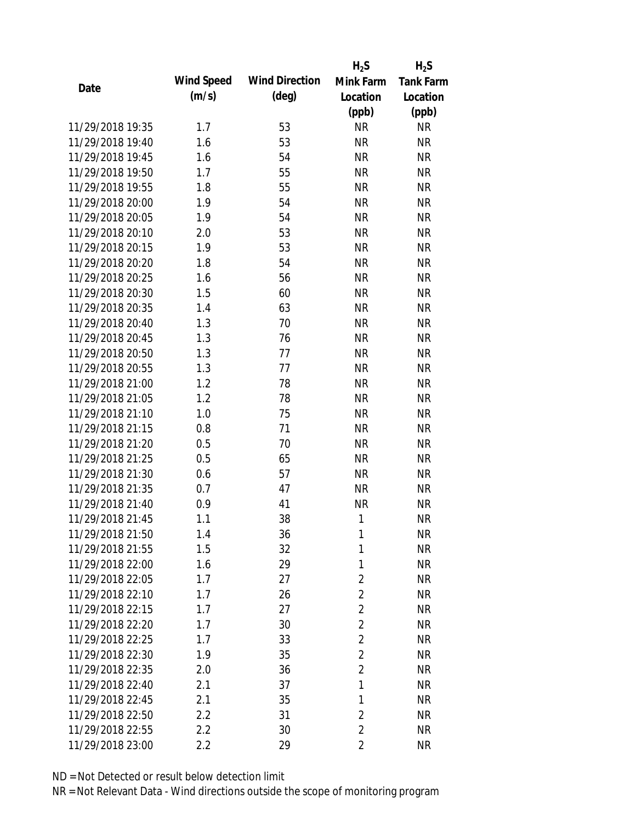|                  |            |                       | $H_2S$         | $H_2S$           |
|------------------|------------|-----------------------|----------------|------------------|
| Date             | Wind Speed | <b>Wind Direction</b> | Mink Farm      | <b>Tank Farm</b> |
|                  | (m/s)      | $(\text{deg})$        | Location       | Location         |
|                  |            |                       | (ppb)          | (ppb)            |
| 11/29/2018 19:35 | 1.7        | 53                    | <b>NR</b>      | <b>NR</b>        |
| 11/29/2018 19:40 | 1.6        | 53                    | <b>NR</b>      | <b>NR</b>        |
| 11/29/2018 19:45 | 1.6        | 54                    | <b>NR</b>      | <b>NR</b>        |
| 11/29/2018 19:50 | 1.7        | 55                    | <b>NR</b>      | <b>NR</b>        |
| 11/29/2018 19:55 | 1.8        | 55                    | <b>NR</b>      | <b>NR</b>        |
| 11/29/2018 20:00 | 1.9        | 54                    | <b>NR</b>      | <b>NR</b>        |
| 11/29/2018 20:05 | 1.9        | 54                    | <b>NR</b>      | <b>NR</b>        |
| 11/29/2018 20:10 | 2.0        | 53                    | <b>NR</b>      | <b>NR</b>        |
| 11/29/2018 20:15 | 1.9        | 53                    | <b>NR</b>      | <b>NR</b>        |
| 11/29/2018 20:20 | 1.8        | 54                    | <b>NR</b>      | <b>NR</b>        |
| 11/29/2018 20:25 | 1.6        | 56                    | <b>NR</b>      | <b>NR</b>        |
| 11/29/2018 20:30 | 1.5        | 60                    | <b>NR</b>      | <b>NR</b>        |
| 11/29/2018 20:35 | 1.4        | 63                    | <b>NR</b>      | <b>NR</b>        |
| 11/29/2018 20:40 | 1.3        | 70                    | <b>NR</b>      | <b>NR</b>        |
| 11/29/2018 20:45 | 1.3        | 76                    | <b>NR</b>      | <b>NR</b>        |
| 11/29/2018 20:50 | 1.3        | 77                    | <b>NR</b>      | <b>NR</b>        |
| 11/29/2018 20:55 | 1.3        | 77                    | <b>NR</b>      | <b>NR</b>        |
| 11/29/2018 21:00 | 1.2        | 78                    | <b>NR</b>      | <b>NR</b>        |
| 11/29/2018 21:05 | 1.2        | 78                    | <b>NR</b>      | <b>NR</b>        |
| 11/29/2018 21:10 | 1.0        | 75                    | <b>NR</b>      | <b>NR</b>        |
| 11/29/2018 21:15 | 0.8        | 71                    | <b>NR</b>      | <b>NR</b>        |
| 11/29/2018 21:20 | 0.5        | 70                    | <b>NR</b>      | <b>NR</b>        |
| 11/29/2018 21:25 | 0.5        | 65                    | <b>NR</b>      | <b>NR</b>        |
| 11/29/2018 21:30 | 0.6        | 57                    | <b>NR</b>      | <b>NR</b>        |
| 11/29/2018 21:35 | 0.7        | 47                    | <b>NR</b>      | <b>NR</b>        |
| 11/29/2018 21:40 | 0.9        | 41                    | <b>NR</b>      | <b>NR</b>        |
| 11/29/2018 21:45 | 1.1        | 38                    | 1              | <b>NR</b>        |
| 11/29/2018 21:50 | 1.4        | 36                    | 1              | <b>NR</b>        |
| 11/29/2018 21:55 | 1.5        | 32                    | 1              | <b>NR</b>        |
| 11/29/2018 22:00 | 1.6        | 29                    | 1              | <b>NR</b>        |
| 11/29/2018 22:05 | 1.7        | 27                    | $\overline{2}$ | <b>NR</b>        |
| 11/29/2018 22:10 | 1.7        | 26                    | $\overline{2}$ | <b>NR</b>        |
| 11/29/2018 22:15 | 1.7        | 27                    | $\overline{2}$ | <b>NR</b>        |
| 11/29/2018 22:20 | 1.7        | 30                    | $\overline{2}$ | <b>NR</b>        |
| 11/29/2018 22:25 | 1.7        | 33                    | $\overline{2}$ | <b>NR</b>        |
| 11/29/2018 22:30 | 1.9        | 35                    | $\overline{2}$ | <b>NR</b>        |
| 11/29/2018 22:35 | 2.0        | 36                    | $\overline{2}$ | <b>NR</b>        |
| 11/29/2018 22:40 | 2.1        | 37                    | 1              | <b>NR</b>        |
| 11/29/2018 22:45 | 2.1        | 35                    | 1              | <b>NR</b>        |
| 11/29/2018 22:50 | 2.2        | 31                    | $\overline{2}$ | <b>NR</b>        |
| 11/29/2018 22:55 | 2.2        | 30                    | $\overline{2}$ | <b>NR</b>        |
| 11/29/2018 23:00 | 2.2        | 29                    | $\overline{2}$ | <b>NR</b>        |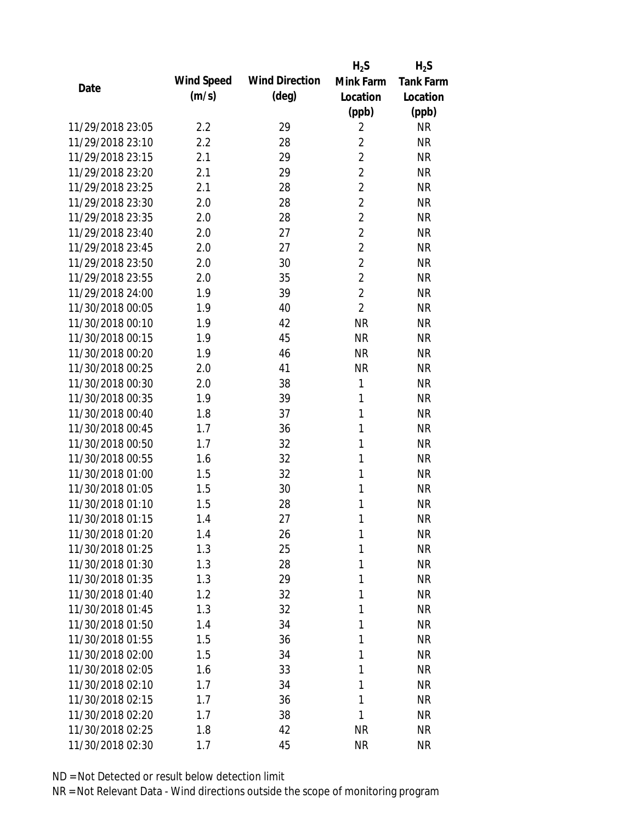|                  |            |                       | $H_2S$         | $H_2S$           |
|------------------|------------|-----------------------|----------------|------------------|
|                  | Wind Speed | <b>Wind Direction</b> | Mink Farm      | <b>Tank Farm</b> |
| Date             | (m/s)      | $(\text{deg})$        | Location       | Location         |
|                  |            |                       | (ppb)          | (ppb)            |
| 11/29/2018 23:05 | 2.2        | 29                    | $\overline{2}$ | <b>NR</b>        |
| 11/29/2018 23:10 | 2.2        | 28                    | 2              | <b>NR</b>        |
| 11/29/2018 23:15 | 2.1        | 29                    | $\overline{2}$ | <b>NR</b>        |
| 11/29/2018 23:20 | 2.1        | 29                    | $\overline{2}$ | <b>NR</b>        |
| 11/29/2018 23:25 | 2.1        | 28                    | $\overline{2}$ | <b>NR</b>        |
| 11/29/2018 23:30 | 2.0        | 28                    | $\overline{2}$ | <b>NR</b>        |
| 11/29/2018 23:35 | 2.0        | 28                    | $\overline{2}$ | <b>NR</b>        |
| 11/29/2018 23:40 | 2.0        | 27                    | $\overline{2}$ | <b>NR</b>        |
| 11/29/2018 23:45 | 2.0        | 27                    | $\overline{2}$ | <b>NR</b>        |
| 11/29/2018 23:50 | 2.0        | 30                    | $\overline{2}$ | <b>NR</b>        |
| 11/29/2018 23:55 | 2.0        | 35                    | $\overline{2}$ | <b>NR</b>        |
| 11/29/2018 24:00 | 1.9        | 39                    | $\overline{2}$ | <b>NR</b>        |
| 11/30/2018 00:05 | 1.9        | 40                    | $\overline{2}$ | <b>NR</b>        |
| 11/30/2018 00:10 | 1.9        | 42                    | <b>NR</b>      | <b>NR</b>        |
| 11/30/2018 00:15 | 1.9        | 45                    | <b>NR</b>      | <b>NR</b>        |
| 11/30/2018 00:20 | 1.9        | 46                    | <b>NR</b>      | <b>NR</b>        |
| 11/30/2018 00:25 | 2.0        | 41                    | <b>NR</b>      | <b>NR</b>        |
| 11/30/2018 00:30 | 2.0        | 38                    | 1              | <b>NR</b>        |
| 11/30/2018 00:35 | 1.9        | 39                    | 1              | <b>NR</b>        |
| 11/30/2018 00:40 | 1.8        | 37                    | 1              | <b>NR</b>        |
| 11/30/2018 00:45 | 1.7        | 36                    | 1              | <b>NR</b>        |
| 11/30/2018 00:50 | 1.7        | 32                    | 1              | <b>NR</b>        |
| 11/30/2018 00:55 | 1.6        | 32                    | 1              | <b>NR</b>        |
| 11/30/2018 01:00 | 1.5        | 32                    | 1              | <b>NR</b>        |
| 11/30/2018 01:05 | 1.5        | 30                    | 1              | <b>NR</b>        |
| 11/30/2018 01:10 | 1.5        | 28                    | 1              | <b>NR</b>        |
| 11/30/2018 01:15 | 1.4        | 27                    | 1              | <b>NR</b>        |
| 11/30/2018 01:20 | 1.4        | 26                    | 1              | <b>NR</b>        |
| 11/30/2018 01:25 | 1.3        | 25                    | 1              | <b>NR</b>        |
| 11/30/2018 01:30 | 1.3        | 28                    | 1              | <b>NR</b>        |
| 11/30/2018 01:35 | 1.3        | 29                    | 1              | <b>NR</b>        |
| 11/30/2018 01:40 | 1.2        | 32                    | 1              | <b>NR</b>        |
| 11/30/2018 01:45 | 1.3        | 32                    | 1              | <b>NR</b>        |
| 11/30/2018 01:50 | 1.4        | 34                    | 1              | <b>NR</b>        |
| 11/30/2018 01:55 | 1.5        | 36                    | 1              | <b>NR</b>        |
| 11/30/2018 02:00 | 1.5        | 34                    | 1              | <b>NR</b>        |
| 11/30/2018 02:05 | 1.6        | 33                    | 1              | <b>NR</b>        |
| 11/30/2018 02:10 | 1.7        | 34                    | 1              | <b>NR</b>        |
| 11/30/2018 02:15 | 1.7        | 36                    | 1              | <b>NR</b>        |
| 11/30/2018 02:20 | 1.7        | 38                    | 1              | <b>NR</b>        |
| 11/30/2018 02:25 | 1.8        | 42                    | <b>NR</b>      | <b>NR</b>        |
| 11/30/2018 02:30 | 1.7        | 45                    | <b>NR</b>      | <b>NR</b>        |
|                  |            |                       |                |                  |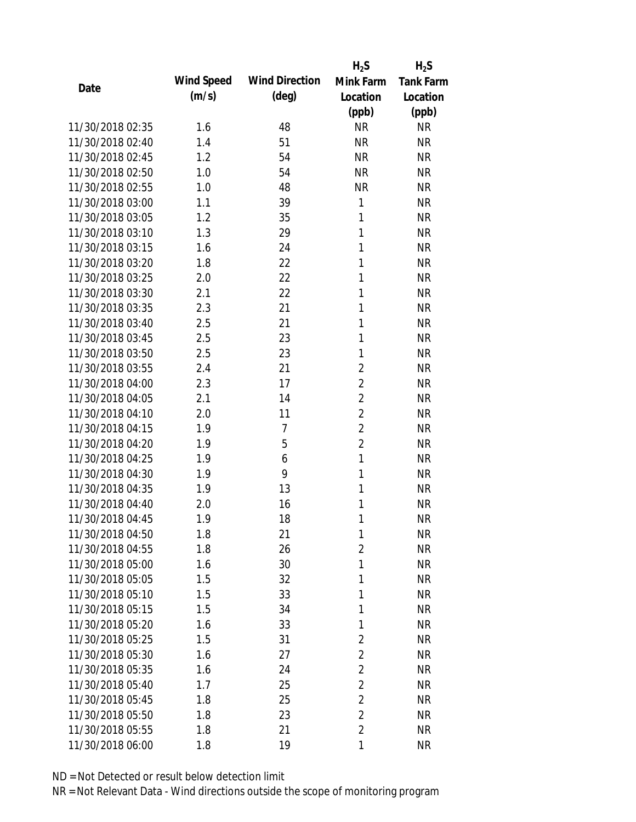|                  |            |                       | $H_2S$         | $H_2S$           |
|------------------|------------|-----------------------|----------------|------------------|
| Date             | Wind Speed | <b>Wind Direction</b> | Mink Farm      | <b>Tank Farm</b> |
|                  | (m/s)      | (deg)                 | Location       | Location         |
|                  |            |                       | (ppb)          | (ppb)            |
| 11/30/2018 02:35 | 1.6        | 48                    | <b>NR</b>      | <b>NR</b>        |
| 11/30/2018 02:40 | 1.4        | 51                    | <b>NR</b>      | <b>NR</b>        |
| 11/30/2018 02:45 | 1.2        | 54                    | <b>NR</b>      | <b>NR</b>        |
| 11/30/2018 02:50 | 1.0        | 54                    | <b>NR</b>      | <b>NR</b>        |
| 11/30/2018 02:55 | 1.0        | 48                    | <b>NR</b>      | <b>NR</b>        |
| 11/30/2018 03:00 | 1.1        | 39                    | 1              | <b>NR</b>        |
| 11/30/2018 03:05 | 1.2        | 35                    | 1              | <b>NR</b>        |
| 11/30/2018 03:10 | 1.3        | 29                    | $\mathbf{1}$   | <b>NR</b>        |
| 11/30/2018 03:15 | 1.6        | 24                    | 1              | <b>NR</b>        |
| 11/30/2018 03:20 | 1.8        | 22                    | 1              | <b>NR</b>        |
| 11/30/2018 03:25 | 2.0        | 22                    | 1              | <b>NR</b>        |
| 11/30/2018 03:30 | 2.1        | 22                    | $\mathbf{1}$   | <b>NR</b>        |
| 11/30/2018 03:35 | 2.3        | 21                    | 1              | <b>NR</b>        |
| 11/30/2018 03:40 | 2.5        | 21                    | 1              | <b>NR</b>        |
| 11/30/2018 03:45 | 2.5        | 23                    | 1              | <b>NR</b>        |
| 11/30/2018 03:50 | 2.5        | 23                    | 1              | <b>NR</b>        |
| 11/30/2018 03:55 | 2.4        | 21                    | 2              | <b>NR</b>        |
| 11/30/2018 04:00 | 2.3        | 17                    | $\overline{2}$ | <b>NR</b>        |
| 11/30/2018 04:05 | 2.1        | 14                    | $\overline{2}$ | <b>NR</b>        |
| 11/30/2018 04:10 | 2.0        | 11                    | $\overline{2}$ | <b>NR</b>        |
| 11/30/2018 04:15 | 1.9        | 7                     | $\overline{2}$ | <b>NR</b>        |
| 11/30/2018 04:20 | 1.9        | 5                     | $\overline{2}$ | <b>NR</b>        |
| 11/30/2018 04:25 | 1.9        | 6                     | $\mathbf{1}$   | <b>NR</b>        |
| 11/30/2018 04:30 | 1.9        | 9                     | $\mathbf{1}$   | <b>NR</b>        |
| 11/30/2018 04:35 | 1.9        | 13                    | 1              | <b>NR</b>        |
| 11/30/2018 04:40 | 2.0        | 16                    | 1              | <b>NR</b>        |
| 11/30/2018 04:45 | 1.9        | 18                    | 1              | <b>NR</b>        |
| 11/30/2018 04:50 | 1.8        | 21                    | 1              | <b>NR</b>        |
| 11/30/2018 04:55 | 1.8        | 26                    | $\overline{2}$ | <b>NR</b>        |
| 11/30/2018 05:00 | 1.6        | 30                    | 1              | <b>NR</b>        |
| 11/30/2018 05:05 | 1.5        | 32                    | 1              | <b>NR</b>        |
| 11/30/2018 05:10 | 1.5        | 33                    | 1              | <b>NR</b>        |
| 11/30/2018 05:15 | 1.5        | 34                    | 1              | <b>NR</b>        |
| 11/30/2018 05:20 | 1.6        | 33                    | 1              | <b>NR</b>        |
| 11/30/2018 05:25 | 1.5        | 31                    | 2              | <b>NR</b>        |
| 11/30/2018 05:30 | 1.6        | 27                    | $\overline{2}$ | <b>NR</b>        |
| 11/30/2018 05:35 | 1.6        | 24                    | $\overline{2}$ | <b>NR</b>        |
| 11/30/2018 05:40 | 1.7        | 25                    | $\overline{2}$ | <b>NR</b>        |
| 11/30/2018 05:45 | 1.8        | 25                    | $\overline{2}$ | <b>NR</b>        |
| 11/30/2018 05:50 | 1.8        | 23                    | 2              | <b>NR</b>        |
| 11/30/2018 05:55 | 1.8        | 21                    | $\overline{2}$ | <b>NR</b>        |
| 11/30/2018 06:00 | 1.8        | 19                    | 1              | <b>NR</b>        |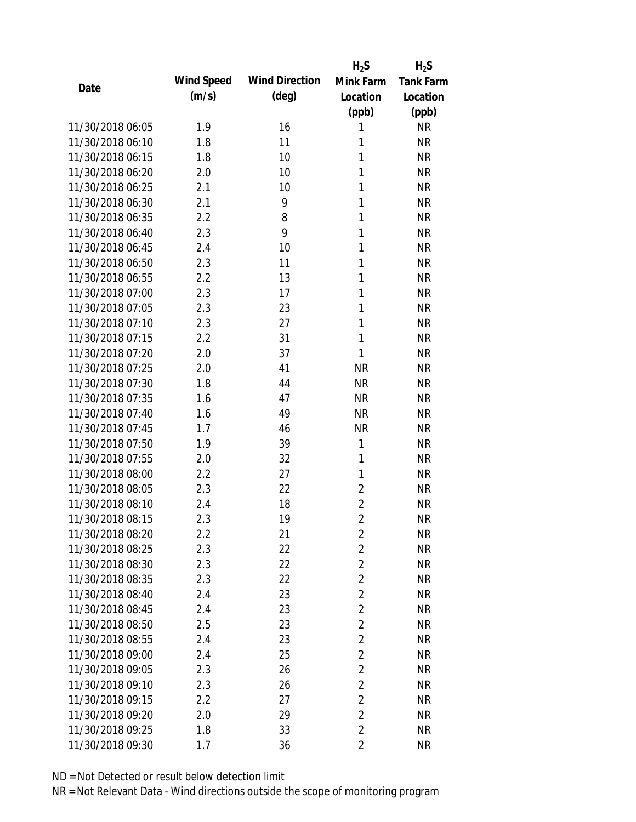|                  |            |                       | $H_2S$         | $H_2S$           |
|------------------|------------|-----------------------|----------------|------------------|
| Date             | Wind Speed | <b>Wind Direction</b> | Mink Farm      | <b>Tank Farm</b> |
|                  | (m/s)      | $(\text{deg})$        | Location       | Location         |
|                  |            |                       | (ppb)          | (ppb)            |
| 11/30/2018 06:05 | 1.9        | 16                    | 1              | <b>NR</b>        |
| 11/30/2018 06:10 | 1.8        | 11                    | 1              | <b>NR</b>        |
| 11/30/2018 06:15 | 1.8        | 10                    | 1              | <b>NR</b>        |
| 11/30/2018 06:20 | 2.0        | 10                    | $\mathbf{1}$   | <b>NR</b>        |
| 11/30/2018 06:25 | 2.1        | 10                    | 1              | <b>NR</b>        |
| 11/30/2018 06:30 | 2.1        | 9                     | 1              | <b>NR</b>        |
| 11/30/2018 06:35 | 2.2        | 8                     | 1              | <b>NR</b>        |
| 11/30/2018 06:40 | 2.3        | 9                     | 1              | <b>NR</b>        |
| 11/30/2018 06:45 | 2.4        | 10                    | 1              | <b>NR</b>        |
| 11/30/2018 06:50 | 2.3        | 11                    | 1              | <b>NR</b>        |
| 11/30/2018 06:55 | 2.2        | 13                    | 1              | <b>NR</b>        |
| 11/30/2018 07:00 | 2.3        | 17                    | 1              | <b>NR</b>        |
| 11/30/2018 07:05 | 2.3        | 23                    | 1              | <b>NR</b>        |
| 11/30/2018 07:10 | 2.3        | 27                    | 1              | <b>NR</b>        |
| 11/30/2018 07:15 | 2.2        | 31                    | 1              | <b>NR</b>        |
| 11/30/2018 07:20 | 2.0        | 37                    | 1              | <b>NR</b>        |
| 11/30/2018 07:25 | 2.0        | 41                    | <b>NR</b>      | <b>NR</b>        |
| 11/30/2018 07:30 | 1.8        | 44                    | <b>NR</b>      | <b>NR</b>        |
| 11/30/2018 07:35 | 1.6        | 47                    | <b>NR</b>      | <b>NR</b>        |
| 11/30/2018 07:40 | 1.6        | 49                    | <b>NR</b>      | <b>NR</b>        |
| 11/30/2018 07:45 | 1.7        | 46                    | <b>NR</b>      | <b>NR</b>        |
| 11/30/2018 07:50 | 1.9        | 39                    | 1              | <b>NR</b>        |
| 11/30/2018 07:55 | 2.0        | 32                    | 1              | <b>NR</b>        |
| 11/30/2018 08:00 | 2.2        | 27                    | 1              | <b>NR</b>        |
| 11/30/2018 08:05 | 2.3        | 22                    | $\overline{2}$ | <b>NR</b>        |
| 11/30/2018 08:10 | 2.4        | 18                    | $\overline{2}$ | <b>NR</b>        |
| 11/30/2018 08:15 | 2.3        | 19                    | $\overline{2}$ | <b>NR</b>        |
| 11/30/2018 08:20 | 2.2        | 21                    | $\overline{2}$ | <b>NR</b>        |
| 11/30/2018 08:25 | 2.3        | 22                    | $\overline{2}$ | <b>NR</b>        |
| 11/30/2018 08:30 | 2.3        | 22                    | $\overline{2}$ | <b>NR</b>        |
| 11/30/2018 08:35 | 2.3        | 22                    | $\overline{2}$ | <b>NR</b>        |
| 11/30/2018 08:40 | 2.4        | 23                    | $\overline{2}$ | <b>NR</b>        |
| 11/30/2018 08:45 | 2.4        | 23                    | $\overline{2}$ | <b>NR</b>        |
| 11/30/2018 08:50 | 2.5        | 23                    | $\overline{2}$ | <b>NR</b>        |
| 11/30/2018 08:55 | 2.4        | 23                    | $\overline{2}$ | <b>NR</b>        |
| 11/30/2018 09:00 | 2.4        | 25                    | $\overline{2}$ | <b>NR</b>        |
| 11/30/2018 09:05 | 2.3        | 26                    | $\overline{2}$ | <b>NR</b>        |
| 11/30/2018 09:10 | 2.3        | 26                    | $\overline{2}$ | <b>NR</b>        |
| 11/30/2018 09:15 | 2.2        | 27                    | $\overline{2}$ | <b>NR</b>        |
| 11/30/2018 09:20 | 2.0        | 29                    | $\overline{2}$ | <b>NR</b>        |
| 11/30/2018 09:25 | 1.8        | 33                    | $\overline{2}$ | <b>NR</b>        |
| 11/30/2018 09:30 | 1.7        | 36                    | $\overline{2}$ | <b>NR</b>        |
|                  |            |                       |                |                  |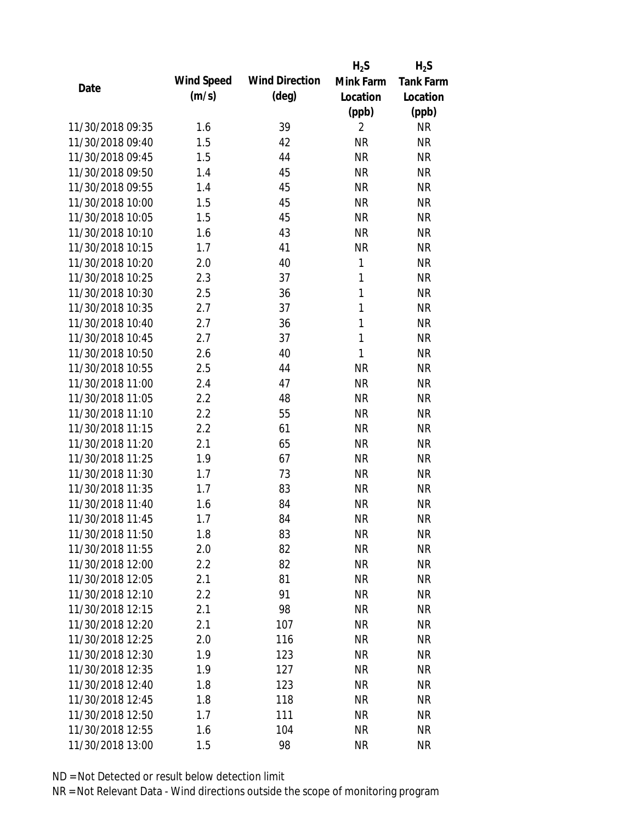|                  |            |                       | $H_2S$         | $H_2S$           |
|------------------|------------|-----------------------|----------------|------------------|
| Date             | Wind Speed | <b>Wind Direction</b> | Mink Farm      | <b>Tank Farm</b> |
|                  | (m/s)      | (deg)                 | Location       | Location         |
|                  |            |                       | (ppb)          | (ppb)            |
| 11/30/2018 09:35 | 1.6        | 39                    | $\overline{2}$ | <b>NR</b>        |
| 11/30/2018 09:40 | 1.5        | 42                    | <b>NR</b>      | <b>NR</b>        |
| 11/30/2018 09:45 | 1.5        | 44                    | <b>NR</b>      | <b>NR</b>        |
| 11/30/2018 09:50 | 1.4        | 45                    | <b>NR</b>      | <b>NR</b>        |
| 11/30/2018 09:55 | 1.4        | 45                    | <b>NR</b>      | <b>NR</b>        |
| 11/30/2018 10:00 | 1.5        | 45                    | <b>NR</b>      | <b>NR</b>        |
| 11/30/2018 10:05 | 1.5        | 45                    | <b>NR</b>      | <b>NR</b>        |
| 11/30/2018 10:10 | 1.6        | 43                    | <b>NR</b>      | <b>NR</b>        |
| 11/30/2018 10:15 | 1.7        | 41                    | <b>NR</b>      | <b>NR</b>        |
| 11/30/2018 10:20 | 2.0        | 40                    | 1              | <b>NR</b>        |
| 11/30/2018 10:25 | 2.3        | 37                    | 1              | <b>NR</b>        |
| 11/30/2018 10:30 | 2.5        | 36                    | $\mathbf{1}$   | <b>NR</b>        |
| 11/30/2018 10:35 | 2.7        | 37                    | $\mathbf{1}$   | <b>NR</b>        |
| 11/30/2018 10:40 | 2.7        | 36                    | $\mathbf{1}$   | <b>NR</b>        |
| 11/30/2018 10:45 | 2.7        | 37                    | $\mathbf{1}$   | <b>NR</b>        |
| 11/30/2018 10:50 | 2.6        | 40                    | 1              | <b>NR</b>        |
| 11/30/2018 10:55 | 2.5        | 44                    | <b>NR</b>      | <b>NR</b>        |
| 11/30/2018 11:00 | 2.4        | 47                    | <b>NR</b>      | <b>NR</b>        |
| 11/30/2018 11:05 | 2.2        | 48                    | <b>NR</b>      | <b>NR</b>        |
| 11/30/2018 11:10 | 2.2        | 55                    | <b>NR</b>      | <b>NR</b>        |
| 11/30/2018 11:15 | 2.2        | 61                    | <b>NR</b>      | <b>NR</b>        |
| 11/30/2018 11:20 | 2.1        | 65                    | <b>NR</b>      | <b>NR</b>        |
| 11/30/2018 11:25 | 1.9        | 67                    | <b>NR</b>      | <b>NR</b>        |
| 11/30/2018 11:30 | 1.7        | 73                    | <b>NR</b>      | <b>NR</b>        |
| 11/30/2018 11:35 | 1.7        | 83                    | <b>NR</b>      | <b>NR</b>        |
| 11/30/2018 11:40 | 1.6        | 84                    | <b>NR</b>      | <b>NR</b>        |
| 11/30/2018 11:45 | 1.7        | 84                    | <b>NR</b>      | <b>NR</b>        |
| 11/30/2018 11:50 | 1.8        | 83                    | <b>NR</b>      | <b>NR</b>        |
| 11/30/2018 11:55 | 2.0        | 82                    | <b>NR</b>      | <b>NR</b>        |
| 11/30/2018 12:00 | 2.2        | 82                    | <b>NR</b>      | <b>NR</b>        |
| 11/30/2018 12:05 | 2.1        | 81                    | <b>NR</b>      | <b>NR</b>        |
| 11/30/2018 12:10 | 2.2        | 91                    | <b>NR</b>      | <b>NR</b>        |
| 11/30/2018 12:15 | 2.1        | 98                    | <b>NR</b>      | <b>NR</b>        |
| 11/30/2018 12:20 | 2.1        | 107                   | <b>NR</b>      | <b>NR</b>        |
| 11/30/2018 12:25 | 2.0        | 116                   | <b>NR</b>      | NR               |
| 11/30/2018 12:30 | 1.9        | 123                   | <b>NR</b>      | <b>NR</b>        |
| 11/30/2018 12:35 | 1.9        | 127                   | <b>NR</b>      | <b>NR</b>        |
| 11/30/2018 12:40 | 1.8        | 123                   | NR             | <b>NR</b>        |
| 11/30/2018 12:45 | 1.8        | 118                   | <b>NR</b>      | <b>NR</b>        |
| 11/30/2018 12:50 | 1.7        | 111                   | <b>NR</b>      | <b>NR</b>        |
|                  |            |                       |                |                  |
| 11/30/2018 12:55 | 1.6        | 104                   | <b>NR</b>      | <b>NR</b>        |
| 11/30/2018 13:00 | 1.5        | 98                    | <b>NR</b>      | <b>NR</b>        |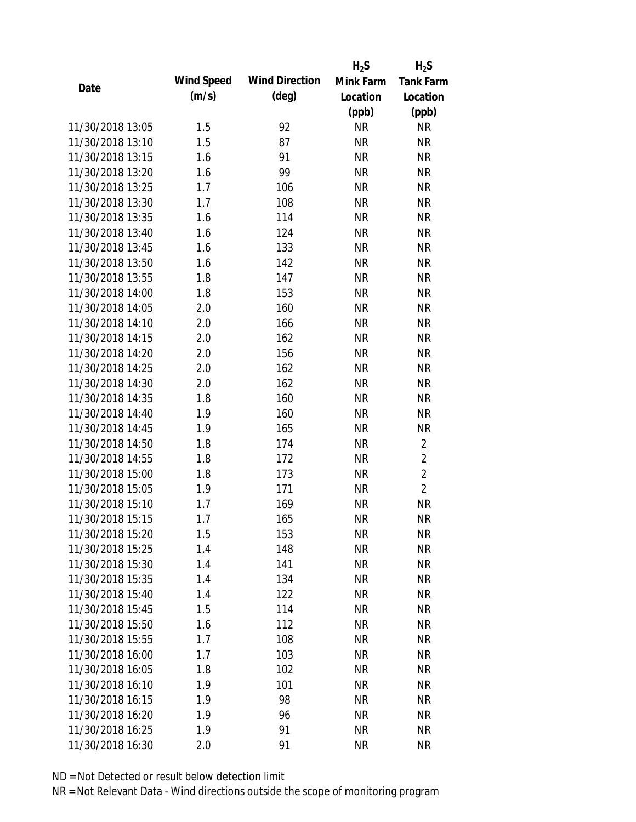|                  |            |                       | $H_2S$    | $H_2S$           |
|------------------|------------|-----------------------|-----------|------------------|
| Date             | Wind Speed | <b>Wind Direction</b> | Mink Farm | <b>Tank Farm</b> |
|                  | (m/s)      | $(\text{deg})$        | Location  | Location         |
|                  |            |                       | (ppb)     | (ppb)            |
| 11/30/2018 13:05 | 1.5        | 92                    | <b>NR</b> | NR               |
| 11/30/2018 13:10 | 1.5        | 87                    | <b>NR</b> | <b>NR</b>        |
| 11/30/2018 13:15 | 1.6        | 91                    | <b>NR</b> | <b>NR</b>        |
| 11/30/2018 13:20 | 1.6        | 99                    | <b>NR</b> | <b>NR</b>        |
| 11/30/2018 13:25 | 1.7        | 106                   | <b>NR</b> | <b>NR</b>        |
| 11/30/2018 13:30 | 1.7        | 108                   | <b>NR</b> | <b>NR</b>        |
| 11/30/2018 13:35 | 1.6        | 114                   | <b>NR</b> | <b>NR</b>        |
| 11/30/2018 13:40 | 1.6        | 124                   | <b>NR</b> | <b>NR</b>        |
| 11/30/2018 13:45 | 1.6        | 133                   | <b>NR</b> | <b>NR</b>        |
| 11/30/2018 13:50 | 1.6        | 142                   | <b>NR</b> | <b>NR</b>        |
| 11/30/2018 13:55 | 1.8        | 147                   | <b>NR</b> | <b>NR</b>        |
| 11/30/2018 14:00 | 1.8        | 153                   | <b>NR</b> | <b>NR</b>        |
| 11/30/2018 14:05 | 2.0        | 160                   | <b>NR</b> | <b>NR</b>        |
| 11/30/2018 14:10 | 2.0        | 166                   | <b>NR</b> | <b>NR</b>        |
| 11/30/2018 14:15 | 2.0        | 162                   | <b>NR</b> | <b>NR</b>        |
| 11/30/2018 14:20 | 2.0        | 156                   | <b>NR</b> | <b>NR</b>        |
| 11/30/2018 14:25 | 2.0        | 162                   | <b>NR</b> | <b>NR</b>        |
| 11/30/2018 14:30 | 2.0        | 162                   | <b>NR</b> | <b>NR</b>        |
| 11/30/2018 14:35 | 1.8        | 160                   | <b>NR</b> | <b>NR</b>        |
| 11/30/2018 14:40 | 1.9        | 160                   | <b>NR</b> | <b>NR</b>        |
| 11/30/2018 14:45 | 1.9        | 165                   | <b>NR</b> | <b>NR</b>        |
| 11/30/2018 14:50 | 1.8        | 174                   | <b>NR</b> | $\overline{2}$   |
| 11/30/2018 14:55 | 1.8        | 172                   | <b>NR</b> | $\overline{2}$   |
| 11/30/2018 15:00 | 1.8        | 173                   | <b>NR</b> | $\overline{2}$   |
| 11/30/2018 15:05 | 1.9        | 171                   | <b>NR</b> | $\overline{2}$   |
| 11/30/2018 15:10 | 1.7        | 169                   | <b>NR</b> | <b>NR</b>        |
| 11/30/2018 15:15 | 1.7        | 165                   | <b>NR</b> | <b>NR</b>        |
| 11/30/2018 15:20 | 1.5        | 153                   | <b>NR</b> | <b>NR</b>        |
| 11/30/2018 15:25 | 1.4        | 148                   | <b>NR</b> | <b>NR</b>        |
| 11/30/2018 15:30 | 1.4        | 141                   | <b>NR</b> | <b>NR</b>        |
| 11/30/2018 15:35 | 1.4        | 134                   | <b>NR</b> | <b>NR</b>        |
| 11/30/2018 15:40 | 1.4        | 122                   | <b>NR</b> | <b>NR</b>        |
| 11/30/2018 15:45 | 1.5        | 114                   | <b>NR</b> | <b>NR</b>        |
| 11/30/2018 15:50 | 1.6        | 112                   | <b>NR</b> | <b>NR</b>        |
| 11/30/2018 15:55 | 1.7        | 108                   | <b>NR</b> | <b>NR</b>        |
| 11/30/2018 16:00 | 1.7        | 103                   | <b>NR</b> | <b>NR</b>        |
| 11/30/2018 16:05 | 1.8        | 102                   | <b>NR</b> | <b>NR</b>        |
| 11/30/2018 16:10 | 1.9        | 101                   | NR        | <b>NR</b>        |
| 11/30/2018 16:15 | 1.9        | 98                    | <b>NR</b> | NR               |
| 11/30/2018 16:20 | 1.9        | 96                    | <b>NR</b> | <b>NR</b>        |
| 11/30/2018 16:25 | 1.9        | 91                    | <b>NR</b> | <b>NR</b>        |
| 11/30/2018 16:30 | 2.0        | 91                    | <b>NR</b> | <b>NR</b>        |
|                  |            |                       |           |                  |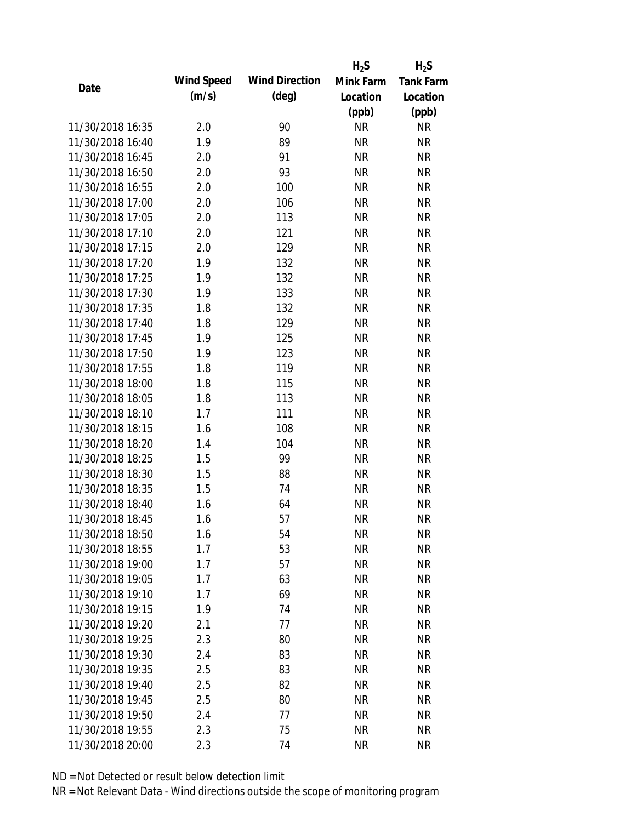|                  |            |                       | $H_2S$    | $H_2S$           |
|------------------|------------|-----------------------|-----------|------------------|
| Date             | Wind Speed | <b>Wind Direction</b> | Mink Farm | <b>Tank Farm</b> |
|                  | (m/s)      | $(\text{deg})$        | Location  | Location         |
|                  |            |                       | (ppb)     | (ppb)            |
| 11/30/2018 16:35 | 2.0        | 90                    | <b>NR</b> | NR               |
| 11/30/2018 16:40 | 1.9        | 89                    | <b>NR</b> | <b>NR</b>        |
| 11/30/2018 16:45 | 2.0        | 91                    | <b>NR</b> | <b>NR</b>        |
| 11/30/2018 16:50 | 2.0        | 93                    | <b>NR</b> | <b>NR</b>        |
| 11/30/2018 16:55 | 2.0        | 100                   | <b>NR</b> | <b>NR</b>        |
| 11/30/2018 17:00 | 2.0        | 106                   | <b>NR</b> | <b>NR</b>        |
| 11/30/2018 17:05 | 2.0        | 113                   | <b>NR</b> | <b>NR</b>        |
| 11/30/2018 17:10 | 2.0        | 121                   | <b>NR</b> | <b>NR</b>        |
| 11/30/2018 17:15 | 2.0        | 129                   | <b>NR</b> | <b>NR</b>        |
| 11/30/2018 17:20 | 1.9        | 132                   | <b>NR</b> | <b>NR</b>        |
| 11/30/2018 17:25 | 1.9        | 132                   | <b>NR</b> | <b>NR</b>        |
| 11/30/2018 17:30 | 1.9        | 133                   | <b>NR</b> | <b>NR</b>        |
| 11/30/2018 17:35 | 1.8        | 132                   | <b>NR</b> | <b>NR</b>        |
| 11/30/2018 17:40 | 1.8        | 129                   | <b>NR</b> | <b>NR</b>        |
| 11/30/2018 17:45 | 1.9        | 125                   | <b>NR</b> | <b>NR</b>        |
| 11/30/2018 17:50 | 1.9        | 123                   | <b>NR</b> | <b>NR</b>        |
| 11/30/2018 17:55 | 1.8        | 119                   | <b>NR</b> | <b>NR</b>        |
| 11/30/2018 18:00 | 1.8        | 115                   | <b>NR</b> | <b>NR</b>        |
| 11/30/2018 18:05 | 1.8        | 113                   | <b>NR</b> | <b>NR</b>        |
| 11/30/2018 18:10 | 1.7        | 111                   | <b>NR</b> | <b>NR</b>        |
| 11/30/2018 18:15 | 1.6        | 108                   | <b>NR</b> | <b>NR</b>        |
| 11/30/2018 18:20 | 1.4        | 104                   | <b>NR</b> | <b>NR</b>        |
| 11/30/2018 18:25 | 1.5        | 99                    | <b>NR</b> | <b>NR</b>        |
| 11/30/2018 18:30 | 1.5        | 88                    | <b>NR</b> | <b>NR</b>        |
| 11/30/2018 18:35 | 1.5        | 74                    | <b>NR</b> | <b>NR</b>        |
| 11/30/2018 18:40 | 1.6        | 64                    | <b>NR</b> | <b>NR</b>        |
| 11/30/2018 18:45 | 1.6        | 57                    | <b>NR</b> | <b>NR</b>        |
| 11/30/2018 18:50 | 1.6        | 54                    | <b>NR</b> | <b>NR</b>        |
| 11/30/2018 18:55 | 1.7        | 53                    | <b>NR</b> | <b>NR</b>        |
| 11/30/2018 19:00 | 1.7        | 57                    | <b>NR</b> | <b>NR</b>        |
| 11/30/2018 19:05 | 1.7        | 63                    | <b>NR</b> | <b>NR</b>        |
| 11/30/2018 19:10 | 1.7        | 69                    | <b>NR</b> | <b>NR</b>        |
| 11/30/2018 19:15 | 1.9        | 74                    | <b>NR</b> | <b>NR</b>        |
| 11/30/2018 19:20 | 2.1        | 77                    | <b>NR</b> | <b>NR</b>        |
| 11/30/2018 19:25 | 2.3        | 80                    | <b>NR</b> | <b>NR</b>        |
| 11/30/2018 19:30 | 2.4        | 83                    | <b>NR</b> | <b>NR</b>        |
| 11/30/2018 19:35 |            | 83                    | <b>NR</b> | <b>NR</b>        |
| 11/30/2018 19:40 | 2.5        | 82                    |           |                  |
|                  | 2.5        |                       | <b>NR</b> | <b>NR</b>        |
| 11/30/2018 19:45 | 2.5        | 80                    | <b>NR</b> | NR               |
| 11/30/2018 19:50 | 2.4        | 77                    | <b>NR</b> | <b>NR</b>        |
| 11/30/2018 19:55 | 2.3        | 75                    | <b>NR</b> | <b>NR</b>        |
| 11/30/2018 20:00 | 2.3        | 74                    | <b>NR</b> | <b>NR</b>        |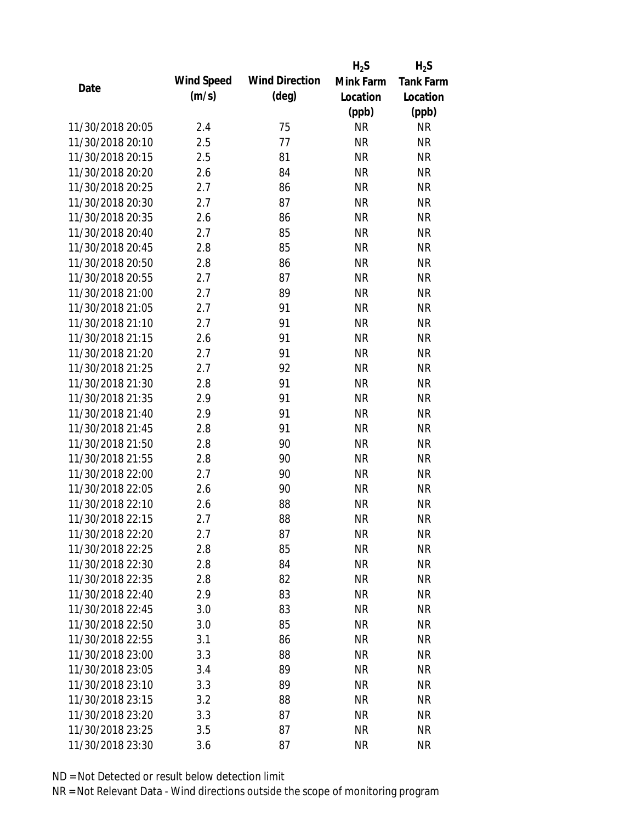|                  |            |                       | $H_2S$    | $H_2S$           |
|------------------|------------|-----------------------|-----------|------------------|
| Date             | Wind Speed | <b>Wind Direction</b> | Mink Farm | <b>Tank Farm</b> |
|                  | (m/s)      | $(\text{deg})$        | Location  | Location         |
|                  |            |                       | (ppb)     | (ppb)            |
| 11/30/2018 20:05 | 2.4        | 75                    | <b>NR</b> | <b>NR</b>        |
| 11/30/2018 20:10 | 2.5        | 77                    | <b>NR</b> | <b>NR</b>        |
| 11/30/2018 20:15 | 2.5        | 81                    | <b>NR</b> | <b>NR</b>        |
| 11/30/2018 20:20 | 2.6        | 84                    | <b>NR</b> | <b>NR</b>        |
| 11/30/2018 20:25 | 2.7        | 86                    | <b>NR</b> | <b>NR</b>        |
| 11/30/2018 20:30 | 2.7        | 87                    | <b>NR</b> | <b>NR</b>        |
| 11/30/2018 20:35 | 2.6        | 86                    | <b>NR</b> | <b>NR</b>        |
| 11/30/2018 20:40 | 2.7        | 85                    | <b>NR</b> | <b>NR</b>        |
| 11/30/2018 20:45 | 2.8        | 85                    | <b>NR</b> | <b>NR</b>        |
| 11/30/2018 20:50 | 2.8        | 86                    | <b>NR</b> | <b>NR</b>        |
| 11/30/2018 20:55 | 2.7        | 87                    | <b>NR</b> | <b>NR</b>        |
| 11/30/2018 21:00 | 2.7        | 89                    | <b>NR</b> | <b>NR</b>        |
| 11/30/2018 21:05 | 2.7        | 91                    | <b>NR</b> | <b>NR</b>        |
| 11/30/2018 21:10 | 2.7        | 91                    | <b>NR</b> | <b>NR</b>        |
| 11/30/2018 21:15 | 2.6        | 91                    | <b>NR</b> | <b>NR</b>        |
| 11/30/2018 21:20 | 2.7        | 91                    | <b>NR</b> | <b>NR</b>        |
| 11/30/2018 21:25 | 2.7        | 92                    | <b>NR</b> | <b>NR</b>        |
| 11/30/2018 21:30 | 2.8        | 91                    | <b>NR</b> | <b>NR</b>        |
| 11/30/2018 21:35 | 2.9        | 91                    | <b>NR</b> | <b>NR</b>        |
| 11/30/2018 21:40 | 2.9        | 91                    | <b>NR</b> | <b>NR</b>        |
| 11/30/2018 21:45 | 2.8        | 91                    | <b>NR</b> | <b>NR</b>        |
| 11/30/2018 21:50 | 2.8        | 90                    | <b>NR</b> | <b>NR</b>        |
| 11/30/2018 21:55 | 2.8        | 90                    | <b>NR</b> | <b>NR</b>        |
| 11/30/2018 22:00 | 2.7        | 90                    | <b>NR</b> | <b>NR</b>        |
| 11/30/2018 22:05 | 2.6        | 90                    | <b>NR</b> | <b>NR</b>        |
| 11/30/2018 22:10 | 2.6        | 88                    | <b>NR</b> | <b>NR</b>        |
| 11/30/2018 22:15 | 2.7        | 88                    | <b>NR</b> | <b>NR</b>        |
| 11/30/2018 22:20 | 2.7        | 87                    | <b>NR</b> | <b>NR</b>        |
| 11/30/2018 22:25 | 2.8        | 85                    | <b>NR</b> | <b>NR</b>        |
| 11/30/2018 22:30 | 2.8        | 84                    | <b>NR</b> | <b>NR</b>        |
| 11/30/2018 22:35 | 2.8        | 82                    | <b>NR</b> | <b>NR</b>        |
| 11/30/2018 22:40 | 2.9        | 83                    | <b>NR</b> | <b>NR</b>        |
| 11/30/2018 22:45 | 3.0        | 83                    | <b>NR</b> | <b>NR</b>        |
| 11/30/2018 22:50 | 3.0        | 85                    | <b>NR</b> | <b>NR</b>        |
| 11/30/2018 22:55 | 3.1        | 86                    | <b>NR</b> | <b>NR</b>        |
| 11/30/2018 23:00 | 3.3        | 88                    | <b>NR</b> | <b>NR</b>        |
| 11/30/2018 23:05 | 3.4        | 89                    | <b>NR</b> | <b>NR</b>        |
| 11/30/2018 23:10 | 3.3        | 89                    | NR        | <b>NR</b>        |
| 11/30/2018 23:15 | 3.2        | 88                    | <b>NR</b> | NR               |
| 11/30/2018 23:20 | 3.3        | 87                    | <b>NR</b> | <b>NR</b>        |
|                  |            |                       |           |                  |
| 11/30/2018 23:25 | 3.5        | 87                    | <b>NR</b> | <b>NR</b>        |
| 11/30/2018 23:30 | 3.6        | 87                    | <b>NR</b> | <b>NR</b>        |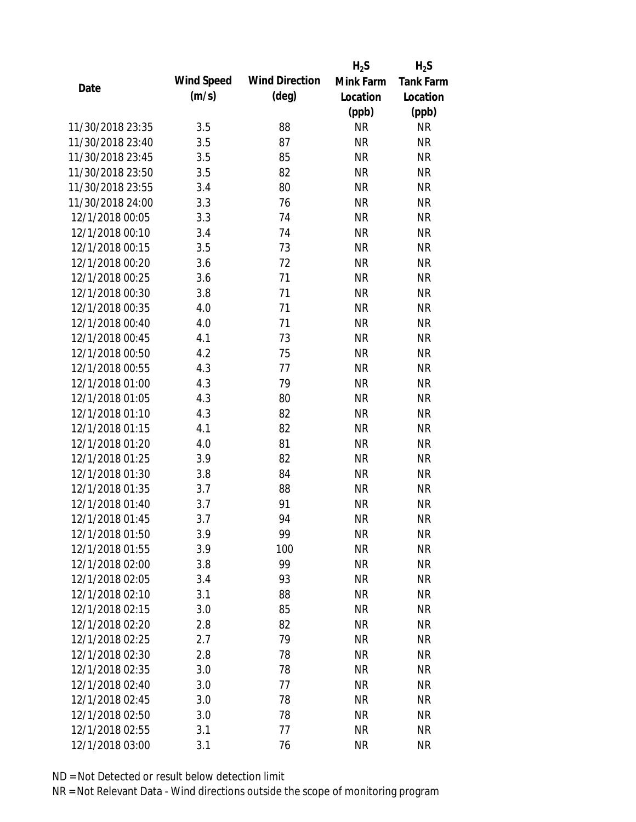|                  |            |                       | $H_2S$    | $H_2S$           |
|------------------|------------|-----------------------|-----------|------------------|
| Date             | Wind Speed | <b>Wind Direction</b> | Mink Farm | <b>Tank Farm</b> |
|                  | (m/s)      | $(\text{deg})$        | Location  | Location         |
|                  |            |                       | (ppb)     | (ppb)            |
| 11/30/2018 23:35 | 3.5        | 88                    | <b>NR</b> | <b>NR</b>        |
| 11/30/2018 23:40 | 3.5        | 87                    | <b>NR</b> | <b>NR</b>        |
| 11/30/2018 23:45 | 3.5        | 85                    | <b>NR</b> | <b>NR</b>        |
| 11/30/2018 23:50 | 3.5        | 82                    | <b>NR</b> | <b>NR</b>        |
| 11/30/2018 23:55 | 3.4        | 80                    | <b>NR</b> | <b>NR</b>        |
| 11/30/2018 24:00 | 3.3        | 76                    | <b>NR</b> | <b>NR</b>        |
| 12/1/2018 00:05  | 3.3        | 74                    | <b>NR</b> | <b>NR</b>        |
| 12/1/2018 00:10  | 3.4        | 74                    | <b>NR</b> | <b>NR</b>        |
| 12/1/2018 00:15  | 3.5        | 73                    | <b>NR</b> | <b>NR</b>        |
| 12/1/2018 00:20  | 3.6        | 72                    | <b>NR</b> | <b>NR</b>        |
| 12/1/2018 00:25  | 3.6        | 71                    | <b>NR</b> | <b>NR</b>        |
| 12/1/2018 00:30  | 3.8        | 71                    | <b>NR</b> | <b>NR</b>        |
| 12/1/2018 00:35  | 4.0        | 71                    | <b>NR</b> | <b>NR</b>        |
| 12/1/2018 00:40  | 4.0        | 71                    | <b>NR</b> | <b>NR</b>        |
| 12/1/2018 00:45  | 4.1        | 73                    | <b>NR</b> | <b>NR</b>        |
| 12/1/2018 00:50  | 4.2        | 75                    | <b>NR</b> | <b>NR</b>        |
| 12/1/2018 00:55  | 4.3        | 77                    | <b>NR</b> | <b>NR</b>        |
| 12/1/2018 01:00  | 4.3        | 79                    | <b>NR</b> | <b>NR</b>        |
| 12/1/2018 01:05  | 4.3        | 80                    | <b>NR</b> | <b>NR</b>        |
| 12/1/2018 01:10  | 4.3        | 82                    | <b>NR</b> | <b>NR</b>        |
| 12/1/2018 01:15  | 4.1        | 82                    | <b>NR</b> | <b>NR</b>        |
| 12/1/2018 01:20  | 4.0        | 81                    | <b>NR</b> | <b>NR</b>        |
| 12/1/2018 01:25  | 3.9        | 82                    | <b>NR</b> | <b>NR</b>        |
| 12/1/2018 01:30  | 3.8        | 84                    | <b>NR</b> | <b>NR</b>        |
| 12/1/2018 01:35  | 3.7        | 88                    | <b>NR</b> | <b>NR</b>        |
| 12/1/2018 01:40  | 3.7        | 91                    | <b>NR</b> | <b>NR</b>        |
| 12/1/2018 01:45  | 3.7        | 94                    | <b>NR</b> | <b>NR</b>        |
| 12/1/2018 01:50  | 3.9        | 99                    | <b>NR</b> | <b>NR</b>        |
| 12/1/2018 01:55  | 3.9        | 100                   | <b>NR</b> | <b>NR</b>        |
| 12/1/2018 02:00  | 3.8        | 99                    | <b>NR</b> | <b>NR</b>        |
| 12/1/2018 02:05  | 3.4        | 93                    | <b>NR</b> | <b>NR</b>        |
| 12/1/2018 02:10  | 3.1        | 88                    | <b>NR</b> | <b>NR</b>        |
| 12/1/2018 02:15  | 3.0        | 85                    | <b>NR</b> | <b>NR</b>        |
| 12/1/2018 02:20  | 2.8        | 82                    | <b>NR</b> | <b>NR</b>        |
| 12/1/2018 02:25  | 2.7        | 79                    | <b>NR</b> | NR               |
| 12/1/2018 02:30  | 2.8        | 78                    | <b>NR</b> | <b>NR</b>        |
| 12/1/2018 02:35  | 3.0        | 78                    | <b>NR</b> | <b>NR</b>        |
| 12/1/2018 02:40  | 3.0        | 77                    | <b>NR</b> | <b>NR</b>        |
| 12/1/2018 02:45  | 3.0        | 78                    | <b>NR</b> | NR               |
| 12/1/2018 02:50  | 3.0        | 78                    | <b>NR</b> | NR               |
| 12/1/2018 02:55  | 3.1        | 77                    | <b>NR</b> | <b>NR</b>        |
| 12/1/2018 03:00  | 3.1        | 76                    | <b>NR</b> | <b>NR</b>        |
|                  |            |                       |           |                  |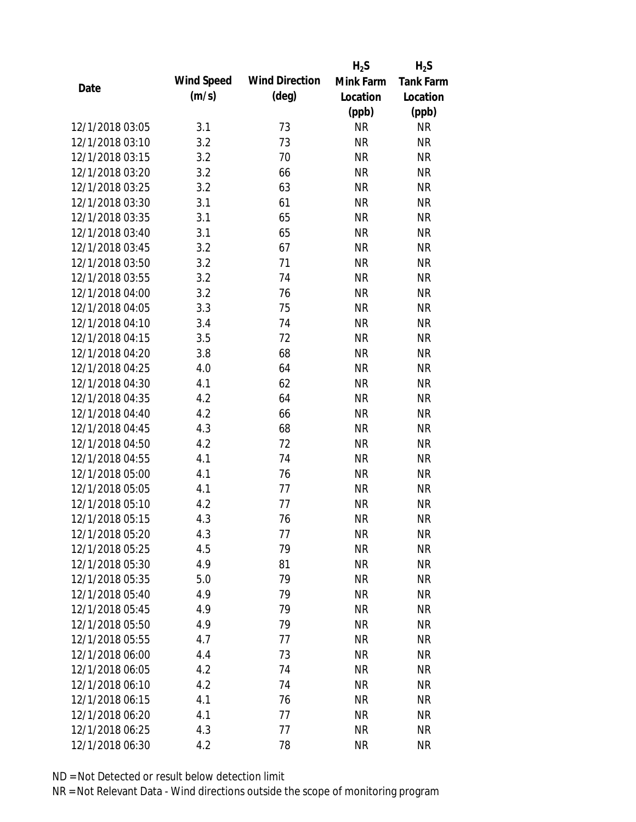|                 |            |                       | $H_2S$    | $H_2S$           |
|-----------------|------------|-----------------------|-----------|------------------|
|                 | Wind Speed | <b>Wind Direction</b> | Mink Farm | <b>Tank Farm</b> |
| Date            | (m/s)      | $(\text{deg})$        | Location  | Location         |
|                 |            |                       | (ppb)     | (ppb)            |
| 12/1/2018 03:05 | 3.1        | 73                    | <b>NR</b> | <b>NR</b>        |
| 12/1/2018 03:10 | 3.2        | 73                    | <b>NR</b> | <b>NR</b>        |
| 12/1/2018 03:15 | 3.2        | 70                    | <b>NR</b> | <b>NR</b>        |
| 12/1/2018 03:20 | 3.2        | 66                    | <b>NR</b> | <b>NR</b>        |
| 12/1/2018 03:25 | 3.2        | 63                    | <b>NR</b> | <b>NR</b>        |
| 12/1/2018 03:30 | 3.1        | 61                    | <b>NR</b> | <b>NR</b>        |
| 12/1/2018 03:35 | 3.1        | 65                    | <b>NR</b> | <b>NR</b>        |
| 12/1/2018 03:40 | 3.1        | 65                    | <b>NR</b> | <b>NR</b>        |
| 12/1/2018 03:45 | 3.2        | 67                    | <b>NR</b> | <b>NR</b>        |
| 12/1/2018 03:50 | 3.2        | 71                    | <b>NR</b> | <b>NR</b>        |
| 12/1/2018 03:55 | 3.2        | 74                    | <b>NR</b> | <b>NR</b>        |
| 12/1/2018 04:00 | 3.2        | 76                    | <b>NR</b> | <b>NR</b>        |
| 12/1/2018 04:05 | 3.3        | 75                    | <b>NR</b> | <b>NR</b>        |
| 12/1/2018 04:10 | 3.4        | 74                    | <b>NR</b> | <b>NR</b>        |
| 12/1/2018 04:15 | 3.5        | 72                    | <b>NR</b> | <b>NR</b>        |
| 12/1/2018 04:20 | 3.8        | 68                    | <b>NR</b> | <b>NR</b>        |
| 12/1/2018 04:25 | 4.0        | 64                    | <b>NR</b> | <b>NR</b>        |
| 12/1/2018 04:30 | 4.1        | 62                    | <b>NR</b> | <b>NR</b>        |
| 12/1/2018 04:35 | 4.2        | 64                    | <b>NR</b> | <b>NR</b>        |
| 12/1/2018 04:40 | 4.2        | 66                    | <b>NR</b> | <b>NR</b>        |
| 12/1/2018 04:45 | 4.3        | 68                    | <b>NR</b> | <b>NR</b>        |
| 12/1/2018 04:50 | 4.2        | 72                    | <b>NR</b> | <b>NR</b>        |
| 12/1/2018 04:55 | 4.1        | 74                    | <b>NR</b> | <b>NR</b>        |
| 12/1/2018 05:00 | 4.1        | 76                    | <b>NR</b> | <b>NR</b>        |
| 12/1/2018 05:05 | 4.1        | 77                    | <b>NR</b> | <b>NR</b>        |
| 12/1/2018 05:10 | 4.2        | 77                    | <b>NR</b> | <b>NR</b>        |
| 12/1/2018 05:15 | 4.3        | 76                    | <b>NR</b> | <b>NR</b>        |
| 12/1/2018 05:20 | 4.3        | 77                    | <b>NR</b> | <b>NR</b>        |
| 12/1/2018 05:25 | 4.5        | 79                    | <b>NR</b> | <b>NR</b>        |
| 12/1/2018 05:30 | 4.9        | 81                    | <b>NR</b> | <b>NR</b>        |
| 12/1/2018 05:35 | 5.0        | 79                    | <b>NR</b> | <b>NR</b>        |
| 12/1/2018 05:40 | 4.9        | 79                    | <b>NR</b> | NR               |
| 12/1/2018 05:45 | 4.9        | 79                    | <b>NR</b> | NR               |
| 12/1/2018 05:50 | 4.9        | 79                    | <b>NR</b> | <b>NR</b>        |
| 12/1/2018 05:55 | 4.7        | 77                    | <b>NR</b> | NR               |
| 12/1/2018 06:00 | 4.4        | 73                    | <b>NR</b> | NR               |
| 12/1/2018 06:05 | 4.2        | 74                    | <b>NR</b> | <b>NR</b>        |
| 12/1/2018 06:10 | 4.2        | 74                    | <b>NR</b> | <b>NR</b>        |
| 12/1/2018 06:15 | 4.1        | 76                    | <b>NR</b> | NR               |
| 12/1/2018 06:20 | 4.1        | 77                    | <b>NR</b> | NR               |
| 12/1/2018 06:25 | 4.3        | 77                    | <b>NR</b> | <b>NR</b>        |
| 12/1/2018 06:30 | 4.2        | 78                    | <b>NR</b> | <b>NR</b>        |
|                 |            |                       |           |                  |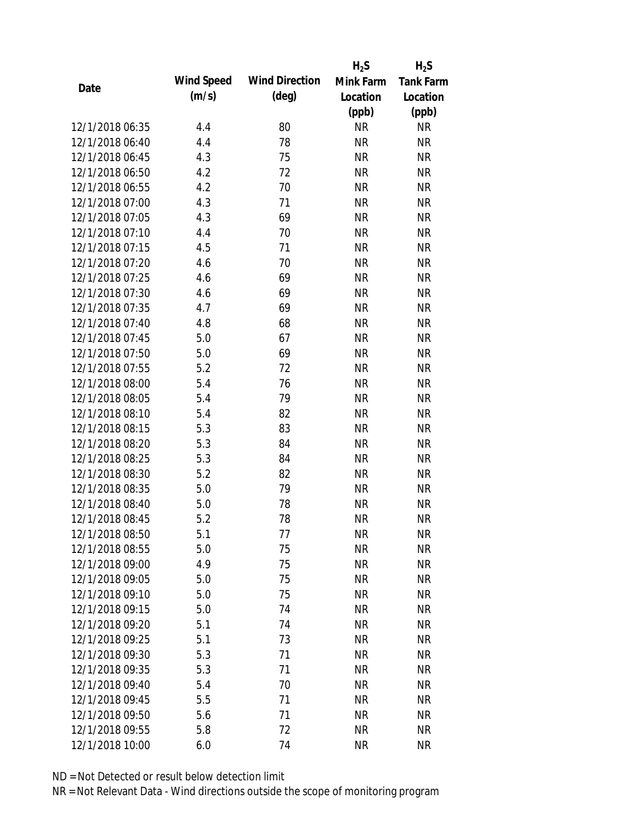|                 |            |                       | $H_2S$    | $H_2S$           |
|-----------------|------------|-----------------------|-----------|------------------|
| Date            | Wind Speed | <b>Wind Direction</b> | Mink Farm | <b>Tank Farm</b> |
|                 | (m/s)      | $(\text{deg})$        | Location  | Location         |
|                 |            |                       | (ppb)     | (ppb)            |
| 12/1/2018 06:35 | 4.4        | 80                    | <b>NR</b> | <b>NR</b>        |
| 12/1/2018 06:40 | 4.4        | 78                    | <b>NR</b> | <b>NR</b>        |
| 12/1/2018 06:45 | 4.3        | 75                    | <b>NR</b> | <b>NR</b>        |
| 12/1/2018 06:50 | 4.2        | 72                    | <b>NR</b> | <b>NR</b>        |
| 12/1/2018 06:55 | 4.2        | 70                    | <b>NR</b> | <b>NR</b>        |
| 12/1/2018 07:00 | 4.3        | 71                    | <b>NR</b> | <b>NR</b>        |
| 12/1/2018 07:05 | 4.3        | 69                    | <b>NR</b> | <b>NR</b>        |
| 12/1/2018 07:10 | 4.4        | 70                    | <b>NR</b> | <b>NR</b>        |
| 12/1/2018 07:15 | 4.5        | 71                    | <b>NR</b> | <b>NR</b>        |
| 12/1/2018 07:20 | 4.6        | 70                    | <b>NR</b> | <b>NR</b>        |
| 12/1/2018 07:25 | 4.6        | 69                    | <b>NR</b> | <b>NR</b>        |
| 12/1/2018 07:30 | 4.6        | 69                    | <b>NR</b> | <b>NR</b>        |
| 12/1/2018 07:35 | 4.7        | 69                    | <b>NR</b> | <b>NR</b>        |
| 12/1/2018 07:40 | 4.8        | 68                    | <b>NR</b> | <b>NR</b>        |
| 12/1/2018 07:45 | 5.0        | 67                    | <b>NR</b> | <b>NR</b>        |
| 12/1/2018 07:50 | 5.0        | 69                    | <b>NR</b> | <b>NR</b>        |
| 12/1/2018 07:55 | 5.2        | 72                    | <b>NR</b> | <b>NR</b>        |
| 12/1/2018 08:00 | 5.4        | 76                    | <b>NR</b> | <b>NR</b>        |
| 12/1/2018 08:05 | 5.4        | 79                    | <b>NR</b> | <b>NR</b>        |
| 12/1/2018 08:10 | 5.4        | 82                    | <b>NR</b> | <b>NR</b>        |
| 12/1/2018 08:15 | 5.3        | 83                    | <b>NR</b> | <b>NR</b>        |
| 12/1/2018 08:20 | 5.3        | 84                    | <b>NR</b> | <b>NR</b>        |
| 12/1/2018 08:25 | 5.3        | 84                    | <b>NR</b> | <b>NR</b>        |
| 12/1/2018 08:30 | 5.2        | 82                    | <b>NR</b> | <b>NR</b>        |
| 12/1/2018 08:35 | 5.0        | 79                    | <b>NR</b> | <b>NR</b>        |
| 12/1/2018 08:40 | 5.0        | 78                    | <b>NR</b> | <b>NR</b>        |
| 12/1/2018 08:45 | 5.2        | 78                    | <b>NR</b> | <b>NR</b>        |
| 12/1/2018 08:50 | 5.1        | 77                    | <b>NR</b> | <b>NR</b>        |
| 12/1/2018 08:55 | 5.0        | 75                    | <b>NR</b> | <b>NR</b>        |
| 12/1/2018 09:00 | 4.9        | 75                    | <b>NR</b> | <b>NR</b>        |
| 12/1/2018 09:05 | 5.0        | 75                    | <b>NR</b> | <b>NR</b>        |
| 12/1/2018 09:10 | 5.0        | 75                    | <b>NR</b> | NR               |
| 12/1/2018 09:15 | 5.0        | 74                    | <b>NR</b> | <b>NR</b>        |
| 12/1/2018 09:20 | 5.1        | 74                    | <b>NR</b> | <b>NR</b>        |
| 12/1/2018 09:25 | 5.1        | 73                    | <b>NR</b> | NR               |
| 12/1/2018 09:30 | 5.3        | 71                    | <b>NR</b> | <b>NR</b>        |
| 12/1/2018 09:35 | 5.3        | 71                    | <b>NR</b> | NR               |
| 12/1/2018 09:40 | 5.4        | 70                    | <b>NR</b> | NR               |
| 12/1/2018 09:45 | 5.5        | 71                    | <b>NR</b> | NR               |
| 12/1/2018 09:50 | 5.6        | 71                    | <b>NR</b> | NR               |
| 12/1/2018 09:55 | 5.8        | 72                    | <b>NR</b> | <b>NR</b>        |
| 12/1/2018 10:00 | 6.0        | 74                    | <b>NR</b> | <b>NR</b>        |
|                 |            |                       |           |                  |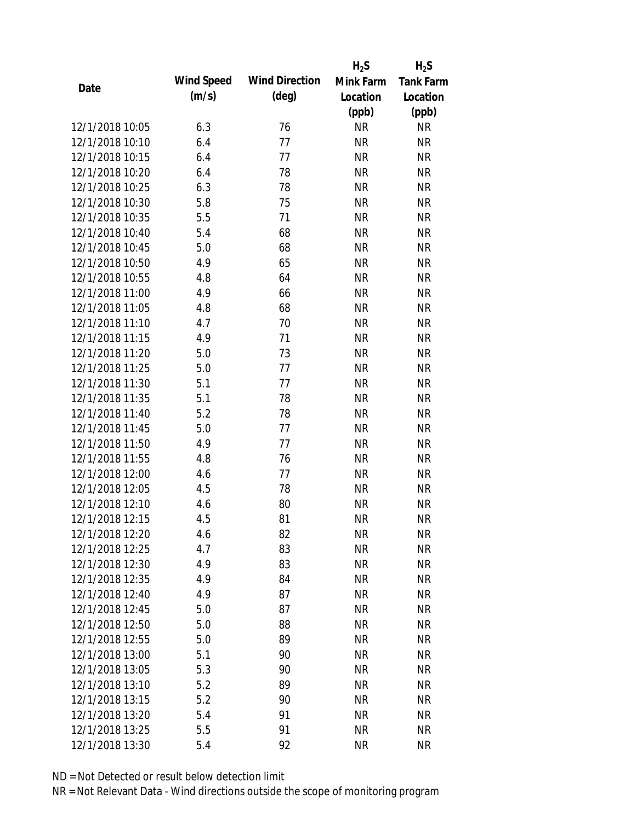|                 |            |                       | $H_2S$    | $H_2S$           |
|-----------------|------------|-----------------------|-----------|------------------|
| Date            | Wind Speed | <b>Wind Direction</b> | Mink Farm | <b>Tank Farm</b> |
|                 | (m/s)      | $(\text{deg})$        | Location  | Location         |
|                 |            |                       | (ppb)     | (ppb)            |
| 12/1/2018 10:05 | 6.3        | 76                    | <b>NR</b> | <b>NR</b>        |
| 12/1/2018 10:10 | 6.4        | 77                    | <b>NR</b> | <b>NR</b>        |
| 12/1/2018 10:15 | 6.4        | 77                    | <b>NR</b> | <b>NR</b>        |
| 12/1/2018 10:20 | 6.4        | 78                    | <b>NR</b> | <b>NR</b>        |
| 12/1/2018 10:25 | 6.3        | 78                    | <b>NR</b> | <b>NR</b>        |
| 12/1/2018 10:30 | 5.8        | 75                    | <b>NR</b> | <b>NR</b>        |
| 12/1/2018 10:35 | 5.5        | 71                    | <b>NR</b> | <b>NR</b>        |
| 12/1/2018 10:40 | 5.4        | 68                    | <b>NR</b> | <b>NR</b>        |
| 12/1/2018 10:45 | 5.0        | 68                    | <b>NR</b> | <b>NR</b>        |
| 12/1/2018 10:50 | 4.9        | 65                    | <b>NR</b> | <b>NR</b>        |
| 12/1/2018 10:55 | 4.8        | 64                    | <b>NR</b> | <b>NR</b>        |
| 12/1/2018 11:00 | 4.9        | 66                    | <b>NR</b> | <b>NR</b>        |
| 12/1/2018 11:05 | 4.8        | 68                    | <b>NR</b> | <b>NR</b>        |
| 12/1/2018 11:10 | 4.7        | 70                    | <b>NR</b> | <b>NR</b>        |
| 12/1/2018 11:15 | 4.9        | 71                    | <b>NR</b> | <b>NR</b>        |
| 12/1/2018 11:20 | 5.0        | 73                    | <b>NR</b> | <b>NR</b>        |
| 12/1/2018 11:25 | 5.0        | 77                    | <b>NR</b> | <b>NR</b>        |
| 12/1/2018 11:30 | 5.1        | 77                    | <b>NR</b> | <b>NR</b>        |
| 12/1/2018 11:35 | 5.1        | 78                    | <b>NR</b> | <b>NR</b>        |
| 12/1/2018 11:40 | 5.2        | 78                    | <b>NR</b> | <b>NR</b>        |
| 12/1/2018 11:45 | 5.0        | 77                    | <b>NR</b> | <b>NR</b>        |
| 12/1/2018 11:50 | 4.9        | 77                    | <b>NR</b> | <b>NR</b>        |
| 12/1/2018 11:55 | 4.8        | 76                    | <b>NR</b> | <b>NR</b>        |
| 12/1/2018 12:00 | 4.6        | 77                    | <b>NR</b> | <b>NR</b>        |
| 12/1/2018 12:05 | 4.5        | 78                    | <b>NR</b> | <b>NR</b>        |
| 12/1/2018 12:10 | 4.6        | 80                    | <b>NR</b> | <b>NR</b>        |
| 12/1/2018 12:15 | 4.5        | 81                    | <b>NR</b> | <b>NR</b>        |
| 12/1/2018 12:20 | 4.6        | 82                    | <b>NR</b> | <b>NR</b>        |
| 12/1/2018 12:25 | 4.7        | 83                    | <b>NR</b> | <b>NR</b>        |
| 12/1/2018 12:30 | 4.9        | 83                    | <b>NR</b> | <b>NR</b>        |
| 12/1/2018 12:35 | 4.9        | 84                    | <b>NR</b> | <b>NR</b>        |
| 12/1/2018 12:40 | 4.9        | 87                    | <b>NR</b> | <b>NR</b>        |
| 12/1/2018 12:45 | 5.0        | 87                    | <b>NR</b> | <b>NR</b>        |
| 12/1/2018 12:50 | 5.0        | 88                    | <b>NR</b> | <b>NR</b>        |
| 12/1/2018 12:55 | 5.0        | 89                    | <b>NR</b> | NR               |
| 12/1/2018 13:00 | 5.1        | 90                    | <b>NR</b> | <b>NR</b>        |
| 12/1/2018 13:05 | 5.3        | 90                    | <b>NR</b> | <b>NR</b>        |
| 12/1/2018 13:10 | 5.2        | 89                    | NR        | <b>NR</b>        |
| 12/1/2018 13:15 | 5.2        | 90                    | <b>NR</b> | NR               |
| 12/1/2018 13:20 | 5.4        | 91                    | <b>NR</b> | NR               |
| 12/1/2018 13:25 | 5.5        | 91                    | <b>NR</b> | <b>NR</b>        |
| 12/1/2018 13:30 | 5.4        | 92                    | <b>NR</b> | <b>NR</b>        |
|                 |            |                       |           |                  |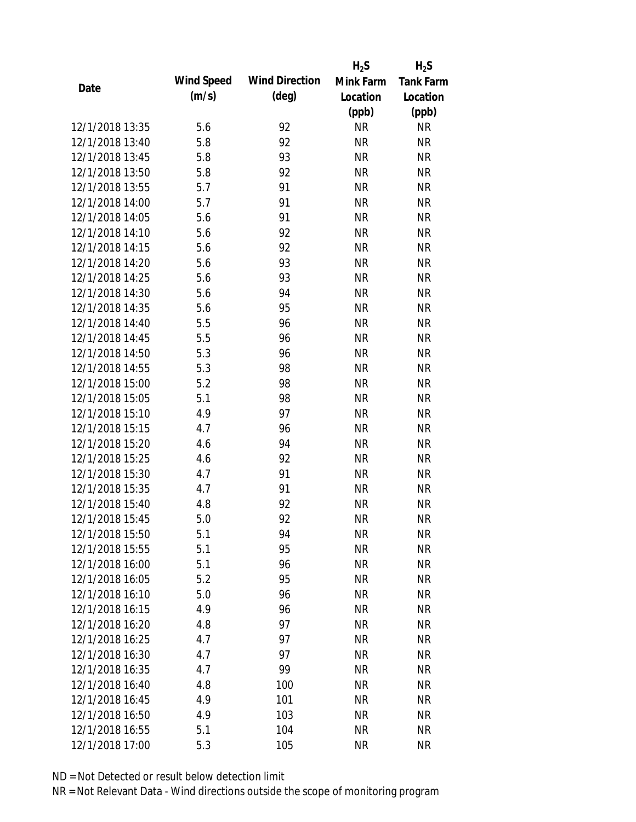|                 |            |                       | $H_2S$                 | $H_2S$           |
|-----------------|------------|-----------------------|------------------------|------------------|
| Date            | Wind Speed | <b>Wind Direction</b> | Mink Farm              | <b>Tank Farm</b> |
|                 | (m/s)      | $(\text{deg})$        | Location               | Location         |
|                 |            |                       | (ppb)                  | (ppb)            |
| 12/1/2018 13:35 | 5.6        | 92                    | <b>NR</b>              | NR               |
| 12/1/2018 13:40 | 5.8        | 92                    | <b>NR</b>              | <b>NR</b>        |
| 12/1/2018 13:45 | 5.8        | 93                    | <b>NR</b>              | <b>NR</b>        |
| 12/1/2018 13:50 | 5.8        | 92                    | <b>NR</b>              | <b>NR</b>        |
| 12/1/2018 13:55 | 5.7        | 91                    | <b>NR</b>              | <b>NR</b>        |
| 12/1/2018 14:00 | 5.7        | 91                    | <b>NR</b>              | <b>NR</b>        |
| 12/1/2018 14:05 | 5.6        | 91                    | <b>NR</b>              | <b>NR</b>        |
| 12/1/2018 14:10 | 5.6        | 92                    | <b>NR</b>              | <b>NR</b>        |
| 12/1/2018 14:15 | 5.6        | 92                    | <b>NR</b>              | <b>NR</b>        |
| 12/1/2018 14:20 | 5.6        | 93                    | <b>NR</b>              | <b>NR</b>        |
| 12/1/2018 14:25 | 5.6        | 93                    | <b>NR</b>              | <b>NR</b>        |
| 12/1/2018 14:30 | 5.6        | 94                    | <b>NR</b>              | <b>NR</b>        |
| 12/1/2018 14:35 | 5.6        | 95                    | <b>NR</b>              | <b>NR</b>        |
| 12/1/2018 14:40 | 5.5        | 96                    | <b>NR</b>              | <b>NR</b>        |
| 12/1/2018 14:45 | 5.5        | 96                    | <b>NR</b>              | <b>NR</b>        |
| 12/1/2018 14:50 | 5.3        | 96                    | <b>NR</b>              | <b>NR</b>        |
| 12/1/2018 14:55 | 5.3        | 98                    | <b>NR</b>              | <b>NR</b>        |
| 12/1/2018 15:00 | 5.2        | 98                    | <b>NR</b>              | <b>NR</b>        |
| 12/1/2018 15:05 | 5.1        | 98                    | <b>NR</b>              | <b>NR</b>        |
| 12/1/2018 15:10 | 4.9        | 97                    | <b>NR</b>              | <b>NR</b>        |
| 12/1/2018 15:15 | 4.7        | 96                    | <b>NR</b>              | <b>NR</b>        |
| 12/1/2018 15:20 | 4.6        | 94                    | <b>NR</b>              | <b>NR</b>        |
| 12/1/2018 15:25 | 4.6        | 92                    | <b>NR</b>              | <b>NR</b>        |
| 12/1/2018 15:30 | 4.7        | 91                    | <b>NR</b>              | <b>NR</b>        |
| 12/1/2018 15:35 | 4.7        | 91                    | <b>NR</b>              | <b>NR</b>        |
| 12/1/2018 15:40 | 4.8        | 92                    | <b>NR</b>              | <b>NR</b>        |
| 12/1/2018 15:45 | 5.0        | 92                    | <b>NR</b>              | <b>NR</b>        |
| 12/1/2018 15:50 | 5.1        | 94                    | <b>NR</b>              | <b>NR</b>        |
| 12/1/2018 15:55 | 5.1        | 95                    | <b>NR</b>              | <b>NR</b>        |
| 12/1/2018 16:00 | 5.1        | 96                    | <b>NR</b>              | <b>NR</b>        |
| 12/1/2018 16:05 | 5.2        | 95                    | <b>NR</b>              | <b>NR</b>        |
| 12/1/2018 16:10 | 5.0        | 96                    | <b>NR</b>              | <b>NR</b>        |
| 12/1/2018 16:15 | 4.9        | 96                    | <b>NR</b>              | <b>NR</b>        |
| 12/1/2018 16:20 |            | 97                    | <b>NR</b>              | <b>NR</b>        |
| 12/1/2018 16:25 | 4.8        |                       |                        |                  |
| 12/1/2018 16:30 | 4.7<br>4.7 | 97<br>97              | <b>NR</b><br><b>NR</b> | NR<br><b>NR</b>  |
|                 |            |                       |                        |                  |
| 12/1/2018 16:35 | 4.7        | 99                    | <b>NR</b>              | NR               |
| 12/1/2018 16:40 | 4.8        | 100                   | NR                     | NR               |
| 12/1/2018 16:45 | 4.9        | 101                   | <b>NR</b>              | NR               |
| 12/1/2018 16:50 | 4.9        | 103                   | <b>NR</b>              | NR               |
| 12/1/2018 16:55 | 5.1        | 104                   | <b>NR</b>              | <b>NR</b>        |
| 12/1/2018 17:00 | 5.3        | 105                   | <b>NR</b>              | <b>NR</b>        |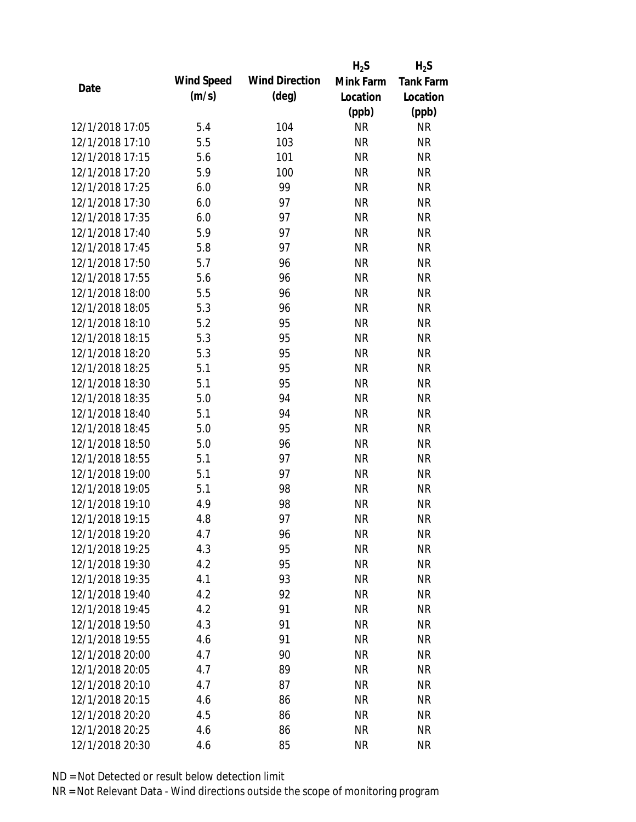|                 |            |                       | $H_2S$    | $H_2S$           |
|-----------------|------------|-----------------------|-----------|------------------|
| Date            | Wind Speed | <b>Wind Direction</b> | Mink Farm | <b>Tank Farm</b> |
|                 | (m/s)      | $(\text{deg})$        | Location  | Location         |
|                 |            |                       | (ppb)     | (ppb)            |
| 12/1/2018 17:05 | 5.4        | 104                   | <b>NR</b> | <b>NR</b>        |
| 12/1/2018 17:10 | 5.5        | 103                   | <b>NR</b> | <b>NR</b>        |
| 12/1/2018 17:15 | 5.6        | 101                   | <b>NR</b> | <b>NR</b>        |
| 12/1/2018 17:20 | 5.9        | 100                   | <b>NR</b> | <b>NR</b>        |
| 12/1/2018 17:25 | 6.0        | 99                    | <b>NR</b> | <b>NR</b>        |
| 12/1/2018 17:30 | 6.0        | 97                    | <b>NR</b> | <b>NR</b>        |
| 12/1/2018 17:35 | 6.0        | 97                    | <b>NR</b> | <b>NR</b>        |
| 12/1/2018 17:40 | 5.9        | 97                    | <b>NR</b> | <b>NR</b>        |
| 12/1/2018 17:45 | 5.8        | 97                    | <b>NR</b> | <b>NR</b>        |
| 12/1/2018 17:50 | 5.7        | 96                    | <b>NR</b> | <b>NR</b>        |
| 12/1/2018 17:55 | 5.6        | 96                    | <b>NR</b> | <b>NR</b>        |
| 12/1/2018 18:00 | 5.5        | 96                    | <b>NR</b> | <b>NR</b>        |
| 12/1/2018 18:05 | 5.3        | 96                    | <b>NR</b> | <b>NR</b>        |
| 12/1/2018 18:10 | 5.2        | 95                    | <b>NR</b> | <b>NR</b>        |
| 12/1/2018 18:15 | 5.3        | 95                    | <b>NR</b> | <b>NR</b>        |
| 12/1/2018 18:20 | 5.3        | 95                    | <b>NR</b> | <b>NR</b>        |
| 12/1/2018 18:25 | 5.1        | 95                    | <b>NR</b> | <b>NR</b>        |
| 12/1/2018 18:30 | 5.1        | 95                    | <b>NR</b> | <b>NR</b>        |
| 12/1/2018 18:35 | 5.0        | 94                    | <b>NR</b> | <b>NR</b>        |
| 12/1/2018 18:40 | 5.1        | 94                    | <b>NR</b> | <b>NR</b>        |
| 12/1/2018 18:45 | 5.0        | 95                    | <b>NR</b> | <b>NR</b>        |
| 12/1/2018 18:50 | 5.0        | 96                    | <b>NR</b> | <b>NR</b>        |
| 12/1/2018 18:55 | 5.1        | 97                    | <b>NR</b> | <b>NR</b>        |
| 12/1/2018 19:00 | 5.1        | 97                    | <b>NR</b> | <b>NR</b>        |
| 12/1/2018 19:05 | 5.1        | 98                    | <b>NR</b> | <b>NR</b>        |
| 12/1/2018 19:10 | 4.9        | 98                    | <b>NR</b> | <b>NR</b>        |
| 12/1/2018 19:15 | 4.8        | 97                    | <b>NR</b> | <b>NR</b>        |
| 12/1/2018 19:20 | 4.7        | 96                    | <b>NR</b> | <b>NR</b>        |
| 12/1/2018 19:25 | 4.3        | 95                    | <b>NR</b> | <b>NR</b>        |
| 12/1/2018 19:30 | 4.2        | 95                    | <b>NR</b> | <b>NR</b>        |
| 12/1/2018 19:35 | 4.1        | 93                    | <b>NR</b> | <b>NR</b>        |
| 12/1/2018 19:40 | 4.2        | 92                    | <b>NR</b> | <b>NR</b>        |
| 12/1/2018 19:45 | 4.2        | 91                    | <b>NR</b> | <b>NR</b>        |
| 12/1/2018 19:50 | 4.3        | 91                    | <b>NR</b> | <b>NR</b>        |
| 12/1/2018 19:55 | 4.6        | 91                    | <b>NR</b> | NR               |
| 12/1/2018 20:00 | 4.7        | 90                    | <b>NR</b> | <b>NR</b>        |
| 12/1/2018 20:05 | 4.7        | 89                    | <b>NR</b> | NR               |
| 12/1/2018 20:10 | 4.7        | 87                    | NR        | NR               |
| 12/1/2018 20:15 | 4.6        | 86                    | <b>NR</b> | NR               |
| 12/1/2018 20:20 | 4.5        | 86                    | <b>NR</b> | NR               |
| 12/1/2018 20:25 | 4.6        | 86                    | <b>NR</b> | <b>NR</b>        |
| 12/1/2018 20:30 | 4.6        | 85                    | <b>NR</b> | <b>NR</b>        |
|                 |            |                       |           |                  |